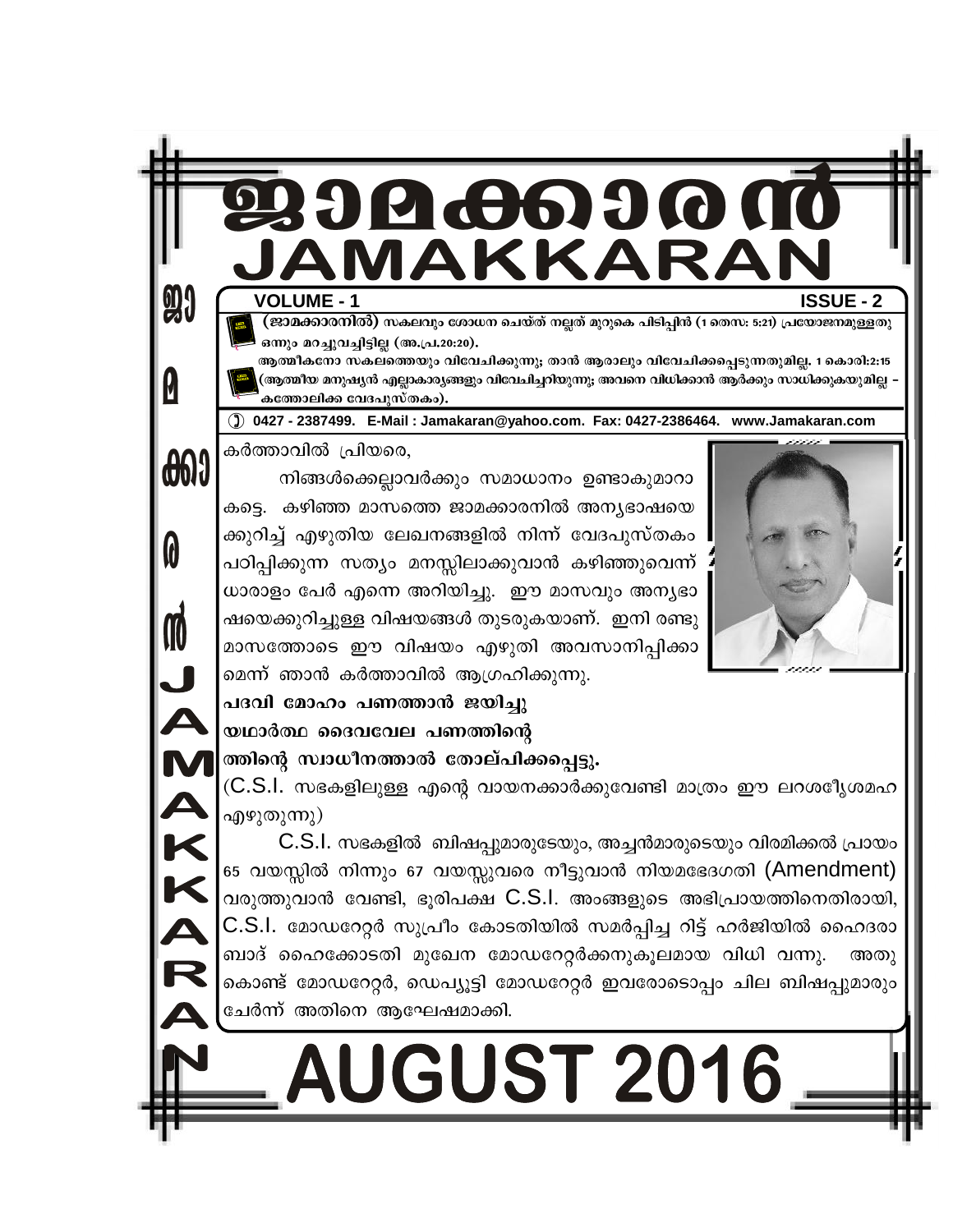

(ജാമക്കാരനിൽ) സകലവും ശോധന ചെയ്ത് നല്ലത് മുറുകെ പിടിപ്പിൻ (1 തെസ: 5:21) പ്രയോജനമുള്ളതു ഒന്നും മറച്ചുവച്ചിട്ടില്ല (അ.പ്ര.20:20).

ആത്മീകനോ സകലത്തെയും വിവേചിക്കുന്നു; താൻ ആരാലും വിവേചിക്കപ്പെടുന്നതുമില്ല. 1 കൊരി:2:15 (ആത്മീയ മനുഷ്യൻ എല്ലാകാര്യങ്ങളും വിവേചിച്ചറിയുന്നു; അവനെ വിധിക്കാൻ ആർക്കും സാധിക്കുകയുമില്ല *–* കത്തോലിക്ക വേദപുസ്തകം).

() 0427 - 2387499. E-Mail : Jamakaran@yahoo.com. Fax: 0427-2386464. www.Jamakaran.com

കർത്താവിൽ പ്രിയരെ, **000** 

**91** 

**W** 

0

M<br>A<br>K<br>K

നിങ്ങൾക്കെല്ലാവർക്കും സമാധാനം ഉണ്ടാകുമാറാ കട്ടെ. കഴിഞ്ഞ മാസത്തെ ജാമക്കാരനിൽ അന്യഭാഷയെ ക്കുറിച്ച് എഴുതിയ ലേഖനങ്ങളിൽ നിന്ന് വേദപുസ്തകം പഠിപ്പിക്കുന്ന സത്യം മനസ്സിലാക്കുവാൻ കഴിഞ്ഞുവെന്ന് ധാരാളം പേർ എന്നെ അറിയിച്ചു. ഈ മാസവും അന്യഭാ ഷയെക്കുറിച്ചുള്ള വിഷയങ്ങൾ തുടരുകയാണ്. ഇനി രണ്ടു മാസത്തോടെ ഈ വിഷയം എഴുതി അവസാനിപ്പിക്കാ മെന്ന് ഞാൻ കർത്താവിൽ ആഗ്രഹിക്കുന്നു.



പദവി മോഹം പണത്താൻ ജയിച്ചു യഥാർത്ഥ ദൈവവേല പണത്തിന്റെ

#### ത്തിന്റെ സ്വാധീനത്താൽ തോല്പിക്കപ്പെട്ടു.

(C.S.I. സഭകളിലുള്ള എന്റെ വായനക്കാർക്കുവേണ്ടി മാത്രം ഈ ലറശഃീൃശമഹ എഴുതുന്നു)

C.S.I. സഭകളിൽ ബിഷപ്പുമാരുടേയും, അച്ചൻമാരുടെയും വിരമിക്കൽ പ്രായം 65 വയസ്സിൽ നിന്നും 67 വയസ്സുവരെ നീട്ടുവാൻ നിയമഭേദഗതി (Amendment) വരുത്തുവാൻ വേണ്ടി, ഭൂരിപക്ഷ C.S.I. അംങ്ങളുടെ അഭിപ്രായത്തിനെതിരായി, C.S.I. മോഡറേറ്റർ സുപ്രീം കോടതിയിൽ സമർപ്പിച്ച റിട്ട് ഹർജിയിൽ ഹൈദരാ ബാദ് ഹൈക്കോടതി മുഖേന മോഡറേറ്റർക്കനുകൂലമായ വിധി വന്നു. അതു കൊണ്ട് മോഡറേറ്റർ, ഡെപ്യൂട്ടി മോഡറേറ്റർ ഇവരോടൊപ്പം ചില ബിഷപ്പുമാരും ചേർന്ന് അതിനെ ആഘേഷമാക്കി.

## **AUGUST 2016**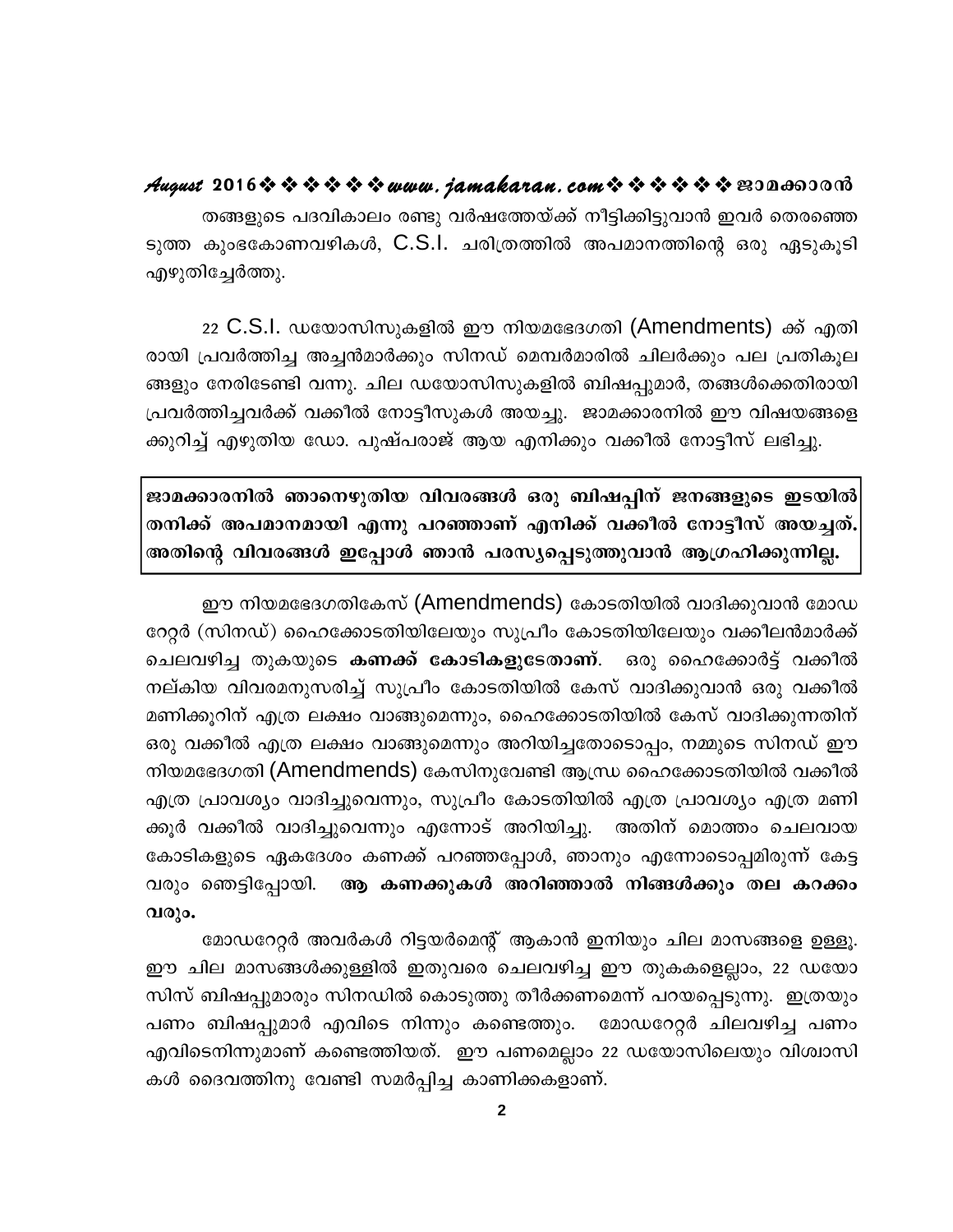#### August 2016 \* \* \* \* \* \* www.jamakaran.com \* \* \* \* \* \* \* E3Da600018

തങ്ങളുടെ പദവികാലം രണ്ടു വർഷത്തേയ്ക്ക് നീട്ടിക്കിട്ടുവാൻ ഇവർ തെരഞ്ഞെ ടുത്ത കുംഭകോണവഴികൾ, C.S.I. ചരിത്രത്തിൽ അപമാനത്തിന്റെ ഒരു ഏടുകൂടി എഴുതിച്ചേർത്തു.

22 C.S.I. ഡയോസിസുകളിൽ ഈ നിയമഭേദഗതി (Amendments) ക്ക് എതി രായി പ്രവർത്തിച്ച അച്ചൻമാർക്കും സിനഡ് മെമ്പർമാരിൽ ചിലർക്കും പല പ്രതികുല ങ്ങളും നേരിടേണ്ടി വന്നു. ചില ഡയോസിസുകളിൽ ബിഷപ്പുമാർ, തങ്ങൾക്കെതിരായി പ്രവർത്തിച്ചവർക്ക് വക്കീൽ നോട്ടീസുകൾ അയച്ചു. ജാമക്കാരനിൽ ഈ വിഷയങ്ങളെ ക്കുറിച്ച് എഴുതിയ ഡോ. പുഷ്പരാജ് ആയ എനിക്കും വക്കീൽ നോട്ടീസ് ലഭിച്ചു.

ജാമക്കാരനിൽ ഞാനെഴുതിയ വിവരങ്ങൾ ഒരു ബിഷപ്പിന് ജനങ്ങളുടെ ഇടയിൽ തനിക്ക് അപമാനമായി എന്നു പറഞ്ഞാണ് എനിക്ക് വക്കീൽ നോട്ടീസ് അയച്ചത്. അതിന്റെ വിവരങ്ങൾ ഇപ്പോൾ ഞാൻ പരസ്യപ്പെടുത്തുവാൻ ആഗ്രഹിക്കുന്നില്ല.

ഈ നിയമഭേദഗതികേസ് (Amendmends) കോടതിയിൽ വാദിക്കുവാൻ മോഡ റേറ്റർ (സിനഡ്) ഹൈക്കോടതിയിലേയും സുപ്രീം കോടതിയിലേയും വക്കീലൻമാർക്ക് ചെലവഴിച്ച തുകയുടെ **കണക്ക് കോടികളുടേതാണ്**. ഒരു ഹൈക്കോർട്ട് വക്കീൽ നല്കിയ വിവരമനുസരിച്ച് സുപ്രീം കോടതിയിൽ കേസ് വാദിക്കുവാൻ ഒരു വക്കീൽ മണിക്കൂറിന് എത്ര ലക്ഷം വാങ്ങുമെന്നും, ഹൈക്കോടതിയിൽ കേസ് വാദിക്കുന്നതിന് ഒരു വക്കീൽ എത്ര ലക്ഷം വാങ്ങുമെന്നും അറിയിച്ചതോടൊപ്പം, നമ്മുടെ സിനഡ് ഈ നിയമഭേദഗതി (Amendmends) കേസിനുവേണ്ടി ആന്ധ്ര ഹൈക്കോടതിയിൽ വക്കീൽ എത്ര പ്രാവശ്യം വാദിച്ചുവെന്നും, സുപ്രീം കോടതിയിൽ എത്ര പ്രാവശ്യം എത്ര മണി ക്കൂർ വക്കീൽ വാദിച്ചുവെന്നും എന്നോട് അറിയിച്ചു. അതിന് മൊത്തം ചെലവായ കോടികളുടെ ഏകദേശം കണക്ക് പറഞ്ഞപ്പോൾ, ഞാനും എന്നോടൊപ്പമിരുന്ന് കേട്ട വരും ഞെട്ടിപ്പോയി. ആ കണക്കുകൾ അറിഞ്ഞാൽ നിങ്ങൾക്കും തല കറക്കം വരും.

മോഡറേറ്റർ അവർകൾ റിട്ടയർമെന്റ് ആകാൻ ഇനിയും ചില മാസങ്ങളെ ഉള്ളൂ. ഈ ചില മാസങ്ങൾക്കുള്ളിൽ ഇതുവരെ ചെലവഴിച്ച ഈ തുകകളെല്ലാം, 22 ഡയോ സിസ് ബിഷപ്പുമാരും സിനഡിൽ കൊടുത്തു തീർക്കണമെന്ന് പറയപ്പെടുന്നു. ഇത്രയും പണം ബിഷപ്പുമാർ എവിടെ നിന്നും കണ്ടെത്തും. മോഡറേറ്റർ ചിലവഴിച്ച പണം എവിടെനിന്നുമാണ് കണ്ടെത്തിയത്. ഈ പണമെല്ലാം 22 ഡയോസിലെയും വിശ്വാസി കൾ ദൈവത്തിനു വേണ്ടി സമർപ്പിച്ച കാണിക്കകളാണ്.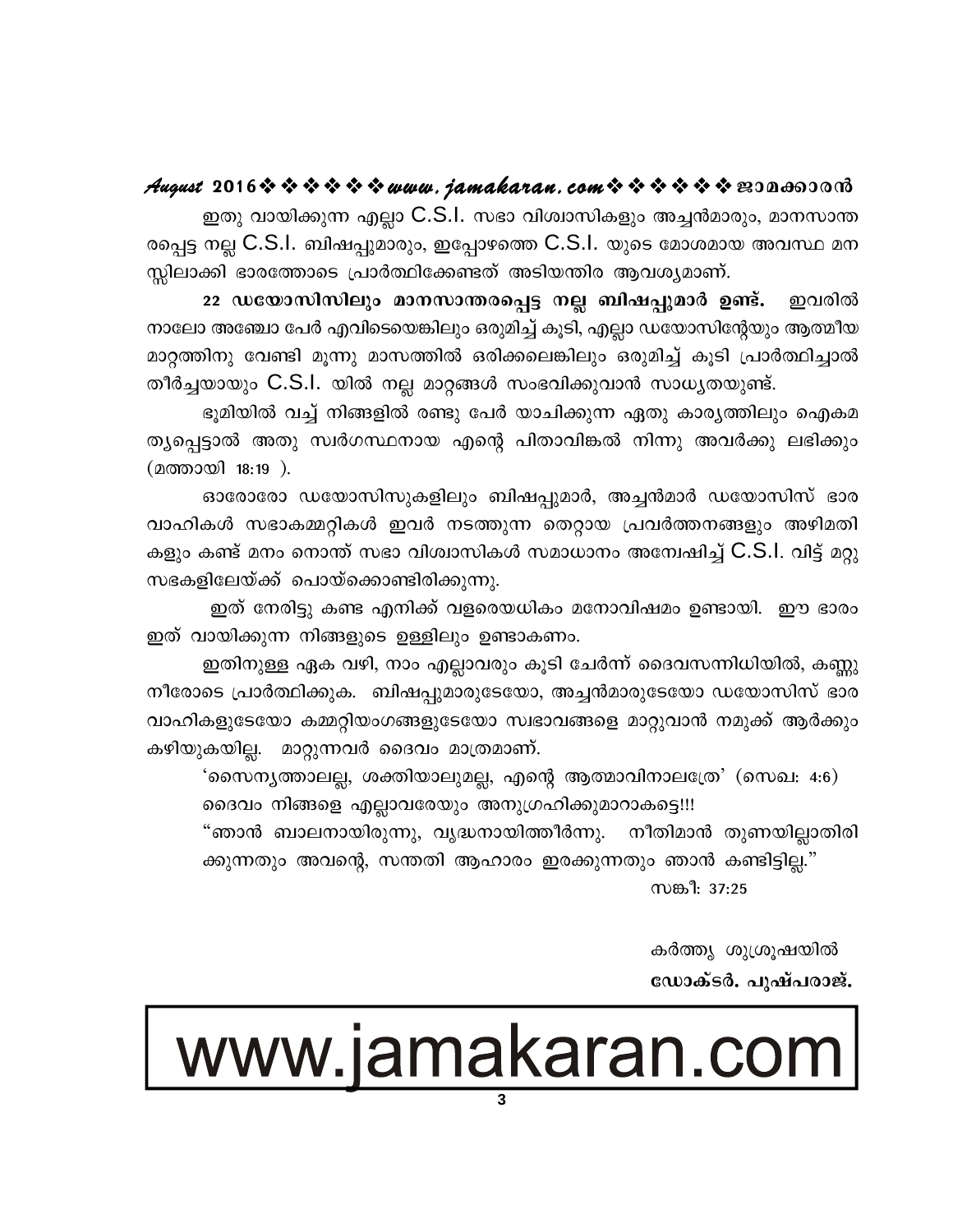#### August 2016 \* \* \* \* \* \* www.jamakaran.com \* \* \* \* \* \* E30000000

ഇതു വായിക്കുന്ന എല്ലാ C.S.I. സഭാ വിശ്വാസികളും അച്ചൻമാരും, മാനസാന്ത രപ്പെട്ട നല്ല C.S.I. ബിഷപ്പുമാരും, ഇപ്പോഴത്തെ C.S.I. യുടെ മോശമായ അവസ്ഥ മന സ്സിലാക്കി ഭാരത്തോടെ പ്രാർത്ഥിക്കേണ്ടത് അടിയന്തിര ആവശ്യമാണ്.

22 ഡയോസിസിലും മാനസാന്തരപ്പെട്ട നല്ല ബിഷപ്പുമാർ ഉണ്ട്. ഇവരിൽ നാലോ അഞ്ചോ പേർ എവിടെയെങ്കിലും ഒരുമിച്ച് കൂടി, എല്ലാ ഡയോസിന്റേയും ആത്മീയ മാറ്റത്തിനു വേണ്ടി മൂന്നു മാസത്തിൽ ഒരിക്കലെങ്കിലും ഒരുമിച്ച് കൂടി പ്രാർത്ഥിച്ചാൽ തീർച്ചയായും C.S.I. യിൽ നല്ല മാറ്റങ്ങൾ സംഭവിക്കുവാൻ സാധ്യതയുണ്ട്.

ഭൂമിയിൽ വച്ച് നിങ്ങളിൽ രണ്ടു പേർ യാചിക്കുന്ന ഏതു കാര്യത്തിലും ഐകമ ത്യപ്പെട്ടാൽ അതു സ്വർഗസ്ഥനായ എന്റെ പിതാവിങ്കൽ നിന്നു അവർക്കു ലഭിക്കും (മത്തായി 18:19).

ഓരോരോ ഡയോസിസുകളിലും ബിഷപ്പുമാർ, അച്ചൻമാർ ഡയോസിസ് ഭാര വാഹികൾ സഭാകമ്മറ്റികൾ ഇവർ നടത്തുന്ന തെറ്റായ പ്രവർത്തനങ്ങളും അഴിമതി കളും കണ്ട് മനം നൊന്ത് സഭാ വിശ്വാസികൾ സമാധാനം അന്വേഷിച്ച് C.S.I. വിട്ട് മറ്റു സഭകളിലേയ്ക്ക് പൊയ്ക്കൊണ്ടിരിക്കുന്നു.

ഇത് നേരിട്ടു കണ്ട എനിക്ക് വളരെയധികം മനോവിഷമം ഉണ്ടായി. ഈ ഭാരം ഇത് വായിക്കുന്ന നിങ്ങളുടെ ഉള്ളിലും ഉണ്ടാകണം.

ഇതിനുള്ള ഏക വഴി, നാം എല്ലാവരും കൂടി ചേർന്ന് ദൈവസന്നിധിയിൽ, കണ്ണു നീരോടെ പ്രാർത്ഥിക്കുക. ബിഷപ്പുമാരുടേയോ, അച്ചൻമാരുടേയോ ഡയോസിസ് ഭാര വാഹികളുടേയോ കമ്മറ്റിയംഗങ്ങളുടേയോ സ്വഭാവങ്ങളെ മാറ്റുവാൻ നമുക്ക് ആർക്കും കഴിയുകയില്ല. മാറ്റുന്നവർ ദൈവം മാത്രമാണ്.

'സൈന്യത്താലല്ല, ശക്തിയാലുമല്ല, എന്റെ ആത്മാവിനാലത്രേ' (സെഖ: 4:6) ദൈവം നിങ്ങളെ എല്ലാവരേയും അനുഗ്രഹിക്കുമാറാകട്ടെ!!!

"ഞാൻ ബാലനായിരുന്നു, വൃദ്ധനായിത്തീർന്നു. നീതിമാൻ തുണയില്ലാതിരി ക്കുന്നതും അവന്റെ, സന്തതി ആഹാരം ഇരക്കുന്നതും ഞാൻ കണ്ടിട്ടില്ല." സങ്കീ: 37:25

> കർത്ത്യ ശുശ്രൂഷയിൽ ഡോക്ടർ. പുഷ്പരാജ്.

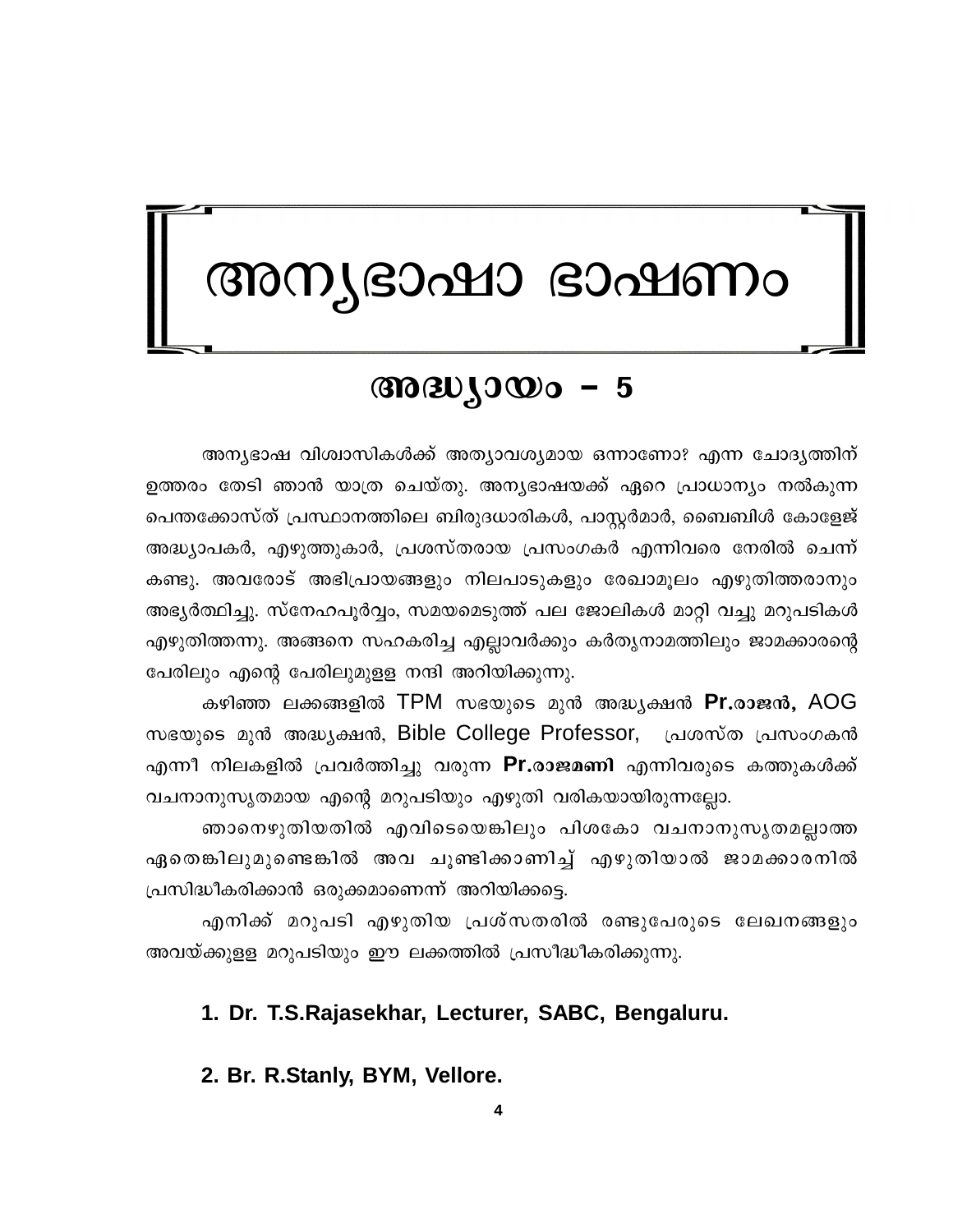## അന്യഭാഷാ ഭാഷണം

#### $\omega_{30} \omega_{0}$  - 5

അന്യഭാഷ വിശ്വാസികൾക്ക് അത്യാവശ്യമായ ഒന്നാണോ? എന്ന ചോദ്യത്തിന് ഉത്തരം തേടി ഞാൻ യാത്ര ചെയ്തു. അനൃഭാഷയക്ക് ഏറെ പ്രാധാന്യം നൽകുന്ന പെന്തക്കോസ്ത് പ്രസ്ഥാനത്തിലെ ബിരുദധാരികൾ, പാസ്റ്റർമാർ, ബൈബിൾ കോളേജ് അദ്ധ്യാപകർ, എഴുത്തുകാർ, പ്രശസ്തരായ പ്രസംഗകർ എന്നിവരെ നേരിൽ ചെന്ന് കണ്ടു. അവരോട് അഭിപ്രായങ്ങളും നിലപാടുകളും രേഖാമൂലം എഴുതിത്തരാനും അഭ്യർത്ഥിച്ചു. സ്നേഹപൂർവ്വം, സമയമെടുത്ത് പല ജോലികൾ മാറ്റി വച്ചു മറുപടികൾ എഴുതിത്തന്നു. അങ്ങനെ സഹകരിച്ച എല്ലാവർക്കും കർതൃനാമത്തിലും ജാമക്കാരന്റെ പേരിലും എന്റെ പേരിലുമുളള നന്ദി അറിയിക്കുന്നു.

കഴിഞ്ഞ ലക്കങ്ങളിൽ TPM സഭയുടെ മുൻ അദ്ധ്യക്ഷൻ **Pr.രാജൻ,** AOG സഭയുടെ മുൻ അദ്ധ്യക്ഷൻ, Bible College Professor, പ്രശസ്ത പ്രസംഗകൻ എന്നീ നിലകളിൽ പ്രവർത്തിച്ചു വരുന്ന **Pr.രാജമണി** എന്നിവരുടെ കത്തുകൾക്ക് വചനാനുസൃതമായ എന്റെ മറുപടിയും എഴുതി വരികയായിരുന്നല്ലോ.

ഞാനെഴുതിയതിൽ എവിടെയെങ്കിലും പിശകോ വചനാനുസൃതമല്ലാത്ത ഏതെങ്കിലുമുണ്ടെങ്കിൽ അവ ചൂണ്ടിക്കാണിച്ച് എഴുതിയാൽ ജാമക്കാരനിൽ പ്രസിദ്ധീകരിക്കാൻ ഒരുക്കമാണെന്ന് അറിയിക്കട്ടെ.

എനിക്ക് മറുപടി എഴുതിയ പ്രശ്സതരിൽ രണ്ടുപേരുടെ ലേഖനങ്ങളും അവയ്ക്കുള്ള മറുപടിയും ഈ ലക്കത്തിൽ പ്രസീദ്ധീകരിക്കുന്നു.

#### 1. Dr. T.S.Rajasekhar, Lecturer, SABC, Bengaluru.

#### 2. Br. R.Stanly, BYM, Vellore.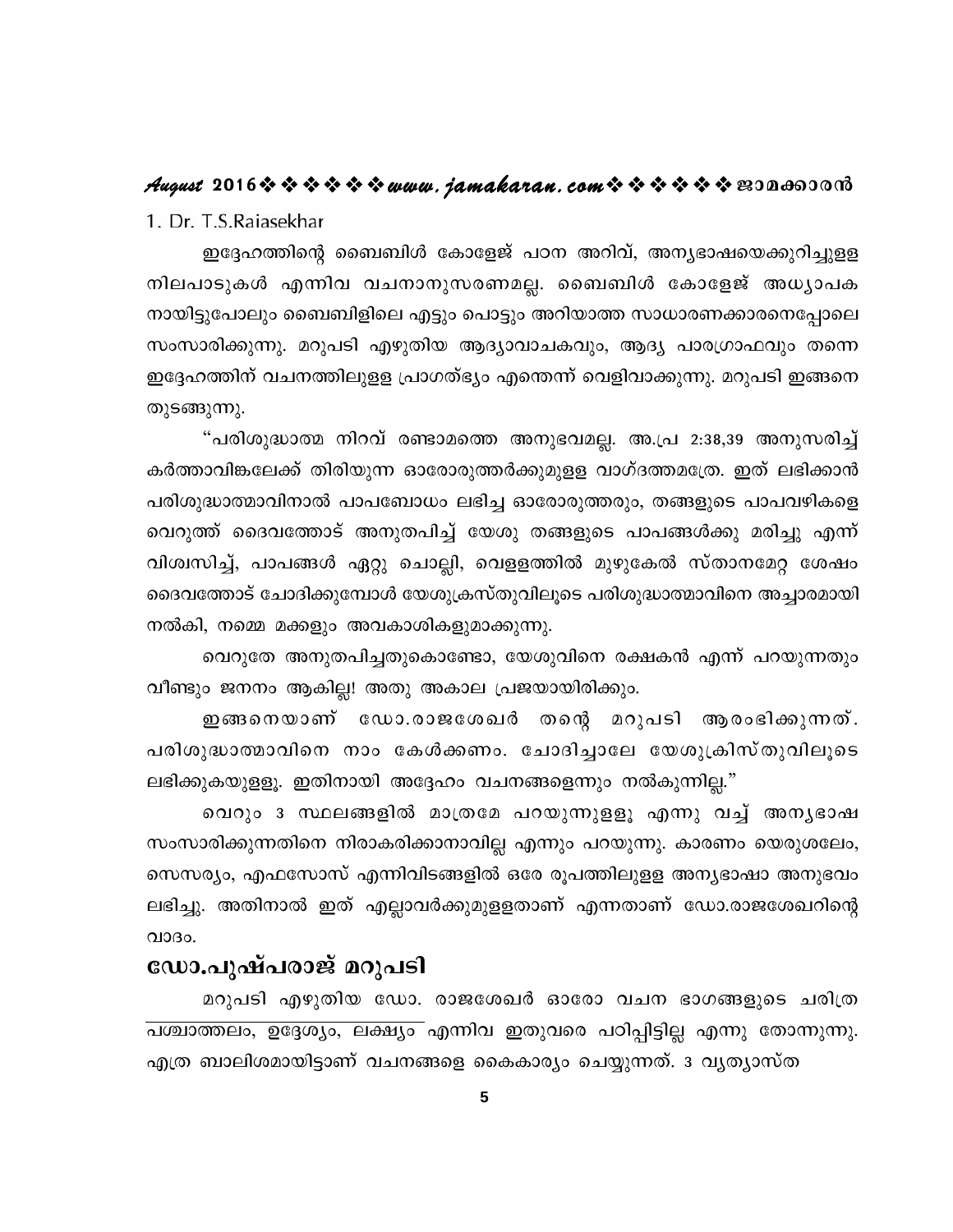#### August 2016 \* \* \* \* \* \* www.jamakaran.com \* \* \* \* \* \* E300003000

1. Dr. T.S.Raiasekhar

ഇദ്ദേഹത്തിന്റെ ബൈബിൾ കോളേജ് പഠന അറിവ്, അന്യഭാഷയെക്കുറിച്ചുളള നിലപാടുകൾ എന്നിവ വചനാനുസരണമല്ല. ബൈബിൾ കോളേജ് അധ്യാപക നായിട്ടുപോലും ബൈബിളിലെ എട്ടും പൊട്ടും അറിയാത്ത സാധാരണക്കാരനെപ്പോലെ സംസാരിക്കുന്നു. മറുപടി എഴുതിയ ആദ്യാവാചകവും, ആദ്യ പാരഗ്രാഫവും തന്നെ ഇദ്ദേഹത്തിന് വചനത്തിലുളള പ്രാഗത്ഭ്യം എന്തെന്ന് വെളിവാക്കുന്നു. മറുപടി ഇങ്ങനെ തുടങ്ങുന്നു.

"പരിശുദ്ധാത്മ നിറവ് രണ്ടാമത്തെ അനുഭവമല്ല. അ.പ്ര 2:38,39 അനുസരിച്ച് കർത്താവിങ്കലേക്ക് തിരിയുന്ന ഓരോരുത്തർക്കുമുളള വാഗ്ദത്തമത്രേ. ഇത് ലഭിക്കാൻ പരിശുദ്ധാത്മാവിനാൽ പാപബോധം ലഭിച്ച ഓരോരുത്തരും, തങ്ങളുടെ പാപവഴികളെ വെറുത്ത് ദൈവത്തോട് അനുതപിച്ച് യേശു തങ്ങളുടെ പാപങ്ങൾക്കു മരിച്ചു എന്ന് വിശ്വസിച്ച്, പാപങ്ങൾ ഏറ്റു ചൊല്ലി, വെളളത്തിൽ മുഴുകേൽ സ്താനമേറ്റ ശേഷം ദൈവത്തോട് ചോദിക്കുമ്പോൾ യേശുക്രസ്തുവിലൂടെ പരിശുദ്ധാത്മാവിനെ അച്ചാരമായി നൽകി, നമ്മെ മക്കളും അവകാശികളുമാക്കുന്നു.

വെറുതേ അനുതപിച്ചതുകൊണ്ടോ, യേശുവിനെ രക്ഷകൻ എന്ന് പറയുന്നതും വീണ്ടും ജനനം ആകില്ല! അതു അകാല പ്രജയായിരിക്കും.

ഇങ്ങനെയാണ് ഡോ.രാജശേഖർ തന്റെ മറുപടി ആരംഭിക്കുന്നത്. പരിശുദ്ധാത്മാവിനെ നാം കേൾക്കണം. ചോദിച്ചാലേ യേശുക്രിസ്തുവിലൂടെ ലഭിക്കുകയുള്ളൂ. ഇതിനായി അദ്ദേഹം വചനങ്ങളെന്നും നൽകുന്നില്ല."

വെറും ദ സ്ഥലങ്ങളിൽ മാത്രമേ പറയുന്നുളളൂ എന്നു വച്ച് അനൃഭാഷ സംസാരിക്കുന്നതിനെ നിരാകരിക്കാനാവില്ല എന്നും പറയുന്നു. കാരണം യെരുശലേം, സെസര്യം, എഫസോസ് എന്നിവിടങ്ങളിൽ ഒരേ രൂപത്തിലുളള അന്യഭാഷാ അനുഭവം ലഭിച്ചു. അതിനാൽ ഇത് എല്ലാവർക്കുമുളളതാണ് എന്നതാണ് ഡോ.രാജശേഖറിന്റെ  $Q10B0.$ 

#### ഡോ.പുഷ്പരാജ് മറുപടി

മറുപടി എഴുതിയ ഡോ. രാജശേഖർ ഓരോ വചന ഭാഗങ്ങളുടെ ചരിത്ര പശ്ചാത്തലം, ഉദ്ദേശ്യം, ലക്ഷ്യം എന്നിവ ഇതുവരെ പഠിപ്പിട്ടില്ല എന്നു തോന്നുന്നു. എത്ര ബാലിശമായിട്ടാണ് വചനങ്ങളെ കൈകാര്യം ചെയ്യുന്നത്. 3 വ്യത്യാസ്ത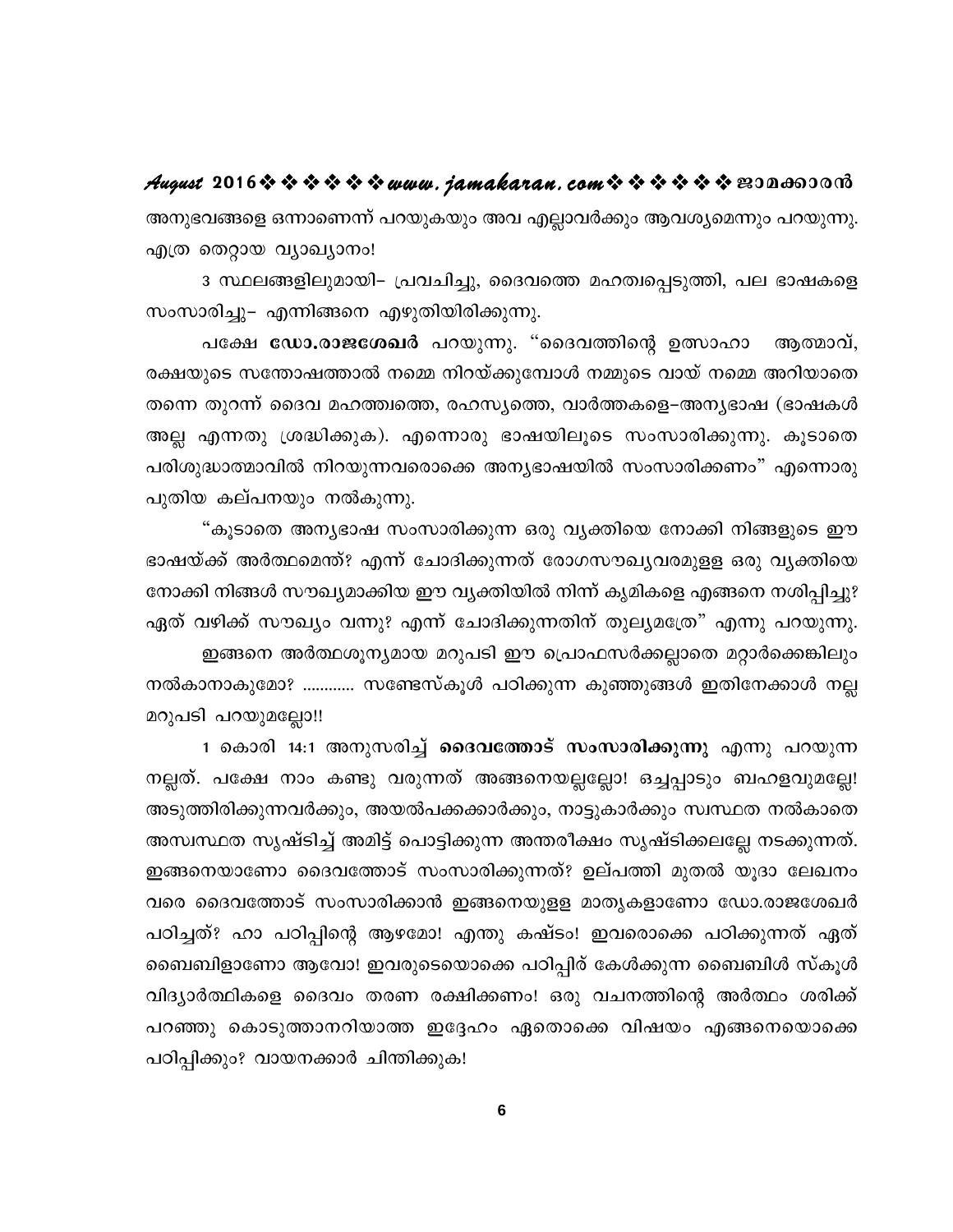August 2016 \$ \$ \$ \$ \$ \$ www.jamakaran.com \$ \$ \$ \$ \$ \$ BODA600018 അനുഭവങ്ങളെ ഒന്നാണെന്ന് പറയുകയും അവ എല്ലാവർക്കും ആവശ്യമെന്നും പറയുന്നു. എത്ര തെറ്റായ വ്യാഖ്യാനം!

3 സ്ഥലങ്ങളിലുമായി– പ്രവചിച്ചു, ദൈവത്തെ മഹത്വപ്പെടുത്തി, പല ഭാഷകളെ സംസാരിച്ചു– എന്നിങ്ങനെ എഴുതിയിരിക്കുന്നു.

പക്ഷേ ഡോ.രാജശേഖർ പറയുന്നു. "ദൈവത്തിന്റെ ഉത്സാഹാ ആത്മാവ്, രക്ഷയുടെ സന്തോഷത്താൽ നമ്മെ നിറയ്ക്കുമ്പോൾ നമ്മുടെ വായ് നമ്മെ അറിയാതെ തന്നെ തുറന്ന് ദൈവ മഹത്ത്വത്തെ, രഹസ്യത്തെ, വാർത്തകളെ–അന്യഭാഷ (ഭാഷകൾ അല്ല എന്നതു ശ്രദ്ധിക്കുക). എന്നൊരു ഭാഷയിലൂടെ സംസാരിക്കുന്നു. കൂടാതെ പരിശുദ്ധാത്മാവിൽ നിറയുന്നവരൊക്കെ അന്യഭാഷയിൽ സംസാരിക്കണം" എന്നൊരു പുതിയ കല്പനയും നൽകുന്നു.

"കൂടാതെ അന്യഭാഷ സംസാരിക്കുന്ന ഒരു വ്യക്തിയെ നോക്കി നിങ്ങളുടെ ഈ ഭാഷയ്ക്ക് അർത്ഥമെന്ത്? എന്ന് ചോദിക്കുന്നത് രോഗസൗഖ്യവരമുളള ഒരു വൃക്തിയെ നോക്കി നിങ്ങൾ സൗഖ്യമാക്കിയ ഈ വ്യക്തിയിൽ നിന്ന് കൃമികളെ എങ്ങനെ നശിപ്പിച്ചു? ഏത് വഴിക്ക് സൗഖ്യം വന്നു? എന്ന് ചോദിക്കുന്നതിന് തുല്യമത്രേ" എന്നു പറയുന്നു. ഇങ്ങനെ അർത്ഥശൂന്യമായ മറുപടി ഈ പ്രൊഫസർക്കല്ലാതെ മറ്റാർക്കെങ്കിലും നൽകാനാകുമോ? ………… സണ്ടേസ്കൂൾ പഠിക്കുന്ന കുഞ്ഞുങ്ങൾ ഇതിനേക്കാൾ നല്ല

മറുപടി പറയുമല്ലോ!!

1 കൊരി 14:1 അനുസരിച്ച് **ദൈവത്തോട് സംസാരിക്കുന്നു എന്നു പറ**യുന്ന നല്ലത്. പക്ഷേ നാം കണ്ടു വരുന്നത് അങ്ങനെയല്ലല്ലോ! ഒച്ചപ്പാടും ബഹളവുമല്ലേ! അടുത്തിരിക്കുന്നവർക്കും, അയൽപക്കക്കാർക്കും, നാട്ടുകാർക്കും സ്വസ്ഥത നൽകാതെ അസ്വസ്ഥത സൃഷ്ടിച്ച് അമിട്ട് പൊട്ടിക്കുന്ന അന്തരീക്ഷം സൃഷ്ടിക്കലല്ലേ നടക്കുന്നത്. ഇങ്ങനെയാണോ ദൈവത്തോട് സംസാരിക്കുന്നത്? ഉല്പത്തി മുതൽ യൂദാ ലേഖനം വരെ ദൈവത്തോട് സംസാരിക്കാൻ ഇങ്ങനെയുളള മാതൃകളാണോ ഡോ.രാജശേഖർ പഠിച്ചത്? ഹാ പഠിപ്പിന്റെ ആഴമോ! എന്തു കഷ്ടം! ഇവരൊക്കെ പഠിക്കുന്നത് ഏത് ബൈബിളാണോ ആവോ! ഇവരുടെയൊക്കെ പഠിപ്പിര് കേൾക്കുന്ന ബൈബിൾ സ്കൂൾ വിദ്യാർത്ഥികളെ ദൈവം തരണ രക്ഷിക്കണം! ഒരു വചനത്തിന്റെ അർത്ഥം ശരിക്ക് പറഞ്ഞു കൊടുത്താനറിയാത്ത ഇദ്ദേഹം ഏതൊക്കെ വിഷയം എങ്ങനെയൊക്കെ പഠിപ്പിക്കും? വായനക്കാർ ചിന്തിക്കുക!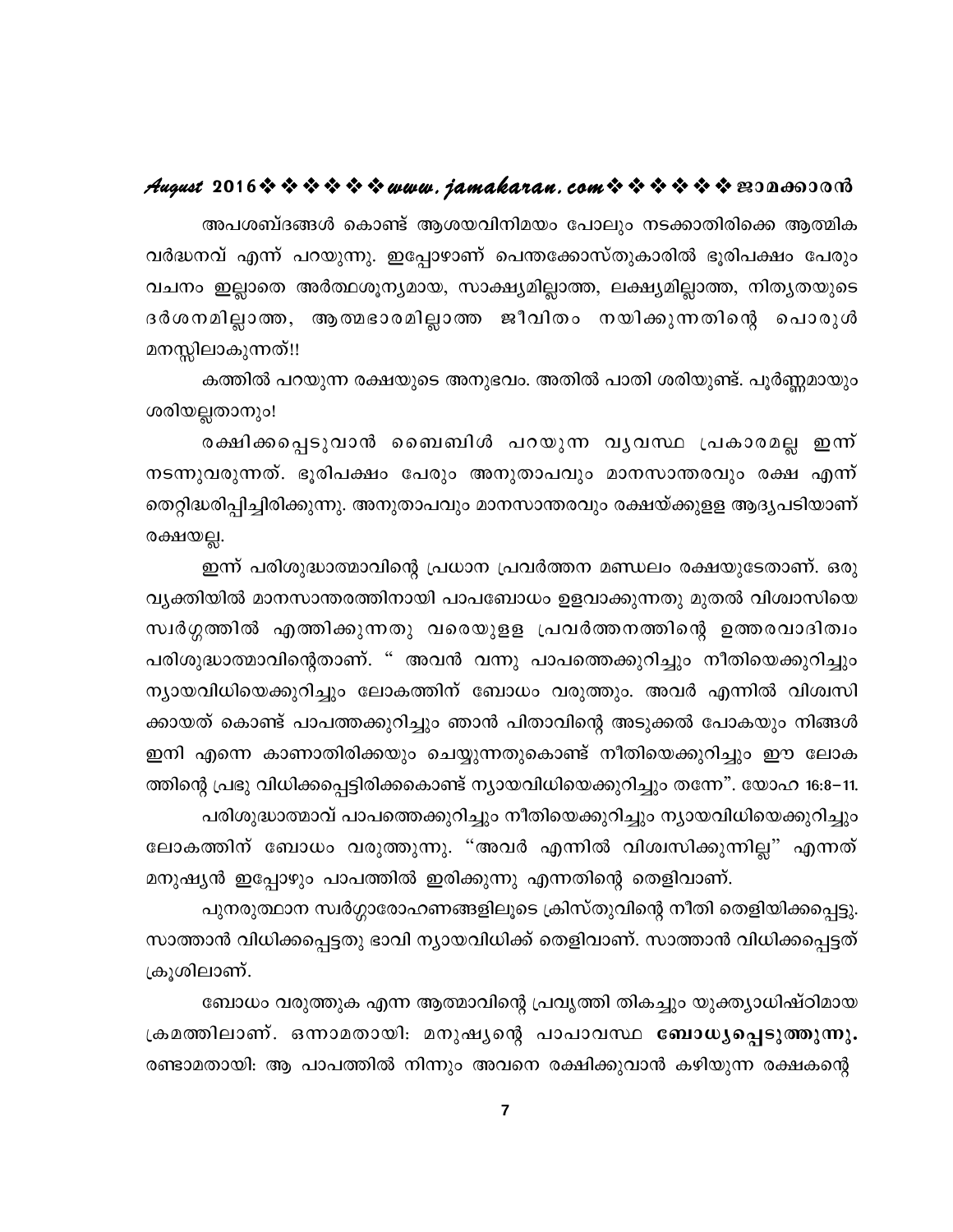#### August 2016 \* \* \* \* \* \* www.jamakaran.com \* \* \* \* \* \* \* E3Da603018

അപശബ്ദങ്ങൾ കൊണ്ട് ആശയവിനിമയം പോലും നടക്കാതിരിക്കെ ആത്മിക വർദ്ധനവ് എന്ന് പറയുന്നു. ഇപ്പോഴാണ് പെന്തക്കോസ്തുകാരിൽ ഭൂരിപക്ഷം പേരും വചനം ഇല്ലാതെ അർത്ഥശൂന്യമായ, സാക്ഷ്യമില്ലാത്ത, ലക്ഷ്യമില്ലാത്ത, നിത്യതയുടെ ദർശനമില്ലാത്ത, ആത്മഭാരമില്ലാത്ത ജീവിതം നയിക്കുന്നതിന്റെ പൊരുൾ മനസ്സിലാകുന്നത്!!

കത്തിൽ പറയുന്ന രക്ഷയുടെ അനുഭവം. അതിൽ പാതി ശരിയുണ്ട്. പൂർണ്ണമായും ശരിയല്ലതാനും!

രക്ഷിക്കപ്പെടുവാൻ ബൈബിൾ പറയുന്ന വൃവസ്ഥ പ്രകാരമല്ല ഇന്ന് നടന്നുവരുന്നത്. ഭൂരിപക്ഷം പേരും അനുതാപവും മാനസാന്തരവും രക്ഷ എന്ന് തെറ്റിദ്ധരിപ്പിച്ചിരിക്കുന്നു. അനുതാപവും മാനസാന്തരവും രക്ഷയ്ക്കുളള ആദ്യപടിയാണ് രക്ഷയല്ല.

ഇന്ന് പരിശുദ്ധാത്മാവിന്റെ പ്രധാന പ്രവർത്തന മണ്ഡലം രക്ഷയുടേതാണ്. ഒരു വ്യക്തിയിൽ മാനസാന്തരത്തിനായി പാപബോധം ഉളവാക്കുന്നതു മുതൽ വിശ്വാസിയെ സ്വർഗ്ഗത്തിൽ എത്തിക്കുന്നതു വരെയുളള പ്രവർത്തനത്തിന്റെ ഉത്തരവാദിത്വം പരിശുദ്ധാത്മാവിന്റെതാണ്. " അവൻ വന്നു പാപത്തെക്കുറിച്ചും നീതിയെക്കുറിച്ചും ന്യായവിധിയെക്കുറിച്ചും ലോകത്തിന് ബോധം വരുത്തും. അവർ എന്നിൽ വിശ്വസി ക്കായത് കൊണ്ട് പാപത്തക്കുറിച്ചും ഞാൻ പിതാവിന്റെ അടുക്കൽ പോകയും നിങ്ങൾ ഇനി എന്നെ കാണാതിരിക്കയും ചെയ്യുന്നതുകൊണ്ട് നീതിയെക്കുറിച്ചും ഈ ലോക ത്തിന്റെ പ്രഭു വിധിക്കപ്പെട്ടിരിക്കകൊണ്ട് ന്യായവിധിയെക്കുറിച്ചും തന്നേ". യോഹ 16:8–11. പരിശുദ്ധാത്മാവ് പാപത്തെക്കുറിച്ചും നീതിയെക്കുറിച്ചും ന്യായവിധിയെക്കുറിച്ചും ലോകത്തിന് ബോധം വരുത്തുന്നു. "അവർ എന്നിൽ വിശ്വസിക്കുന്നില്ല" എന്നത് മനുഷ്യൻ ഇപ്പോഴും പാപത്തിൽ ഇരിക്കുന്നു എന്നതിന്റെ തെളിവാണ്.

പുനരുത്ഥാന സ്വർഗ്ഗാരോഹണങ്ങളിലൂടെ ക്രിസ്തുവിന്റെ നീതി തെളിയിക്കപ്പെട്ടു. സാത്താൻ വിധിക്കപ്പെട്ടതു ഭാവി ന്യായവിധിക്ക് തെളിവാണ്. സാത്താൻ വിധിക്കപ്പെട്ടത് ക്രൂശിലാണ്.

ബോധം വരുത്തുക എന്ന ആത്മാവിന്റെ പ്രവൃത്തി തികച്ചും യുക്ത്യാധിഷ്ഠിമായ ക്രമത്തിലാണ്. ഒന്നാമതായി: മനുഷൃന്റെ പാപാവസ്ഥ **ബോധ്യപ്പെടുത്തുന്നു.** രണ്ടാമതായി: ആ പാപത്തിൽ നിന്നും അവനെ രക്ഷിക്കുവാൻ കഴിയുന്ന രക്ഷകന്റെ

 $\overline{\mathbf{7}}$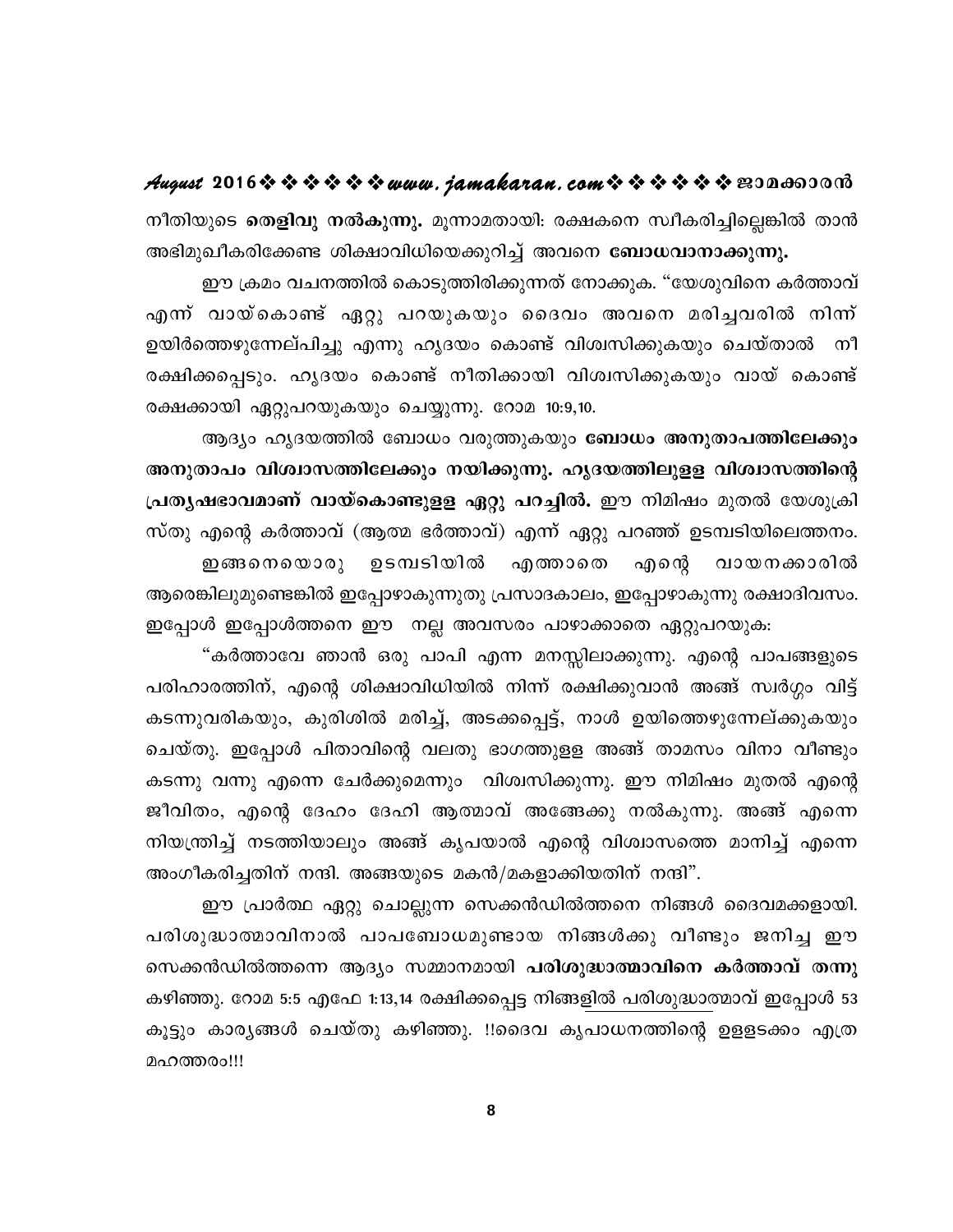**August 2016www.jamakaran.comPma¡mc³** നീതിയുടെ **തെളിവു നൽകുന്നു.** മൂന്നാമതായി: രക്ഷകനെ സ്വീകരിച്ചില്ലെങ്കിൽ താൻ `അഭിമുഖീകരിക്കേണ്ട` ശിക്ഷാവിധിയെക്കുറിച്ച്` അവനെ **ബോധവാനാക്കുന്നു.** 

ഈ ക്രമം വചനത്തിൽ കൊടുത്തിരിക്കുന്നത് നോക്കുക. "യേശുവിനെ കർത്താവ് നീതിയുടെ **തെളിവു നൽകുന്നു.** മൂന്നാമതായി: രക്ഷകനെ സ്ഥീകരിച്ചില്ലെങ്കിൽ താൻ<br>അഭിമുഖീകരിക്കേണ്ട ശിക്ഷാവിധിയെക്കുറിച്ച് അവനെ **ബോധവാനാക്കുന്നു.**<br>ഈ ക്രമം വചനത്തിൽ കൊടുത്തിരിക്കുന്നത് നോക്കുക. "യേശുവിനെ കർത്താവ്<br>എന്ന് വായ്കൊണ്ട് ഉയിർത്തെഴുന്നേല്പിച്ചു എന്നു ഹൃദയം കൊണ്ട് വിശ്വസിക്കുകയും ചെയ്താൽ നീ ് ഈ ക്രമം വചനത്തിൽ കൊടുത്തിരിക്കുന്നത് നോക്കുക. "യേശുവിനെ കർത്താവ്<br>എന്ന് വായ്കൊണ്ട് ഏറ്റു പറയുകയും ദൈവം അവനെ മരിച്ചവരിൽ നിന്ന്<br>ഉയിർത്തെഴുന്നേല്പിച്ചു എന്നു ഹൃദയം കൊണ്ട് വിശ്വസിക്കുകയും ചെയ്താൽ നീ<br>രക്ഷിക്കപ്പെടും. ഹൃദയം കൊ രക്ഷക്കായി ഏറ്റുപറയുകയും ചെയ്യുന്നു. റോമ 10:9,10.

ആദ്യം ഹൃദയത്തിൽ ബോധം വരുത്തുകയും **ബോധം അനുതാപത്തിലേക്കും** `അനുതാപം വിശ്വാസത്തിലേക്കും നയിക്കുന്നു. ഹൃദയത്തിലുളള വിശ്വാസത്തിന്റെ **പ്രത്യഷഭാവമാണ് വായ്കൊണ്ടുളള ഏറ്റു പറച്ചിൽ.** ഈ നിമിഷം മുതൽ യേശുക്രി സ്തു എന്റെ കർത്താവ് (ആത്മ ഭർത്താവ്) എന്ന് ഏറ്റു പറഞ്ഞ് ഉടമ്പടിയിലെത്തനം. മാപം വിശ്വാസത്തിലേക്കും നയിക്കുന്നു. ഹൃദയത്തിലുളള വിശ്വാസത്തിന്റെ<br>ഷഭാവമാണ് വായ്കൊണ്ടുളള ഏറ്റു പറച്ചിൽ. ഈ നിമിഷം മുതൽ യേശുക്രി<br>എന്റെ കർത്താവ് (ആത്മ ഭർത്താവ്) എന്ന് ഏറ്റു പറഞ്ഞ് ഉടമ്പടിയിലെത്തനം.<br>ഇങ്ങനെയൊരു ഉടമ്പടിയിൽ എ ആരെങ്കിലുമുണ്ടെങ്കിൽ ഇപ്പോഴാകുന്നുതു പ്രസാദകാലം, ഇപ്പോഴാകുന്നു രക്ഷാദിവസം. ഇപ്പോൾ ഇപ്പോൾത്തനെ ഈ നല്ല അവസരം പാഴാക്കാതെ ഏറ്റുപറയുക:

"കർത്താവേ ഞാൻ ഒരു പാപി എന്ന മനസ്സിലാക്കുന്നു. എന്റെ പാപങ്ങളുടെ പരിഹാരത്തിന്, എന്റെ ശിക്ഷാവിധിയിൽ നിന്ന് രക്ഷിക്കുവാൻ അങ്ങ് സ്വർഗ്ഗം വിട്ട് ഇപ്പോൾ ഇപ്പോൾത്തനെ ഈ നല്ല അവസരം പാഴാക്കാതെ ഏറ്റുപറയുക:<br>"കർത്താവേ ഞാൻ ഒരു പാപി എന്ന മനസ്സിലാക്കുന്നു. എന്റെ പാപങ്ങളുടെ<br>പരിഹാരത്തിന്, എന്റെ ശിക്ഷാവിധിയിൽ നിന്ന് രക്ഷിക്കുവാൻ അങ്ങ് സ്വർഗ്ഗം വിട്ട്<br>കടന്നുവരികയും, കുരിശിൽ മരിച ചെയ്തു. ഇപ്പോൾ പിതാവിന്റെ വലതു ഭാഗത്തുളള അങ്ങ് താമസം വിനാ വീണ്ടും കടന്നു വന്നു എന്നെ ചേർക്കുമെന്നും വിശ്വസിക്കുന്നു. ഈ നിമിഷം മുതൽ എന്റെ കടന്നുവരികയും, കുരിശിൽ മരിച്ച്, അടക്കപ്പെട്ട്, നാൾ ഉയിത്തെഴുന്നേല്ക്കുകയും<br>ചെയ്തു. ഇപ്പോൾ പിതാവിന്റെ വലതു ഭാഗത്തുളള അങ്ങ് താമസം വിനാ വീണ്ടും<br>കടന്നു വന്നു എന്നെ ചേർക്കുമെന്നും വിശ്വസിക്കുന്നു. ഈ നിമിഷം മുതൽ എന്റെ<br>ജീവിതം, ചെയ്തു. ഇപ്പോൾ പിതാവിന്റെ വലതു ഭാഗത്തുളള അങ്ങ് താമസം വിനാ വീണ്ടും<br>കടന്നു വന്നു എന്നെ ചേർക്കുമെന്നും വിശ്വസിക്കുന്നു. ഈ നിമിഷം മുതൽ എന്റെ<br>ജീവിതം, എന്റെ ദേഹം ദേഹി ആത്മാവ് അങ്ങേക്കു നൽകുന്നു. അങ്ങ് എന്നെ<br>നിയന്ത്രിച്ച് നടത്തി അംഗീകരിച്ചതിന് നന്ദി. അങ്ങയുടെ മകൻ/മകളാക്കിയതിന് നന്ദി".

ഈ പ്രാർത്ഥ ഏറ്റു ചൊല്ലുന്ന സെക്കൻഡിൽത്തനെ നിങ്ങൾ ദൈവമക്കളായി. പരിശുദ്ധാത്മാവിനാൽ പാപബോധമുണ്ടായ നിങ്ങൾക്കു വീണ്ടും ജനിച്ച ഈ നെക്കൻഡിൽത്തന്നെ ആദ്യം സമ്മാനമായി **പരിശുദ്ധാത്മാവിനെ കർത്താവ്** തന്നു കഴിഞ്ഞു. റോമ 5:5 എഫേ 1:13,14 രക്ഷിക്കപ്പെട്ട നിങ്ങളിൽ പരിശുദ്ധാത്മാവ് ഇപ്പോൾ 53 പരിശുദ്ധാത്മാവിനാൽ പാപബോധമുണ്ടായ നിങ്ങൾക്കു വീണ്ടും ജനിച്ച ഈ<br>സെക്കൻഡിൽത്തന്നെ ആദ്യം സമ്മാനമായി **പരിശുദ്ധാത്മാവിനെ കർത്താവ് തന്നു**<br>കഴിഞ്ഞു. റോമ 5:5 എഫേ 1:13,14 രക്ഷിക്കപ്പെട്ട നിങ്ങളിൽ പരിശുദ്ധാത്മാവ് ഇപ്പോൾ 53<br>കൂട്ടും കാര മഹത്തരം!!!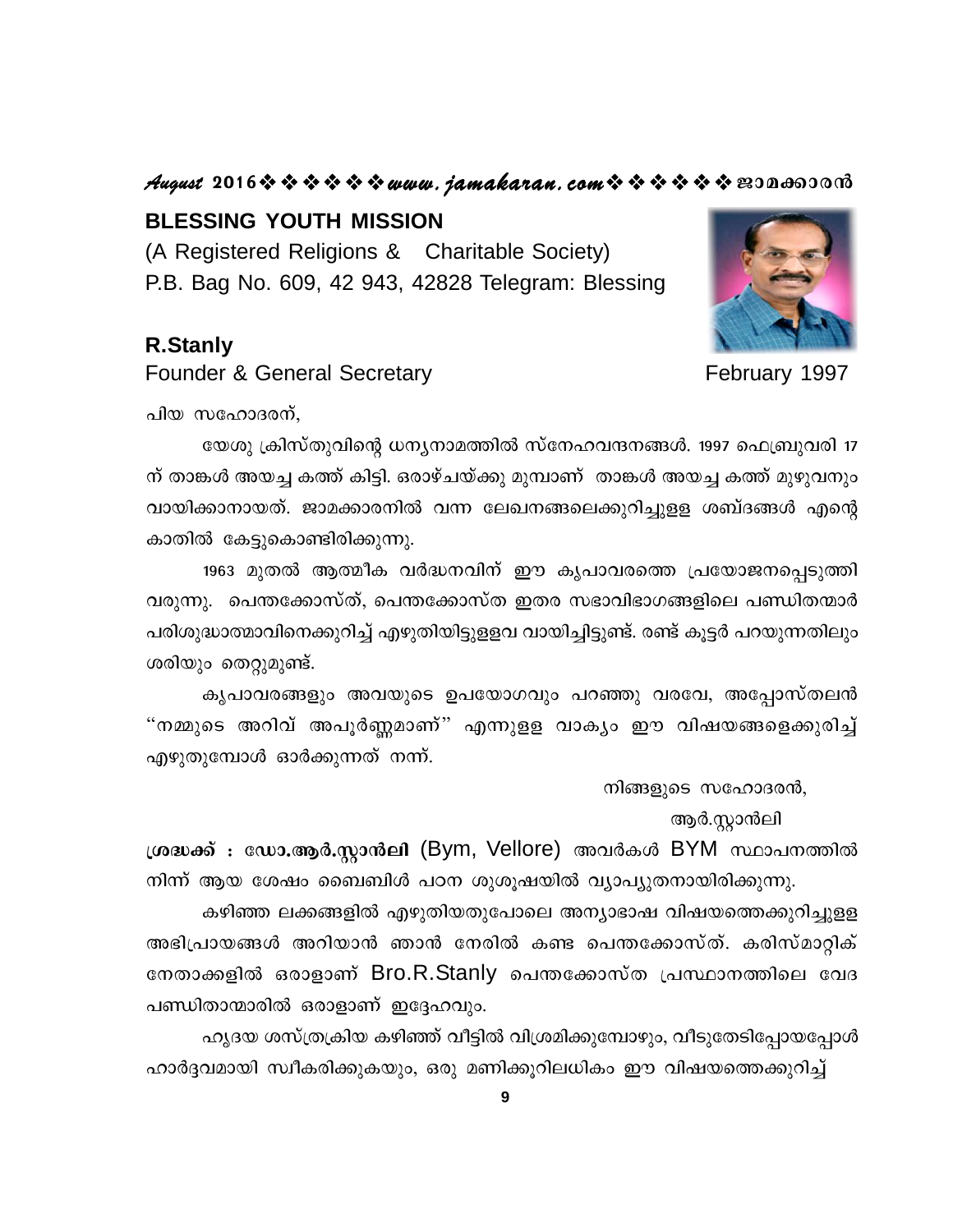#### August 2016 \* \* \* \* \* \* www.jamakaran.com \* \* \* \* \* \* \* 2010600010

#### **BLESSING YOUTH MISSION**

(A Registered Religions & Charitable Society) P.B. Bag No. 609, 42 943, 42828 Telegram: Blessing

#### **R.Stanly**

**Founder & General Secretary** 



February 1997

പിയ സഹോദരന്,

യേശു ക്രിസ്തുവിന്റെ ധന്യനാമത്തിൽ സ്നേഹവന്ദനങ്ങൾ. 1997 ഫെബ്രുവരി 17 ന് താങ്കൾ അയച്ച കത്ത് കിട്ടി. ഒരാഴ്ചയ്ക്കു മുമ്പാണ് താങ്കൾ അയച്ച കത്ത് മുഴുവനും വായിക്കാനായത്. ജാമക്കാരനിൽ വന്ന ലേഖനങ്ങലെക്കുറിച്ചുള്ള ശബ്ദങ്ങൾ എന്റെ കാതിൽ കേട്ടുകൊണ്ടിരിക്കുന്നു.

1963 മുതൽ ആത്മീക വർദ്ധനവിന് ഈ കൃപാവരത്തെ പ്രയോജനപ്പെടുത്തി വരുന്നു. പെന്തക്കോസ്ത്, പെന്തക്കോസ്ത ഇതര സഭാവിഭാഗങ്ങളിലെ പണ്ഡിതന്മാർ പരിശുദ്ധാത്മാവിനെക്കുറിച്ച് എഴുതിയിട്ടുളളവ വായിച്ചിട്ടുണ്ട്. രണ്ട് കൂട്ടർ പറയുന്നതിലും ശരിയും തെറ്റുമുണ്ട്.

കൃപാവരങ്ങളും അവയുടെ ഉപയോഗവും പറഞ്ഞു വരവേ, അപ്പോസ്തലൻ "നമ്മുടെ അറിവ് അപൂർണ്ണമാണ്" എന്നുളള വാകൃം ഈ വിഷയങ്ങളെക്കുരിച്ച് എഴുതുമ്പോൾ ഓർക്കുന്നത് നന്ന്.

നിങ്ങളുടെ സഹോദരൻ,

ആർ.സ്റ്റാൻലി

ശ്രദ്ധക്ക് : ഡോ.ആർ.സ്റ്റാൻലി (Bym, Vellore) അവർകൾ BYM സ്ഥാപനത്തിൽ നിന്ന് ആയ ശേഷം ബൈബിൾ പഠന ശുശുഷയിൽ വ്യാപ്യുതനായിരിക്കുന്നു.

കഴിഞ്ഞ ലക്കങ്ങളിൽ എഴുതിയതുപോലെ അന്യാഭാഷ വിഷയത്തെക്കുറിച്ചുളള അഭിപ്രായങ്ങൾ അറിയാൻ ഞാൻ നേരിൽ കണ്ട പെന്തക്കോസ്ത്. കരിസ്മാറ്റിക് നേതാക്കളിൽ ഒരാളാണ് Bro.R.Stanly പെന്തക്കോസ്ത പ്രസ്ഥാനത്തിലെ വേദ പണ്ഡിതാന്മാരിൽ ഒരാളാണ് ഇദ്ദേഹവും.

ഹൃദയ ശസ്ത്രക്രിയ കഴിഞ്ഞ് വീട്ടിൽ വിശ്രമിക്കുമ്പോഴും, വീടുതേടിപ്പോയപ്പോൾ ഹാർദ്ദവമായി സ്വീകരിക്കുകയും, ഒരു മണിക്കൂറിലധികം ഈ വിഷയത്തെക്കുറിച്ച്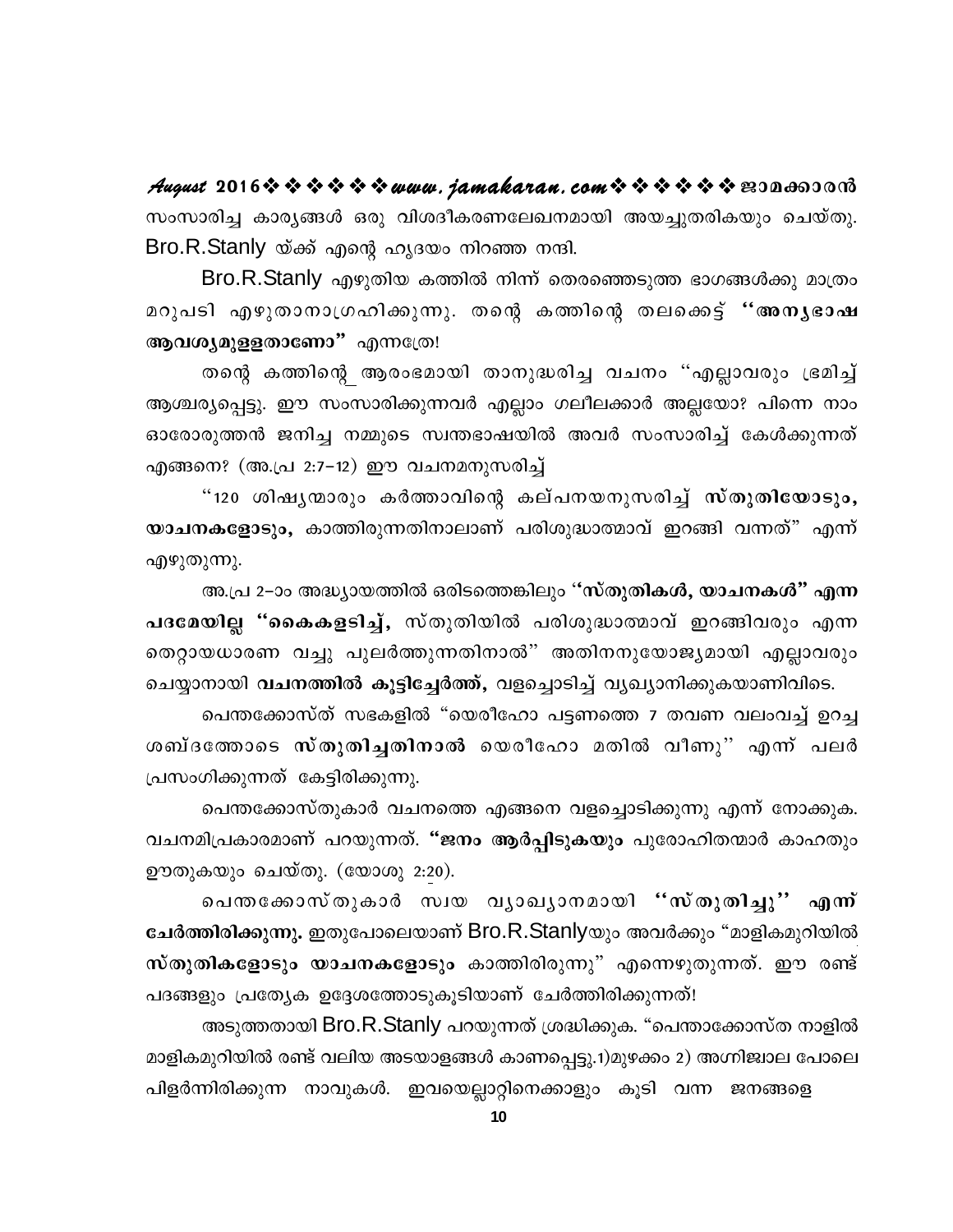$\mathcal{A}$ ugust 2016  $\rightsquigarrow$   $\rightsquigarrow$   $\rightsquigarrow$   $\rightsquigarrow$   $\mathcal{A}$ ugust 2016  $\rightsquigarrow$   $\rightsquigarrow$   $\rightsquigarrow$   $\rightsquigarrow$   $\rightsquigarrow$   $\rightsquigarrow$   $\rightsquigarrow$   $\rightsquigarrow$   $\rightsquigarrow$   $\rightsquigarrow$   $\rightsquigarrow$   $\rightsquigarrow$   $\rightsquigarrow$   $\rightsquigarrow$   $\rightsquigarrow$   $\rightsquigarrow$   $\rightsquigarrow$   $\rightsquigarrow$   $\rightsquigarrow$ സംസാരിച്ച കാര്യങ്ങൾ ഒരു വിശദീകരണലേഖനമായി അയച്ചുതരികയും ചെയ്തു. Bro.R.Stanly യ്ക്ക് എന്റെ ഹൃദയം നിറഞ്ഞ നന്ദി.

Bro.R.Stanly എഴുതിയ കത്തിൽ നിന്ന് തെരഞ്ഞെടുത്ത ഭാഗങ്ങൾക്കു മാത്രം മറുപടി എഴുതാനാഗ്രഹിക്കുന്നു. തന്റെ കത്തിന്റെ തലക്കെട്ട് "അനൃഭാഷ ആവശ്യമുളളതാണോ" എന്നത്രേ!

തന്റെ കത്തിന്റെ ആരംഭമായി താനുദ്ധരിച്ച വചനം "എല്ലാവരും ഭ്രമിച്ച് ആശ്ചര്യപ്പെട്ടു. ഈ സംസാരിക്കുന്നവർ എല്ലാം ഗലീലക്കാർ അല്ലയോ? പിന്നെ നാം ഓരോരുത്തൻ ജനിച്ച നമ്മുടെ സ്വന്തഭാഷയിൽ അവർ സംസാരിച്ച് കേൾക്കുന്നത് എങ്ങനെ? (അ.പ്ര 2:7–12) ഈ വചനമനുസരിച്ച്

"120 ശിഷൃന്മാരും കർത്താവിന്റെ കല്പനയനുസരിച്ച് സ്തുതിയോടും, യാചനകളോടും, കാത്തിരുന്നതിനാലാണ് പരിശുദ്ധാത്മാവ് ഇറങ്ങി വന്നത്" എന്ന് എഴുതുന്നു.

അ.പ്ര 2–ാം അദ്ധ്യായത്തിൽ ഒരിടത്തെങ്കിലും ''സ്തുതികൾ, യാചനകൾ" എന്ന പദമേയില്ല "കൈകളടിച്ച്, സ്തുതിയിൽ പരിശുദ്ധാത്മാവ് ഇറങ്ങിവരും എന്ന തെറ്റായധാരണ വച്ചു പുലർത്തുന്നതിനാൽ" അതിനനുയോജ്യമായി എല്ലാവരും ചെയ്യാനായി വചനത്തിൽ കൂട്ടിച്ചേർത്ത്, വളച്ചൊടിച്ച് വൃഖ്യാനിക്കുകയാണിവിടെ.

പെന്തക്കോസ്ത് സഭകളിൽ "യെരീഹോ പട്ടണത്തെ 7 തവണ വലംവച്ച് ഉറച്ച ശബ്ദത്തോടെ സ്തുതിച്ചതിനാൽ യെരീഹോ മതിൽ വീണു" എന്ന് പലർ പ്രസംഗിക്കുന്നത് കേട്ടിരിക്കുന്നു.

പെന്തക്കോസ്തുകാർ വചനത്തെ എങ്ങനെ വളച്ചൊടിക്കുന്നു എന്ന് നോക്കുക. വചനമിപ്രകാരമാണ് പറയുന്നത്. "ജനം ആർപ്പിടുകയും പുരോഹിതന്മാർ കാഹതും ഊതുകയും ചെയ്തു. (യോശു 2:20).

പെതക്കോസ്തുകാർ സ്വയ വ്യാഖ്യാനമായി ''സ്തുതിച്ചു'' എന്ന് ചേർത്തിരിക്കുന്നു. ഇതുപോലെയാണ് Bro.R.Stanlyയും അവർക്കും "മാളികമുറിയിൽ സ്തുതികളോടും യാചനകളോടും കാത്തിരിരുന്നു" എന്നെഴുതുന്നത്. ഈ രണ്ട് പദങ്ങളും പ്രത്യേക ഉദ്ദേശത്തോടുകൂടിയാണ് ചേർത്തിരിക്കുന്നത്!

അടുത്തതായി Bro.R.Stanly പറയുന്നത് ശ്രദ്ധിക്കുക. "പെന്താക്കോസ്ത നാളിൽ മാളികമുറിയിൽ രണ്ട് വലിയ അടയാളങ്ങൾ കാണപ്പെട്ടു.1)മുഴക്കം 2) അഗ്നിജ്വാല പോലെ പിളർന്നിരിക്കുന്ന നാവുകൾ. ഇവയെല്ലാറ്റിനെക്കാളും കൂടി വന്ന ജനങ്ങളെ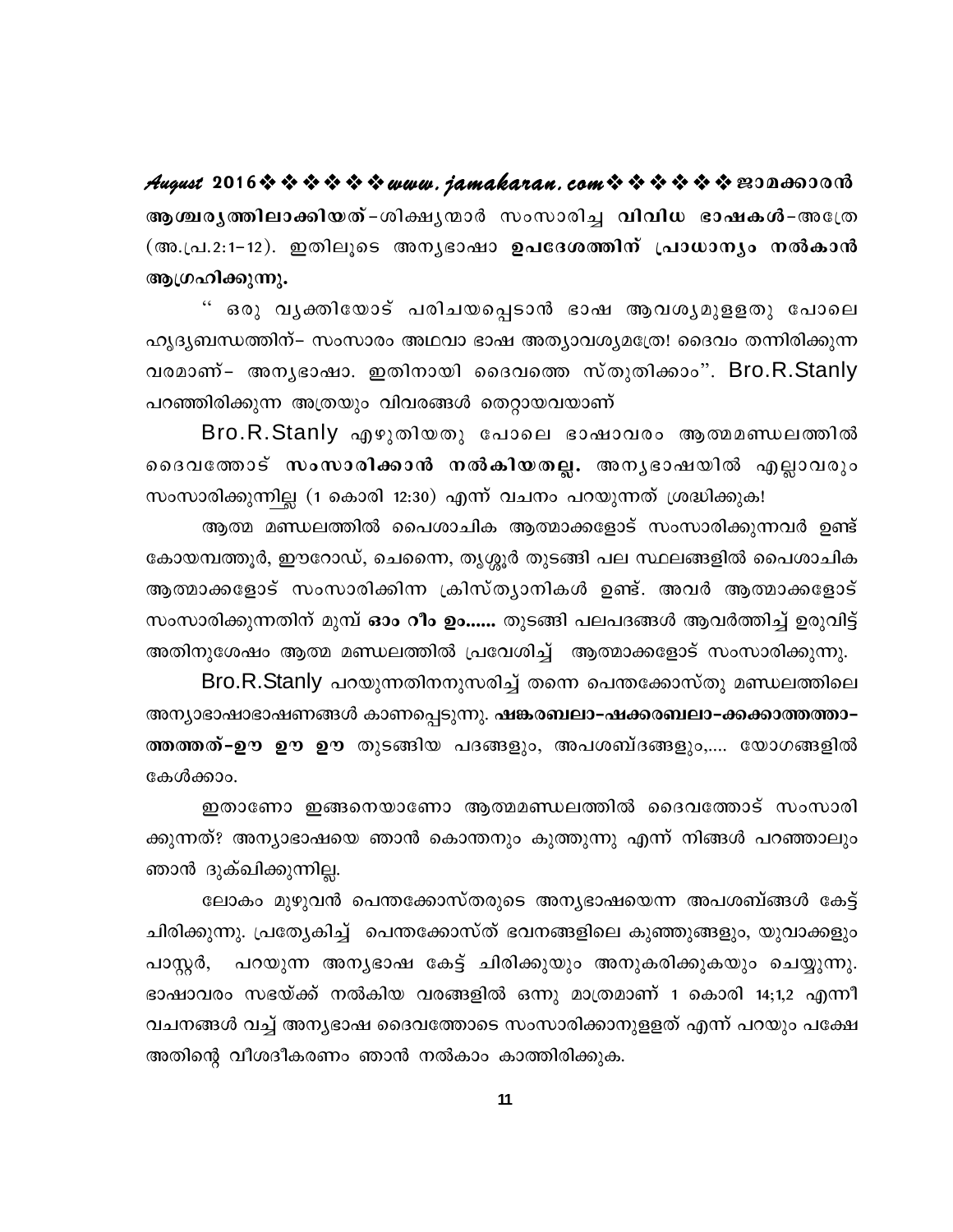August 2016 \* \* \* \* \* \* www.jamakaran.com \* \* \* \* \* \* \* 200600000 ആശ്ചരൃത്തിലാക്കിയത്-ശിക്ഷൃന്മാർ സംസാരിച്ച വിവിധ ഭാഷകൾ-അത്രേ (അ.പ്ര.2:1-12). ഇതിലൂടെ അനൃഭാഷാ ഉപദേശത്തിന് പ്രാധാനൃം നൽകാൻ ആഗ്രഹിക്കുന്നു.

" ഒരു വൃക്തിയോട് പരിചയപ്പെടാൻ ഭാഷ ആവശൃമുളളതു പോലെ ഹൃദൃബന്ധത്തിന്– സംസാരം അഥവാ ഭാഷ അത്യാവശ്യമത്രേ! ദൈവം തന്നിരിക്കുന്ന വരമാണ്– അനൃഭാഷാ. ഇതിനായി ദൈവത്തെ സ്തുതിക്കാം". Bro.R.Stanly പറഞ്ഞിരിക്കുന്ന അത്രയും വിവരങ്ങൾ തെറ്റായവയാണ്

Bro.R.Stanly എഴുതിയതു പോലെ ഭാഷാവരം ആത്മമണ്ഡലത്തിൽ ദൈവത്തോട് സംസാരിക്കാൻ നൽകിയതല്ല. അനൃഭാഷയിൽ എല്ലാവരും സംസാരിക്കുന്നില്ല (1 കൊരി 12:30) എന്ന് വചനം പറയുന്നത് ശ്രദ്ധിക്കുക!

ആത്മ മണ്ഡലത്തിൽ പൈശാചിക ആത്മാക്കളോട് സംസാരിക്കുന്നവർ ഉണ്ട് കോയമ്പത്തൂർ, ഈറോഡ്, ചെന്നൈ, തൃശ്ശൂർ തുടങ്ങി പല സ്ഥലങ്ങളിൽ പൈശാചിക ആത്മാക്കളോട് സംസാരിക്കിന്ന ക്രിസ്തൃാനികൾ ഉണ്ട്. അവർ ആത്മാക്കളോട് സംസാരിക്കുന്നതിന് മുമ്പ് **ഓം റീം ഉം……** തുടങ്ങി പലപദങ്ങൾ ആവർത്തിച്ച് ഉരുവിട്ട് അതിനുശേഷം ആത്മ മണ്ഡലത്തിൽ പ്രവേശിച്ച് ആത്മാക്കളോട് സംസാരിക്കുന്നു.

Bro.R.Stanly പറയുന്നതിനനുസരിച്ച് തന്നെ പെന്തക്കോസ്തു മണ്ഡലത്തിലെ അന്യാഭാഷാഭാഷണങ്ങൾ കാണപ്പെടുന്നു. <mark>ഷങ്കരബലാ-ഷക്കരബലാ-ക്കക്കാത്തത്താ-</mark> ത്തത്തത്-ഊ ഊ ഊ തുടങ്ങിയ പദങ്ങളും, അപശബ്ദങ്ങളും,.... യോഗങ്ങളിൽ കേൾക്കാം.

ഇതാണോ ഇങ്ങനെയാണോ ആത്മമണ്ഡലത്തിൽ ദൈവത്തോട് സംസാരി ക്കുന്നത്? അന്യാഭാഷയെ ഞാൻ കൊന്തനും കുത്തുന്നു എന്ന് നിങ്ങൾ പറഞ്ഞാലും ഞാൻ ദുക്ഖിക്കുന്നില്ല.

ലോകം മുഴുവൻ പെന്തക്കോസ്തരുടെ അന്യഭാഷയെന്ന അപശബ്ങ്ങൾ കേട്ട് ചിരിക്കുന്നു. പ്രത്യേകിച്ച് പെന്തക്കോസ്ത് ഭവനങ്ങളിലെ കുഞ്ഞുങ്ങളും, യുവാക്കളും പാസ്റ്റർ, പറയുന്ന അന്യഭാഷ കേട്ട് ചിരിക്കുയും അനുകരിക്കുകയും ചെയ്യുന്നു. ഭാഷാവരം സഭയ്ക്ക് നൽകിയ വരങ്ങളിൽ ഒന്നു മാത്രമാണ് 1 കൊരി 14;1,2 എന്നീ വചനങ്ങൾ വച്ച് അനൃഭാഷ ദൈവത്തോടെ സംസാരിക്കാനുളളത് എന്ന് പറയും പക്ഷേ അതിന്റെ വീശദീകരണം ഞാൻ നൽകാം കാത്തിരിക്കുക.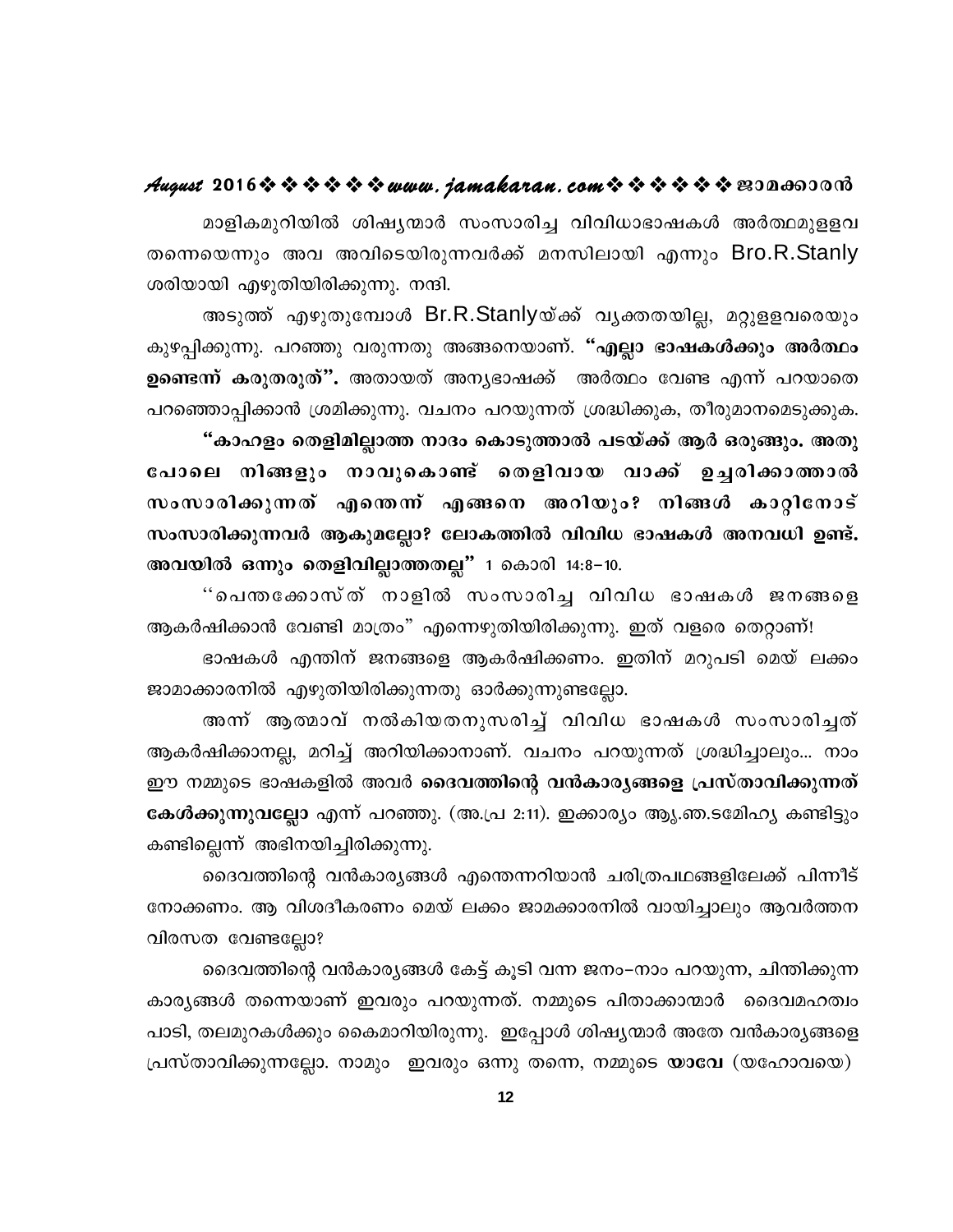#### August 2016 \* \* \* \* \* \* www.jamakaran.com \* \* \* \* \* \* E30a003003

മാളികമുറിയിൽ ശിഷ്യന്മാർ സംസാരിച്ച വിവിധാഭാഷകൾ അർത്ഥമുളളവ തന്നെയെന്നും അവ അവിടെയിരുന്നവർക്ക് മനസിലായി എന്നും Bro.R.Stanly ശരിയായി എഴുതിയിരിക്കുന്നു. നന്ദി.

അടുത്ത് എഴുതുമ്പോൾ Br.R.Stanlyയ്ക്ക് വൃക്തതയില്ല, മറ്റുളളവരെയും കുഴപ്പിക്കുന്നു. പറഞ്ഞു വരുന്നതു അങ്ങനെയാണ്. "എല്ലാ ഭാഷകൾക്കും അർത്ഥം ഉണ്ടെന്ന് കരുതരുത്". അതായത് അനൃഭാഷക്ക് അർത്ഥം വേണ്ട എന്ന് പറയാതെ പറഞ്ഞൊപ്പിക്കാൻ ശ്രമിക്കുന്നു. വചനം പറയുന്നത് ശ്രദ്ധിക്കുക, തീരുമാനമെടുക്കുക. "കാഹളം തെളിമില്ലാത്ത നാദം കൊടുത്താൽ പടയ്ക്ക് ആർ ഒരുങ്ങും. അതു പോലെ നിങ്ങളും നാവുകൊണ്ട് തെളിവായ വാക്ക് ഉച്ചരിക്കാത്താൽ സംസാരിക്കുന്നത് എന്തെന്ന് എങ്ങനെ അറിയും? നിങ്ങൾ കാറ്റിനോട് സംസാരിക്കുന്നവർ ആകുമല്ലോ? ലോകത്തിൽ വിവിധ ഭാഷകൾ അനവധി ഉണ്ട്. അവയിൽ ഒന്നും തെളിവില്ലാത്തതല്ല" 1 കൊരി 14:8-10.

"പെന്തക്കോസ്ത് നാളിൽ സംസാരിച്ച വിവിധ ഭാഷകൾ ജനങ്ങളെ ആകർഷിക്കാൻ വേണ്ടി മാത്രം" എന്നെഴുതിയിരിക്കുന്നു. ഇത് വളരെ തെറ്റാണ്! ഭാഷകൾ എന്തിന് ജനങ്ങളെ ആകർഷിക്കണം. ഇതിന് മറുപടി മെയ് ലക്കം

ജാമാക്കാരനിൽ എഴുതിയിരിക്കുന്നതു ഓർക്കുന്നുണ്ടല്ലോ.

അന്ന് ആത്മാവ് നൽകിയതനുസരിച്ച് വിവിധ ഭാഷകൾ സംസാരിച്ചത് ആകർഷിക്കാനല്ല, മറിച്ച് അറിയിക്കാനാണ്. വചനം പറയുന്നത് ശ്രദ്ധിച്ചാലും... നാം ഈ നമ്മുടെ ഭാഷകളിൽ അവർ ദൈവത്തിന്റെ വൻകാരൃങ്ങളെ പ്രസ്താവിക്കുന്നത് കേൾക്കുന്നുവല്ലോ എന്ന് പറഞ്ഞു. (അ.പ്ര 2:11). ഇക്കാര്യം ആൃ.ഞ.ടമ്പേഹ്യ കണ്ടിട്ടും കണ്ടില്ലെന്ന് അഭിനയിച്ചിരിക്കുന്നു.

ദൈവത്തിന്റെ വൻകാര്യങ്ങൾ എന്തെന്നറിയാൻ ചരിത്രപഥങ്ങളിലേക്ക് പിന്നീട് നോക്കണം. ആ വിശദീകരണം മെയ് ലക്കം ജാമക്കാരനിൽ വായിച്ചാലും ആവർത്തന വിരസത വേണ്ടല്ലോ?

ദൈവത്തിന്റെ വൻകാര്യങ്ങൾ കേട്ട് കൂടി വന്ന ജനം–നാം പറയുന്ന, ചിന്തിക്കുന്ന കാര്യങ്ങൾ തന്നെയാണ് ഇവരും പറയുന്നത്. നമ്മുടെ പിതാക്കാന്മാർ ദൈവമഹത്വം പാടി, തലമുറകൾക്കും കൈമാറിയിരുന്നു. ഇപ്പോൾ ശിഷ്യന്മാർ അതേ വൻകാര്യങ്ങളെ പ്രസ്താവിക്കുന്നല്ലോ. നാമും ഇവരും ഒന്നു തന്നെ, നമ്മുടെ **യാവേ** (യഹോവയെ)

 $12<sup>°</sup>$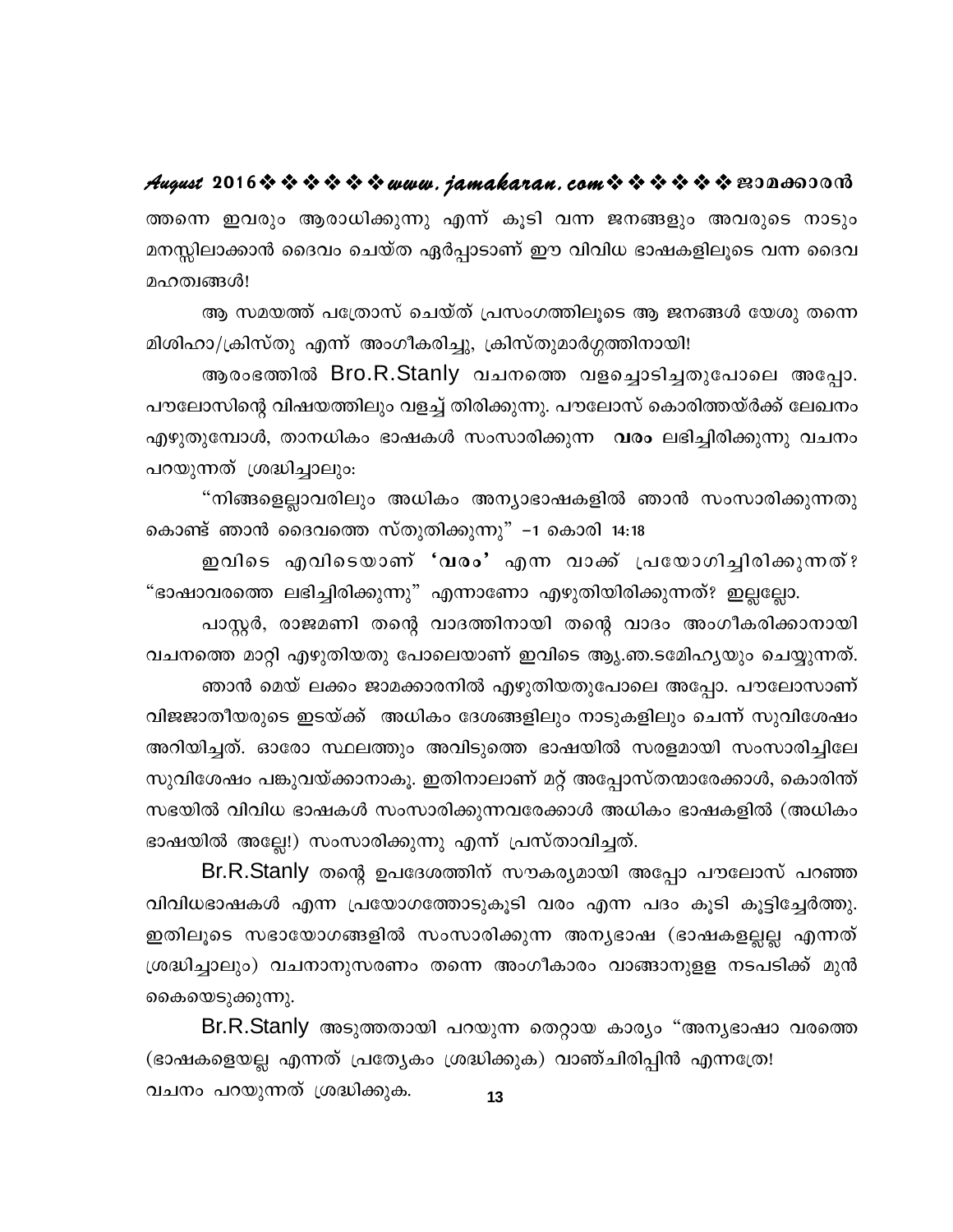August 2016 \* \* \* \* \* \* www.jamakaran.com \* \* \* \* \* \* E300003000 ത്തന്നെ ഇവരും ആരാധിക്കുന്നു എന്ന് കൂടി വന്ന ജനങ്ങളും അവരുടെ നാടും മനസ്സിലാക്കാൻ ദൈവം ചെയ്ത ഏർപ്പാടാണ് ഈ വിവിധ ഭാഷകളിലൂടെ വന്ന ദൈവ മഹത്വങ്ങൾ!

ആ സമയത്ത് പത്രോസ് ചെയ്ത് പ്രസംഗത്തിലൂടെ ആ ജനങ്ങൾ യേശു തന്നെ മിശിഹാ/ക്രിസ്തു എന്ന് അംഗീകരിച്ചു, ക്രിസ്തുമാർഗ്ഗത്തിനായി!

ആരംഭത്തിൽ Bro.R.Stanly വചനത്തെ വളച്ചൊടിച്ചതുപോലെ അപ്പോ. പൗലോസിന്റെ വിഷയത്തിലും വളച്ച് തിരിക്കുന്നു. പൗലോസ് കൊരിത്തയ്ർക്ക് ലേഖനം എഴുതുമ്പോൾ, താനധികം ഭാഷകൾ സംസാരിക്കുന്ന വരം ലഭിച്ചിരിക്കുന്നു വചനം പറയുന്നത് ശ്രദ്ധിച്ചാലും:

"നിങ്ങളെല്ലാവരിലും അധികം അന്യാഭാഷകളിൽ ഞാൻ സംസാരിക്കുന്നതു കൊണ്ട് ഞാൻ ദൈവത്തെ സ്തുതിക്കുന്നു" –1 കൊരി 14:18

ഇവിടെ എവിടെയാണ് 'വരം' എന്ന വാക്ക് പ്രയോഗിച്ചിരിക്കുന്നത്? "ഭാഷാവരത്തെ ലഭിച്ചിരിക്കുന്നു" എന്നാണോ എഴുതിയിരിക്കുന്നത്? ഇല്ലല്ലോ.

പാസ്റ്റർ, രാജമണി തന്റെ വാദത്തിനായി തന്റെ വാദം അംഗീകരിക്കാനായി വചനത്തെ മാറ്റി എഴുതിയതു പോലെയാണ് ഇവിടെ ആൃ.ഞ.ടമ്പേഹൃയും ചെയ്യുന്നത്. ഞാൻ മെയ് ലക്കം ജാമക്കാരനിൽ എഴുതിയതുപോലെ അപ്പോ. പൗലോസാണ് വിജജാതീയരുടെ ഇടയ്ക്ക് അധികം ദേശങ്ങളിലും നാടുകളിലും ചെന്ന് സുവിശേഷം അറിയിച്ചത്. ഓരോ സ്ഥലത്തും അവിടുത്തെ ഭാഷയിൽ സരളമായി സംസാരിച്ചിലേ സുവിശേഷം പങ്കുവയ്ക്കാനാകൂ. ഇതിനാലാണ് മറ്റ് അപ്പോസ്തന്മാരേക്കാൾ, കൊരിന്ത് സഭയിൽ വിവിധ ഭാഷകൾ സംസാരിക്കുന്നവരേക്കാൾ അധികം ഭാഷകളിൽ (അധികം ഭാഷയിൽ അല്ലേ!) സംസാരിക്കുന്നു എന്ന് പ്രസ്താവിച്ചത്.

Br.R.Stanly തന്റെ ഉപദേശത്തിന് സൗകര്യമായി അപ്പോ പൗലോസ് പറഞ്ഞ വിവിധഭാഷകൾ എന്ന പ്രയോഗത്തോടുകൂടി വരം എന്ന പദം കൂടി കൂട്ടിച്ചേർത്തു. ഇതിലൂടെ സഭായോഗങ്ങളിൽ സംസാരിക്കുന്ന അന്യഭാഷ (ഭാഷകളല്ലല്ല എന്നത് ശ്രദ്ധിച്ചാലും) വചനാനുസരണം തന്നെ അംഗീകാരം വാങ്ങാനുളള നടപടിക്ക് മുൻ കൈയെടുക്കുന്നു.

Br.R.Stanly അടുത്തതായി പറയുന്ന തെറ്റായ കാര്യം "അന്യഭാഷാ വരത്തെ (ഭാഷകളെയല്ല എന്നത് പ്രത്യേകം ശ്രദ്ധിക്കുക) വാഞ്ചിരിപ്പിൻ എന്നത്രേ! വചനം പറയുന്നത് ശ്രദ്ധിക്കുക.  $13$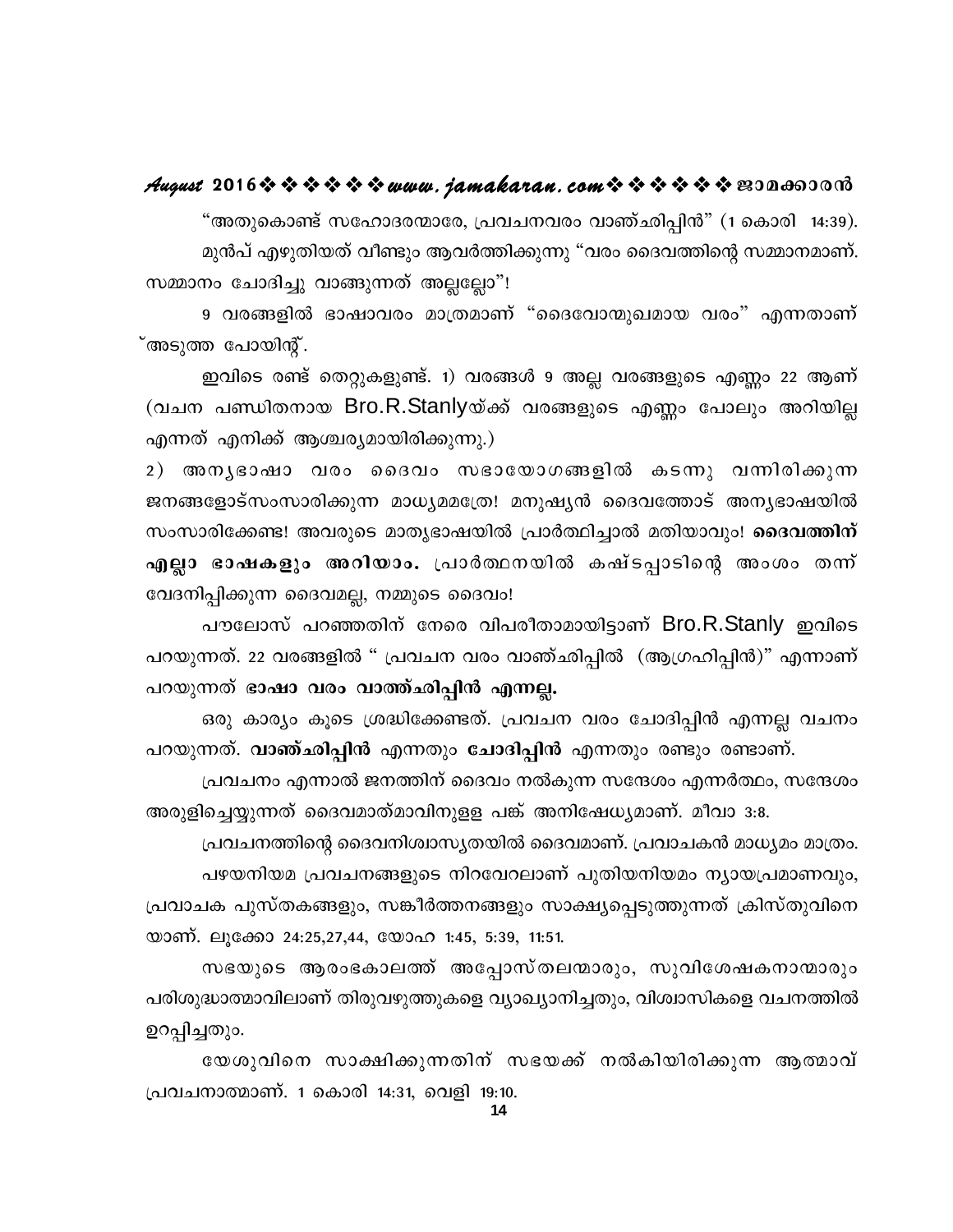#### August 2016 \* \* \* \* \* \* www.jamakaran.com \* \* \* \* \* \* E30a003003

"അതുകൊണ്ട് സഹോദരന്മാരേ, പ്രവചനവരം വാഞ്ഛിപ്പിൻ" (1 കൊരി -14:39). മുൻപ് എഴുതിയത് വീണ്ടും ആവർത്തിക്കുന്നു "വരം ദൈവത്തിന്റെ സമ്മാനമാണ്. സമ്മാനം ചോദിച്ചു വാങ്ങുന്നത് അല്ലല്ലോ"!

9 വരങ്ങളിൽ ഭാഷാവരം മാത്രമാണ് "ദൈവോന്മുഖമായ വരം" എന്നതാണ് ്അടുത്ത പോയിന്റ്.

ഇവിടെ രണ്ട് തെറ്റുകളുണ്ട്. 1) വരങ്ങൾ 9 അല്ല വരങ്ങളുടെ എണ്ണം 22 ആണ് (വചന പണ്ഡിതനായ Bro.R.Stanlyയ്ക്ക് വരങ്ങളുടെ എണ്ണം പോലും അറിയില്ല എന്നത് എനിക്ക് ആശ്ചര്യമായിരിക്കുന്നു.)

2) അനൃഭാഷാ വരം ദൈവം സഭായോഗങ്ങളിൽ കടന്നു വന്നിരിക്കുന്ന ജനങ്ങളോട്സംസാരിക്കുന്ന മാധ്യമമത്രേ! മനുഷ്യൻ ദൈവത്തോട് അന്യഭാഷയിൽ സംസാരിക്കേണ്ട! അവരുടെ മാതൃഭാഷയിൽ പ്രാർത്ഥിച്ചാൽ മതിയാവും! **ദൈവത്തിന്** എല്ലാ ഭാഷകളും അറിയാം. പ്രാർത്ഥനയിൽ കഷ്ടപ്പാടിന്റെ അംശം തന്ന് വേദനിപ്പിക്കുന്ന ദൈവമല്ല, നമ്മുടെ ദൈവം!

പൗലോസ് പറഞ്ഞതിന് നേരെ വിപരീതാമായിട്ടാണ് Bro.R.Stanly ഇവിടെ പറയുന്നത്. 22 വരങ്ങളിൽ " പ്രവചന വരം വാഞ്ഛിപ്പിൽ (ആഗ്രഹിപ്പിൻ)" എന്നാണ് പറയുന്നത് ഭാഷാ വരം വാത്ത്ഛിപ്പിൻ എന്നല്ല.

ഒരു കാര്യം കൂടെ ശ്രദ്ധിക്കേണ്ടത്. പ്രവചന വരം ചോദിപ്പിൻ എന്നല്ല വചനം പറയുന്നത്. വാഞ്ഛിപ്പിൻ എന്നതും ചോദിപ്പിൻ എന്നതും രണ്ടും രണ്ടാണ്.

പ്രവചനം എന്നാൽ ജനത്തിന് ദൈവം നൽകുന്ന സന്ദേശം എന്നർത്ഥം, സന്ദേശം അരുളിച്ചെയ്യുന്നത് ദൈവമാത്മാവിനുളള പങ്ക് അനിഷേധ്യമാണ്. മീവാ 3:8.

പ്രവചനത്തിന്റെ ദൈവനിശ്വാസൃതയിൽ ദൈവമാണ്. പ്രവാചകൻ മാധ്യമം മാത്രം. പഴയനിയമ പ്രവചനങ്ങളുടെ നിറവേറലാണ് പുതിയനിയമം ന്യായപ്രമാണവും, പ്രവാചക പുസ്തകങ്ങളും, സങ്കീർത്തനങ്ങളും സാക്ഷ്യപ്പെടുത്തുന്നത് ക്രിസ്തുവിനെ യാണ്. ലൂക്കോ 24:25,27,44, യോഹ 1:45, 5:39, 11:51.

സഭയുടെ ആരംഭകാലത്ത് അപ്പോസ്തലന്മാരും, സുവിശേഷകനാന്മാരും പരിശുദ്ധാത്മാവിലാണ് തിരുവഴുത്തുകളെ വ്യാഖ്യാനിച്ചതും, വിശ്വാസികളെ വചനത്തിൽ ഉറപ്പിച്ചതും.

യേശുവിനെ സാക്ഷിക്കുന്നതിന് സഭയക്ക് നൽകിയിരിക്കുന്ന ആത്മാവ് പ്രവചനാത്മാണ്. 1 കൊരി 14:31, വെളി 19:10.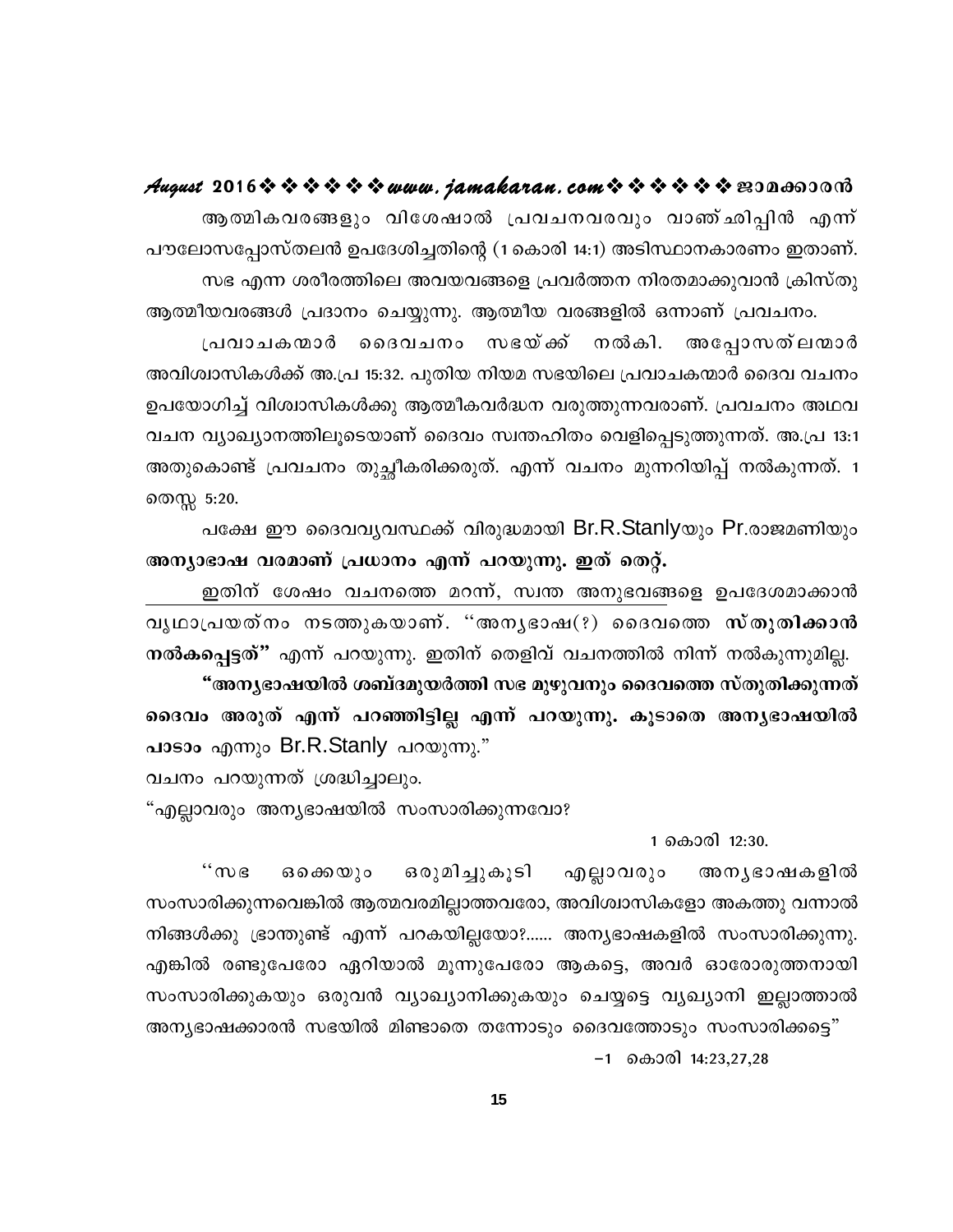August 2016 \* \* \* \* \* \* www.jamakaran.com \* \* \* \* \* \* \* E3Da603018

ആത്മികവരങ്ങളും വിശേഷാൽ പ്രവചനവരവും വാഞ്ഛിപ്പിൻ എന്ന് പൗലോസപ്പോസ്തലൻ ഉപദേശിച്ചതിന്റെ (1 കൊരി 14:1) അടിസ്ഥാനകാരണം ഇതാണ്. സഭ എന്ന ശരീരത്തിലെ അവയവങ്ങളെ പ്രവർത്തന നിരതമാക്കുവാൻ ക്രിസ്തു ആത്മീയവരങ്ങൾ പ്രദാനം ചെയ്യുന്നു. ആത്മീയ വരങ്ങളിൽ ഒന്നാണ് പ്രവചനം.

പ്രവാചകന്മാർ ദൈവചനം സഭയ്ക്ക് നൽകി. അപ്പോസത്ലന്മാർ അവിശ്വാസികൾക്ക് അ.പ്ര 15:32. പുതിയ നിയമ സഭയിലെ പ്രവാചകന്മാർ ദൈവ വചനം ഉപയോഗിച്ച് വിശ്വാസികൾക്കു ആത്മീകവർദ്ധന വരുത്തുന്നവരാണ്. പ്രവചനം അഥവ വചന വ്യാഖ്യാനത്തിലൂടെയാണ് ദൈവം സ്വന്തഹിതം വെളിപ്പെടുത്തുന്നത്. അ.പ്ര 13:1 അതുകൊണ്ട് പ്രവചനം തുച്ഛീകരിക്കരുത്. എന്ന് വചനം മുന്നറിയിപ്പ് നൽകുന്നത്. 1 തെസ്സ 5:20.

പക്ഷേ ഈ ദൈവവൃവസ്ഥക്ക് വിരുദ്ധമായി Br.R.Stanlyയും Pr.രാജമണിയും അന്യാഭാഷ വരമാണ് പ്രധാനം എന്ന് പറയുന്നു. ഇത് തെറ്റ്.

ഇതിന് ശേഷം വചനത്തെ മറന്ന്, സ്വന്ത അനുഭവങ്ങളെ ഉപദേശമാക്കാൻ വൃഥാപ്രയത്നം നടത്തുകയാണ്. "അനൃഭാഷ $(?)$  ദൈവത്തെ സ്തുതിക്കാൻ നൽകപ്പെട്ടത്" എന്ന് പറയുന്നു. ഇതിന് തെളിവ് വചനത്തിൽ നിന്ന് നൽകുന്നുമില്ല.

"അനൃഭാഷയിൽ ശബ്ദമുയർത്തി സഭ മുഴുവനും ദൈവത്തെ സ്തുതിക്കുന്നത് ദൈവം അരുത് എന്ന് പറഞ്ഞിട്ടില്ല എന്ന് പറയുന്നു. കൂടാതെ അനൃഭാഷയിൽ പാടാം എന്നും Br.R.Stanly പറയുന്നു."

വചനം പറയുന്നത് ശ്രദ്ധിച്ചാലും.

"എല്ലാവരും അന്യഭാഷയിൽ സംസാരിക്കുന്നവോ?

1 കൊരി 12:30.

 $\lq\lq m$ ഒരുമിച്ചുകൂടി ഒക്കെയും എല്ലാവരും അനൃഭാഷകളിൽ സംസാരിക്കുന്നവെങ്കിൽ ആത്മവരമില്ലാത്തവരോ, അവിശ്വാസികളോ അകത്തു വന്നാൽ നിങ്ങൾക്കു ഭ്രാന്തുണ്ട് എന്ന് പറകയില്ലയോ?...... അന്യഭാഷകളിൽ സംസാരിക്കുന്നു. എങ്കിൽ രണ്ടുപേരോ ഏറിയാൽ മൂന്നുപേരോ ആകട്ടെ, അവർ ഓരോരുത്തനായി സംസാരിക്കുകയും ഒരുവൻ വ്യാഖ്യാനിക്കുകയും ചെയ്യട്ടെ വ്യഖ്യാനി ഇല്ലാത്താൽ

അന്യഭാഷക്കാരൻ സഭയിൽ മിണ്ടാതെ തന്നോടും ദൈവത്തോടും സംസാരിക്കട്ടെ"

–1 കൊരി 14:23,27,28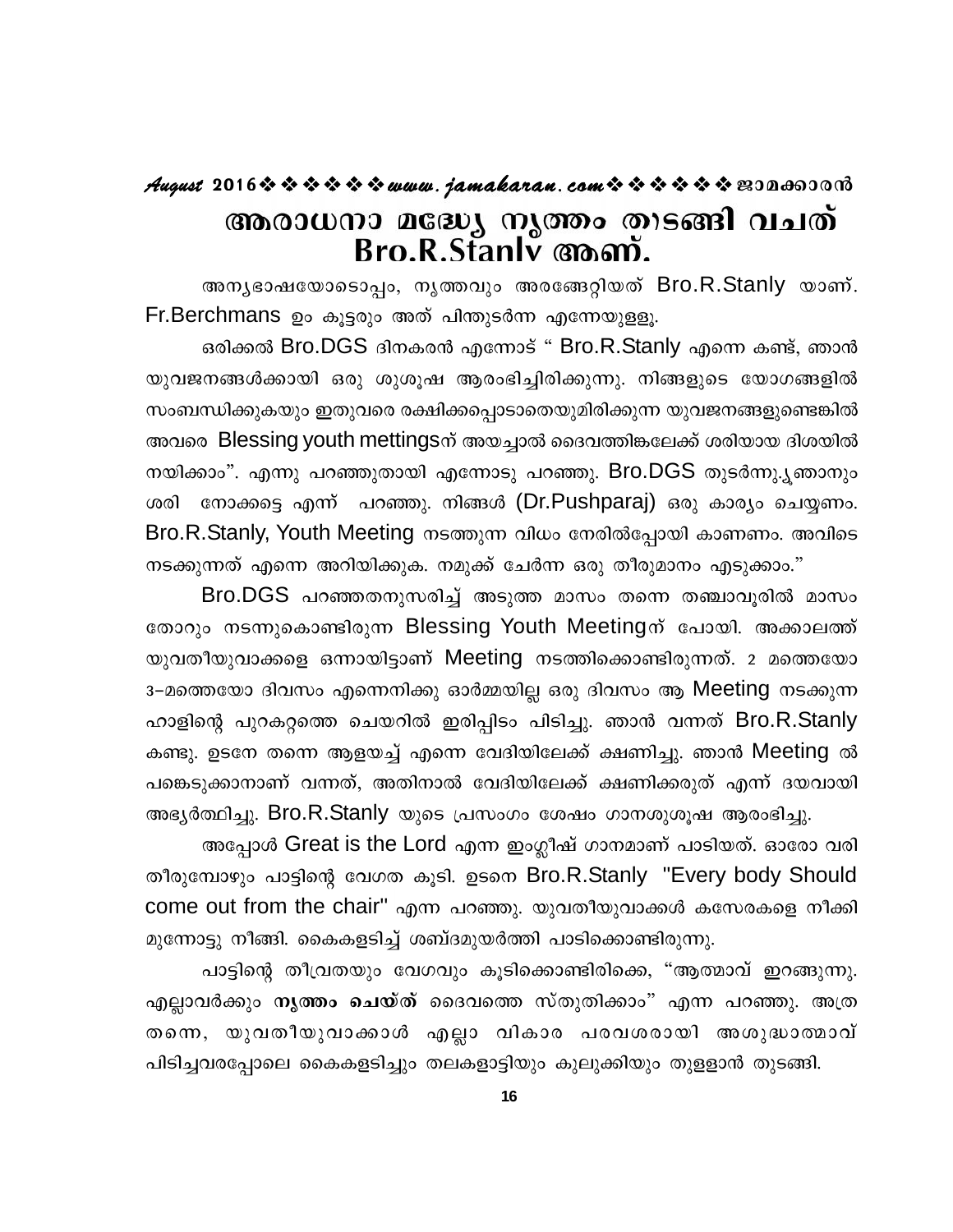### **August 2016www.jamakaran.comPma¡mc³** അരാധനാ മദ്ധ്യേ നൃത്തം തിടങ്ങി വചത്<br>Bro.R.Stanly അണ്.<br>അമൃഭാഷയോടൊപം, മൃത്തവും അരങ്ങേറ്റിയത് Bro.R.Stanly യാണ്.

 $Fr.Berchmans$  ഉം കൂട്ടരും അത് പിന്തുടർന്ന എന്നേയുളളൂ.

ഒരിക്കൽ Bro.DGS ദിനകരൻ എന്നോട് " Bro.R.Stanly എന്നെ കണ്ട്, ഞാൻ യുവജനങ്ങൾക്കായി ഒരു ശുശുഷ ആരംഭിച്ചിരിക്കുന്നു. നിങ്ങളുടെ യോഗങ്ങളിൽ സംബന്ധിക്കുകയും ഇതുവരെ രക്ഷിക്കപ്പൊടാതെയുമിരിക്കുന്ന യുവജനങ്ങളുണ്ടെങ്കിൽ അവരെ Blessing youth mettingsന് അയച്ചാൽ ദൈവത്തിങ്കലേക്ക് ശരിയായ ദിശയിൽ നയിക്കാം". എന്നു പറഞ്ഞുതായി എന്നോടു പറഞ്ഞു. Bro.DGS തുടർന്നു.ൃഞാനും ശരി നോക്കട്ടെ എന്ന് പറഞ്ഞു. നിങ്ങൾ (Dr.Pushparaj) ഒരു കാര്യം ചെയ്യണം. Bro.R.Stanly, Youth Meeting നടത്തുന്ന വിധം നേരിൽപ്പോയി കാണണം. അവിടെ നടക്കുന്നത് എന്നെ അറിയിക്കുക. നമുക്ക് ചേർന്ന ഒരു തീരുമാനം എടുക്കാം."

Bro.DGS പറഞ്ഞതനുസരിച്ച് അടുത്ത മാസം തന്നെ തഞ്ചാവൂരിൽ മാസം Bro.R.Stanly, Youth Meeting നടത്തുന്ന വിധം നേരിൽപ്പോയി കാണണം. അവിടെ<br>നടക്കുന്നത് എന്നെ അറിയിക്കുക. നമുക്ക് ചേർന്ന ഒരു തീരുമാനം എടുക്കാം."<br>Bro.DGS പറഞ്ഞതനുസരിച്ച് അടുത്ത മാസം തന്നെ തഞ്ചാവൂരിൽ മാസം<br>തോറും നടന്നുകൊണ്ടിരുന്ന Bl നടക്കുന്നത് എന്നെ അറിയിക്കുക. നമുക്ക് ചേർന്ന ഒരു തീരുമാനം എടുക്കാം."<br>Bro.DGS പറഞ്ഞതനുസരിച്ച് അടുത്ത മാസം തന്നെ തഞ്ചാവൂരിൽ മാസം<br>തോറും നടന്നുകൊണ്ടിരുന്ന Blessing Youth Meetingന് പോയി. അക്കാലത്ത്<br>യുവതീയുവാക്കളെ ഒന്നായിട്ടാണ് 3–മത്തെയോ ദിവസം എന്നെനിക്കു ഓർമ്മയില്ല ഒരു ദിവസം ആ Meeting നടക്കുന്ന തോറും നടന്നുകൊണ്ടിരുന്ന Blessing Youth Meetingന് പോയി. അക്കാലത്ത്<br>യുവതീയുവാക്കളെ ഒന്നായിട്ടാണ് Meeting നടത്തിക്കൊണ്ടിരുന്നത്. 2 മത്തെയോ<br>3-മത്തെയോ ദിവസം എന്നെനിക്കു ഓർമ്മയില്ല ഒരു ദിവസം ആ Meeting നടക്കുന്ന<br>ഹാളിന്റെ പുറകറ്റ കണ്ടു. ഉടനേ തന്നെ ആളയച്ച് എന്നെ വേദിയിലേക്ക് ക്ഷണിച്ചു. ഞാൻ Meeting ൽ പങ്കെടുക്കാനാണ് വന്നത്, അതിനാൽ വേദിയിലേക്ക് ക്ഷണിക്കരുത് എന്ന് ദയവായി അട്യർത്ഥിച്ചു. Bro.R.Stanly യുടെ പ്രസംഗം ശേഷം ഗാനശുശുഷ ആരംഭിച്ചു.

അപ്പോൾ Great is the Lord എന്ന ഇംഗ്ലീഷ് ഗാനമാണ് പാടിയത്. ഓരോ വരി തീരുമ്പോഴും പാട്ടിന്റെ വേഗത കൂടി. ഉടനെ Bro.R.Stanly "Every body Should<br>come out from the chair'' എന്ന പറഞ്ഞു. യുവതീയുവാക്കൾ കസേരകളെ നീക്കി<br>മുന്നോട്ടു നീങ്ങി. കൈകളടിച്ച് ശബ്ദമുയർത്തി പാടിക്കൊണ്ടിരുന്നു.<br>എല്ലാവർക്കും നൃത്ത come out from the chair'' എന്ന പറഞ്ഞു. യുവതീയുവാക്കൾ കസേരകളെ നീക്കി മുന്നോട്ടു നീങ്ങി. കൈകളടിച്ച് ശബ്ദമുയർത്തി പാടിക്കൊണ്ടിരുന്നു.

come out from the chair" എന്ന പറഞ്ഞു. യുവതീയുവാക്കൾ കസേരകളെ നീക്കി<br>മുന്നോട്ടു നീങ്ങി. കൈകളടിച്ച് ശബ്ദമുയർത്തി പാടിക്കൊണ്ടിരുന്നു.<br>പാട്ടിന്റെ തീവ്രതയും വേഗവും കൂടിക്കൊണ്ടിരിക്കെ, "ആത്മാവ് ഇറങ്ങുന്നു.<br>എല്ലാവർക്കും <mark>നൃത്തം ച</mark> മുന്നോട്ടു നീങ്ങി. കൈകളടിച്ച് ശബ്ദമുയർത്തി പാടിക്കൊണ്ടിരുന്നു.<br>പാട്ടിന്റെ തീവ്രതയും വേഗവും കൂടിക്കൊണ്ടിരിക്കെ, "ആത്മാവ് ഇറങ്ങുന്നു.<br>എല്ലാവർക്കും <mark>നൃത്തം ചെയ്ത്</mark> ദൈവത്തെ സ്തുതിക്കാം" എന്ന പറഞ്ഞു. അത്ര<br>തന്നെ, യുവതീയുവാക്കാൾ പിടിച്ചവരപ്പോലെ കൈകളടിച്ചും തലകളാട്ടിയും കുലുക്കിയും തുളളാൻ തുടങ്ങി.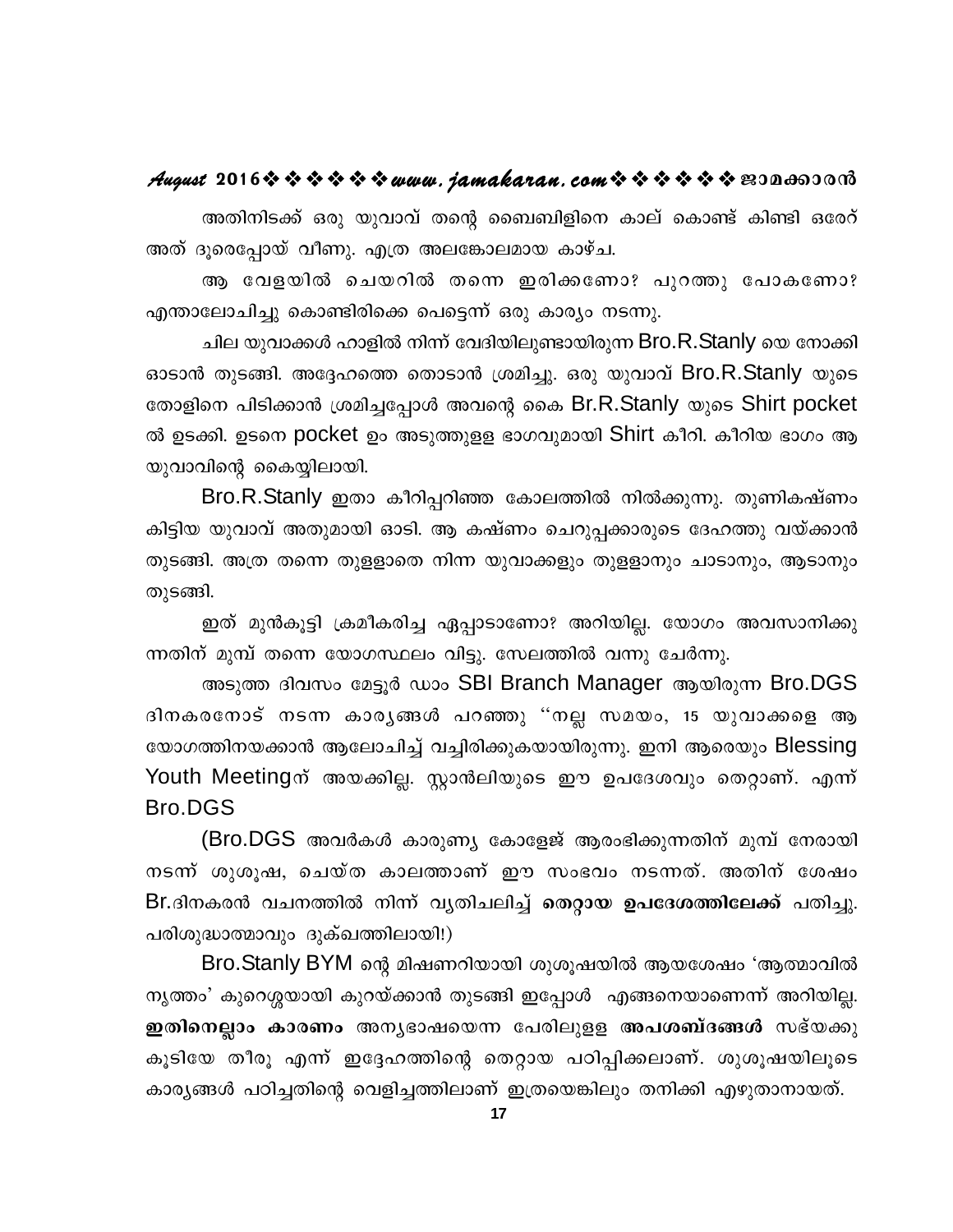#### August 2016 \* \* \* \* \* \* www.jamakaran.com \* \* \* \* \* \* E30a003000

അതിനിടക്ക് ഒരു യുവാവ് തന്റെ ബൈബിളിനെ കാല് കൊണ്ട് കിണ്ടി ഒരേറ് അത് ദൂരെപ്പോയ് വീണു. എത്ര അലങ്കോലമായ കാഴ്ച.

ആ വേളയിൽ ചെയറിൽ തന്നെ ഇരിക്കണോ? പുറത്തു പോകണോ? എന്താലോചിച്ചു കൊണ്ടിരിക്കെ പെട്ടെന്ന് ഒരു കാര്യം നടന്നു.

ചില യുവാക്കൾ ഹാളിൽ നിന്ന് വേദിയിലുണ്ടായിരുന്ന Bro.R.Stanly യെ നോക്കി ഓടാൻ തുടങ്ങി. അദ്ദേഹത്തെ തൊടാൻ ശ്രമിച്ചു. ഒരു യുവാവ് Bro.R.Stanly യുടെ തോളിനെ പിടിക്കാൻ ശ്രമിച്ചപ്പോൾ അവന്റെ കൈ Br.R.Stanly യുടെ Shirt pocket ൽ ഉടക്കി. ഉടനെ pocket ഉം അടുത്തുളള ഭാഗവുമായി Shirt കീറി. കീറിയ ഭാഗം ആ യുവാവിന്റെ കൈയ്യിലായി.

Bro.R.Stanly ഇതാ കീറിപ്പറിഞ്ഞ കോലത്തിൽ നിൽക്കുന്നു. തുണികഷ്ണം കിട്ടിയ യുവാവ് അതുമായി ഓടി. ആ കഷ്ണം ചെറുപ്പക്കാരുടെ ദേഹത്തു വയ്ക്കാൻ തുടങ്ങി. അത്ര തന്നെ തുളളാതെ നിന്ന യുവാക്കളും തുളളാനും ചാടാനും, ആടാനും തുടങ്ങി.

ഇത് മുൻകൂട്ടി ക്രമീകരിച്ച ഏപ്പാടാണോ? അറിയില്ല. യോഗം അവസാനിക്കു ന്നതിന് മുമ്പ് തന്നെ യോഗസ്ഥലം വിട്ടു. സേലത്തിൽ വന്നു ചേർന്നു.

അടുത്ത ദിവസം മേട്ടൂർ ഡാം SBI Branch Manager ആയിരുന്ന Bro.DGS ദിനകരനോട് നടന്ന കാരൃങ്ങൾ പറഞ്ഞു ''നല്ല സമയം, 15 യുവാക്കളെ ആ യോഗത്തിനയക്കാൻ ആലോചിച്ച് വച്ചിരിക്കുകയായിരുന്നു. ഇനി ആരെയും Blessing Youth Meetingന് അയക്കില്ല. സ്റ്റാൻലിയുടെ ഈ ഉപദേശവും തെറ്റാണ്. എന്ന് **Bro.DGS** 

(Bro.DGS അവർകൾ കാരുണ്യ കോളേജ് ആരംഭിക്കുന്നതിന് മുമ്പ് നേരായി നടന്ന് ശുശൂഷ, ചെയ്ത കാലത്താണ് ഈ സംഭവം നടന്നത്. അതിന് ശേഷം Br.ദിനകരൻ വചനത്തിൽ നിന്ന് വൃതിചലിച്ച് തെറ്റായ ഉപദേശത്തിലേക്ക് പതിച്ചു. പരിശുദ്ധാത്മാവും ദുക്ഖത്തിലായി!)

Bro.Stanly BYM ന്റെ മിഷണറിയായി ശുശൂഷയിൽ ആയശേഷം 'ആത്മാവിൽ നൃത്തം' കുറെശ്ശയായി കുറയ്ക്കാൻ തുടങ്ങി ഇപ്പോൾ എങ്ങനെയാണെന്ന് അറിയില്ല. ഇതിനെല്ലാം കാരണം അനൃഭാഷയെന്ന പേരിലുളള അപശബ്ദങ്ങൾ സഭ്യക്കു കൂടിയേ തീരൂ എന്ന് ഇദ്ദേഹത്തിന്റെ തെറ്റായ പഠിപ്പിക്കലാണ്. ശുശൂഷയിലൂടെ കാര്യങ്ങൾ പഠിച്ചതിന്റെ വെളിച്ചത്തിലാണ് ഇത്രയെങ്കിലും തനിക്കി എഴുതാനായത്.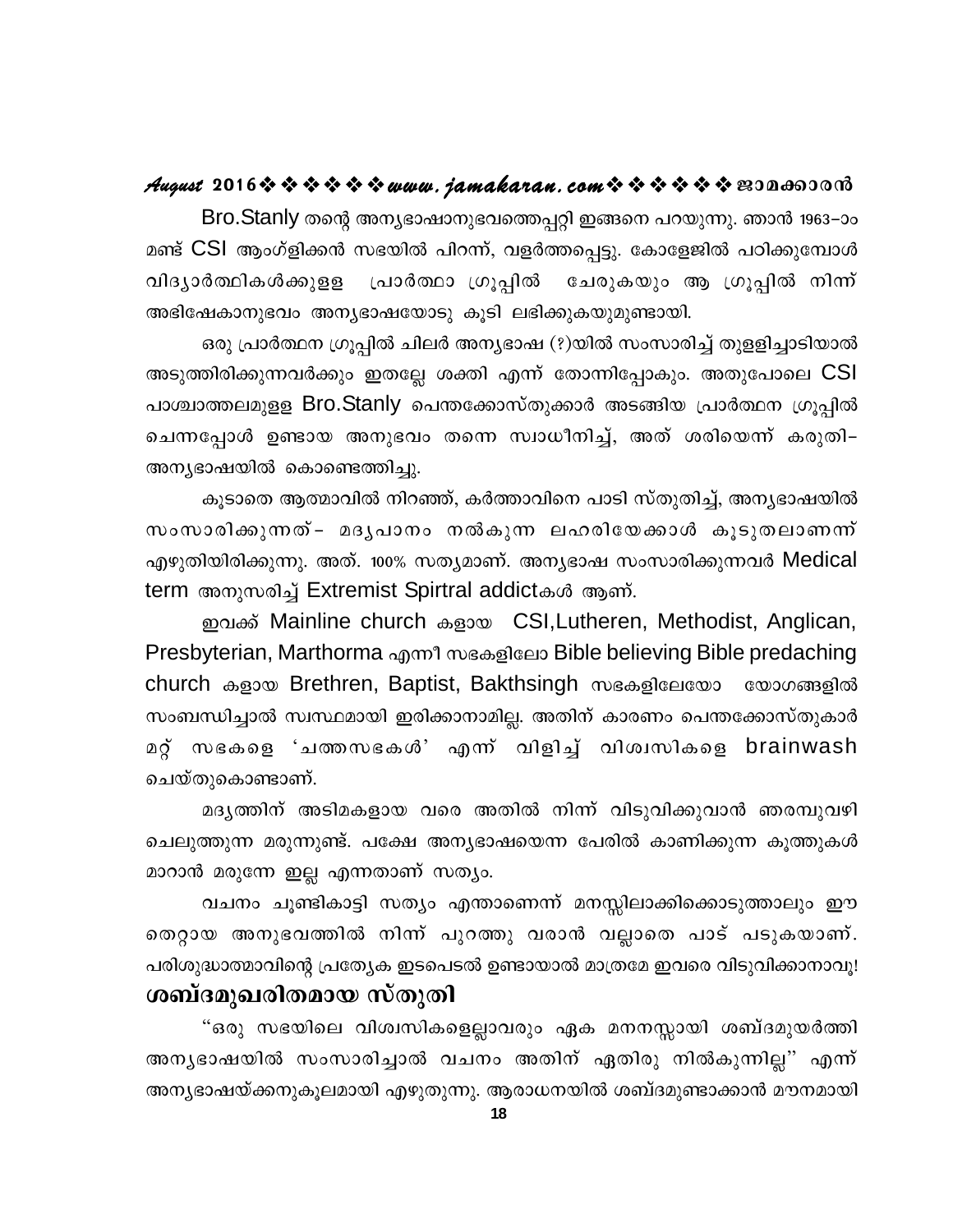#### **August 2016www.jamakaran.comPma¡mc³**

Bro.Stanly തന്റെ അന്യഭാഷാനുഭവത്തെപ്പറ്റി ഇങ്ങനെ പറയുന്നു. ഞാൻ 1963–ാം മണ്ട് CSI ആംഗ്ളിക്കൻ സഭയിൽ പിറന്ന്, വളർത്തപ്പെട്ടു. കോളേജിൽ പഠിക്കുമ്പോൾ hnZymÀ°nIÄ¡pff {]mÀ°m {Kq¸n tNcpIbpw B {Kq¸n \n¶ v അഭിഷേകാനുഭവം അന്യഭാഷയോടു കൂടി ലഭിക്കുകയുമുണ്ടായി.

ഒരു പ്രാർത്ഥന ഗ്രൂപ്പിൽ ചിലർ അന്യഭാഷ (?)യിൽ സംസാരിച്ച് തുളളിച്ചാടിയാൽ അടുത്തിരിക്കുന്നവർക്കും ഇതല്ലേ ശക്തി എന്ന് തോന്നിപ്പോകും. അതുപോലെ CSI പാശ്ചാത്തലമുളള Bro.Stanly പെന്തക്കോസ്തുക്കാർ അടങ്ങിയ പ്രാർത്ഥന ഗ്രൂപ്പിൽ ഒരു പ്രാർത്ഥന ഗ്രൂപ്പിൽ ചിലർ അന്യഭാഷ (?)യിൽ സംസാരിച്ച് തുളളിച്ചാടിയാൽ<br>അടുത്തിരിക്കുന്നവർക്കും ഇതല്ലേ ശക്തി എന്ന് തോന്നിപ്പോകും. അതുപോലെ CSI<br>പാശ്ചാത്തലമുളള Bro.Stanly പെന്തക്കോസ്തുക്കാർ അടങ്ങിയ പ്രാർത്ഥന ഗ്രൂപ്പിൽ അന്യഭാഷയിൽ കൊണ്ടെത്തിച്ചു.

കുടാതെ ആത്മാവിൽ നിറഞ്ഞ്, കർത്താവിനെ പാടി സ്തുതിച്ച്, അനൃഭാഷയിൽ ചെന്നപ്പോൾ ഉണ്ടായ അനുഭവം തന്നെ സ്വാധീനിച്ച്, അത് ശരിയെന്ന് കരുതി–<br>അന്യഭാഷയിൽ കൊണ്ടെത്തിച്ചു.<br>കൂടാതെ ആത്മാവിൽ നിറഞ്ഞ്, കർത്താവിനെ പാടി സ്തുതിച്ച്, അന്യഭാഷയിൽ<br>സംസാരിക്കുന്നു. അത്. 100% സത്യമാണ്. അന്യഭാഷ സംസാരിക്കുന്നവർ Medi എഴുതിയിരിക്കുന്നു. അത്. 100% സത്യമാണ്. അന്യഭാഷ സംസാരിക്കുന്നവർ Medical term അനുസരിച്ച് Extremist Spirtral addictകൾ ആണ്.

ഇവക്ക് Mainline church കളായ CSI,Lutheren, Methodist, Anglican, Presbyterian, Marthorma എന്നീ സഭകളിലോ Bible believing Bible predaching church കളായ Brethren, Baptist, Bakthsingh സഭകളിലേയോ യോഗങ്ങളിൽ സംബന്ധിച്ചാൽ സ്വസ്ഥമായി ഇരിക്കാനാമില്ല. അതിന് കാരണം പെന്തക്കോസ്തുകാർ Presbyterian, Marthorma എന്നീ സഭകളിലോ Bible believing Bible predaching<br>church കളായ Brethren, Baptist, Bakthsingh സഭകളിലേയോ യോഗങ്ങളിൽ<br>സംബന്ധിച്ചാൽ സ്ഥ്രമായി ഇരിക്കാനാമില്ല. അതിന് കാരണം പെന്തക്കോസ്തുകാർ<br>മറ്റ് സഭകളെ church കളായ Brethren<br>സംബന്ധിച്ചാൽ സ്ഥസ്ഥമാര<br>മറ്റ് സഭകളെ 'ചത്തസ<br>ചെയ്തുകൊണ്ടാണ്.<br>മദ്യത്തിന് അടിമകള ന്ധിച്ചാൽ സ്വസ്ഥമായി ഇരിക്കാനാമില്ല. അതിന് കാരണം പെന്തക്കോസ്തുകാർ<br>സഭകളെ 'ചത്തസഭകൾ' എന്ന് വിളിച്ച് വിശ്വസികളെ brainwash<br>മദൃത്തിന് അടിമകളായ വരെ അതിൽ നിന്ന് വിടുവിക്കുവാൻ ഞരമ്പുവഴി<br>ഞുന്ന മരുന്നുണ്ട്. പക്ഷേ അനൃഭാഷയെന്ന പേരിൽ

ചെലുത്തുന്ന മരുന്നുണ്ട്. പക്ഷേ അന്യഭാഷയെന്ന പേരിൽ കാണിക്കുന്ന കൂത്തുകൾ മാറാൻ മരുന്നേ ഇല്ല എന്നതാണ് സത്യം. മദൃത്തിന് അടിമകളായ വരെ അതിൽ നിന്ന് വിടുവിക്കുവാൻ ഞരമ്പുവഴി<br>ഞുന്ന മരുന്നുണ്ട്. പക്ഷേ അനൃഭാഷയെന്ന പേരിൽ കാണിക്കുന്ന കൂത്തുകൾ<br>) മരുന്നേ ഇല്ല എന്നതാണ് സത്യം.<br>വചനം ചൂണ്ടികാട്ടി സത്യം എന്താണെന്ന് മനസ്സിലാക്കിക്കൊടുത്താലും ഈ<br>യ അ

ചെലുത്തുന്ന മരുന്നുണ്ട്. പക്ഷേ അന്യഭാഷയെന്ന പേരിൽ കാണിക്കുന്ന കൂത്തുകൾ<br>മാറാൻ മരുന്നേ ഇല്ല എന്നതാണ് സത്യം.<br>വചനം ചൂണ്ടികാട്ടി സത്യം എന്താണെന്ന് മനസ്സിലാക്കിക്കൊടുത്താലും ഈ<br>തെറ്റായ അനുഭവത്തിൽ നിന്ന് പുറത്തു വരാൻ വല്ലാതെ പാട് പരിശുദ്ധാത്മാവിന്റെ പ്രത്യേക ഇടപെടൽ ഉണ്ടായാൽ മാത്രമേ ഇവരെ വിടുവിക്കാനാവൂ! <u>ശബ്ദമുഖരിതമായ സ്തുതി</u> തെറ്റായ അനുഭവത്തിൽ നിന്ന് പുറത്തു വരാൻ വല്ലാതെ പാട് പടുകയാണ്.<br>പരിശുദ്ധാത്മാവിന്റെ പ്രത്യേക ഇടപെടൽ ഉണ്ടായാൽ മാത്രമേ ഇവരെ വിടുവിക്കാനാവൂ!<br>ശ**ബ്ദമുഖരിതമായ സ്തുതി**<br>"ഒരു സഭയിലെ വിശ്വസികളെല്ലാവരും ഏക മനനസ്സായി ശബ്ദമുയർത്തി<br>അന്യഭ

പരിശുദ്ധാത്മാവിന്റെ പ്രത്യേക ഇചൈടൽ ഉണ്ടായാൽ മാത്രമേ ഇവരെ വിടുവിക്കാനാവൂ!<br>ശ**ബ്ദമുഖരിതമായ സ്തുതി**<br>"ഒരു സഭയിലെ വിശ്വസികളെല്ലാവരും ഏക മനനസ്സായി ശബ്ദമുയർത്തി<br>അന്യഭാഷയിൽ സംസാരിച്ചാൽ വചനം അതിന് ഏതിരു നിൽകുന്നില്ല" എന് അന്യഭാഷയ്ക്കനുകൂലമായി എഴുതുന്നു. ആരാധനയിൽ ശബ്ദമുണ്ടാക്കാൻ മൗനമായി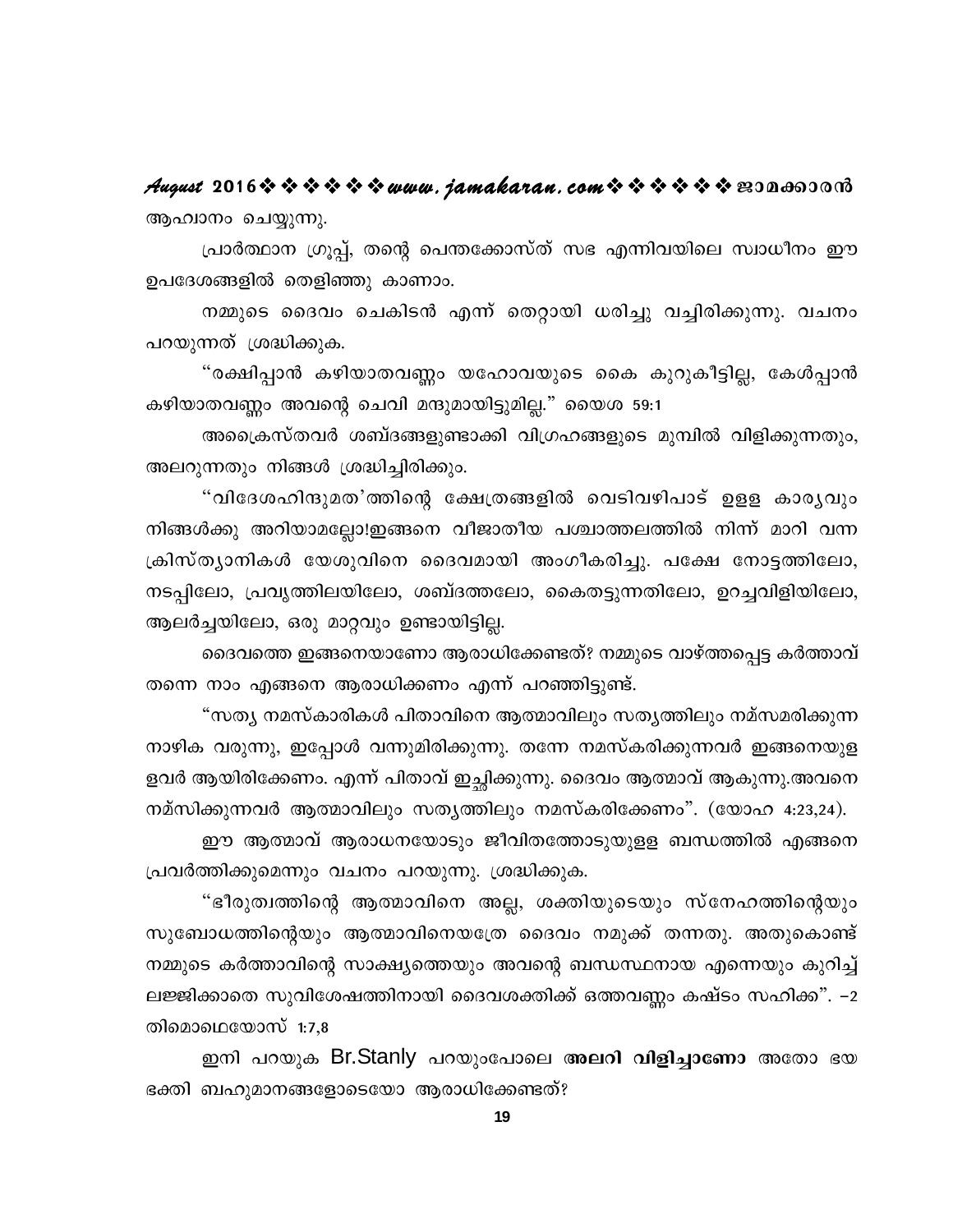August 2016 \* \* \* \* \* \* www.jamakaran.com \* \* \* \* \* \* \* E30000000 ആഹ്വാനം ചെയ്യുന്നു.

പ്രാർത്ഥാന ഗ്രൂപ്പ്, തന്റെ പെന്തക്കോസ്ത് സഭ എന്നിവയിലെ സ്വാധീനം ഈ ഉപദേശങ്ങളിൽ തെളിഞ്ഞു കാണാം.

നമ്മുടെ ദൈവം ചെകിടൻ എന്ന് തെറ്റായി ധരിച്ചു വച്ചിരിക്കുന്നു. വചനം പറയുന്നത് ശ്രദ്ധിക്കുക.

"രക്ഷിപ്പാൻ കഴിയാതവണ്ണം യഹോവയുടെ കൈ കുറുകീട്ടില്ല, കേൾപ്പാൻ കഴിയാതവണ്ണം അവന്റെ ചെവി മന്ദുമായിട്ടുമില്ല." യൈശ 59:1

അപ്രൈസ്തവർ ശബ്ദങ്ങളുണ്ടാക്കി വിഗ്രഹങ്ങളുടെ മുമ്പിൽ വിളിക്കുന്നതും, അലറുന്നതും നിങ്ങൾ ശ്രദ്ധിച്ചിരിക്കും.

"വിദേശഹിന്ദുമത'ത്തിന്റെ ക്ഷേത്രങ്ങളിൽ വെടിവഴിപാട് ഉളള കാരൃവും നിങ്ങൾക്കു അറിയാമല്ലോ!ഇങ്ങനെ വീജാതീയ പശ്ചാത്തലത്തിൽ നിന്ന് മാറി വന്ന ക്രിസ്ത്യാനികൾ യേശുവിനെ ദൈവമായി അംഗീകരിച്ചു. പക്ഷേ നോട്ടത്തിലോ, നടപ്പിലോ, പ്രവൃത്തിലയിലോ, ശബ്ദത്തലോ, കൈതട്ടുന്നതിലോ, ഉറച്ചവിളിയിലോ, ആലർച്ചയിലോ, ഒരു മാറ്റവും ഉണ്ടായിട്ടില്ല.

ദൈവത്തെ ഇങ്ങനെയാണോ ആരാധിക്കേണ്ടത്? നമ്മുടെ വാഴ്ത്തപ്പെട്ട കർത്താവ് തന്നെ നാം എങ്ങനെ ആരാധിക്കണം എന്ന് പറഞ്ഞിട്ടുണ്ട്.

"സത്യ നമസ്കാരികൾ പിതാവിനെ ആത്മാവിലും സത്യത്തിലും നമ്സമരിക്കുന്ന നാഴിക വരുന്നു, ഇപ്പോൾ വന്നുമിരിക്കുന്നു. തന്നേ നമസ്കരിക്കുന്നവർ ഇങ്ങനെയുള ളവർ ആയിരിക്കേണം. എന്ന് പിതാവ് ഇച്ഛിക്കുന്നു. ദൈവം ആത്മാവ് ആകുന്നു.അവനെ നമ്സിക്കുന്നവർ ആത്മാവിലും സത്യത്തിലും നമസ്കരിക്കേണം". (യോഹ 4:23,24).

ഈ ആത്മാവ് ആരാധനയോടും ജീവിതത്തോടുയുളള ബന്ധത്തിൽ എങ്ങനെ പ്രവർത്തിക്കുമെന്നും വചനം പറയുന്നു. ശ്രദ്ധിക്കുക.

"ഭീരുത്വത്തിന്റെ ആത്മാവിനെ അല്ല, ശക്തിയുടെയും സ്നേഹത്തിന്റെയും സുബോധത്തിന്റെയും ആത്മാവിനെയത്രേ ദൈവം നമുക്ക് തന്നതു. അതുകൊണ്ട് നമ്മുടെ കർത്താവിന്റെ സാക്ഷ്യത്തെയും അവന്റെ ബന്ധസ്ഥനായ എന്നെയും കുറിച്ച് ലജ്ജിക്കാതെ സുവിശേഷത്തിനായി ദൈവശക്തിക്ക് ഒത്തവണ്ണം കഷ്ടം സഹിക്ക". –2 തിമൊഥെയോസ് 1:7,8

ഇനി പറയുക Br.Stanly പറയുംപോലെ അലറി വിളിച്ചാണോ അതോ ഭയ ഭക്തി ബഹുമാനങ്ങളോടെയോ ആരാധിക്കേണ്ടത്?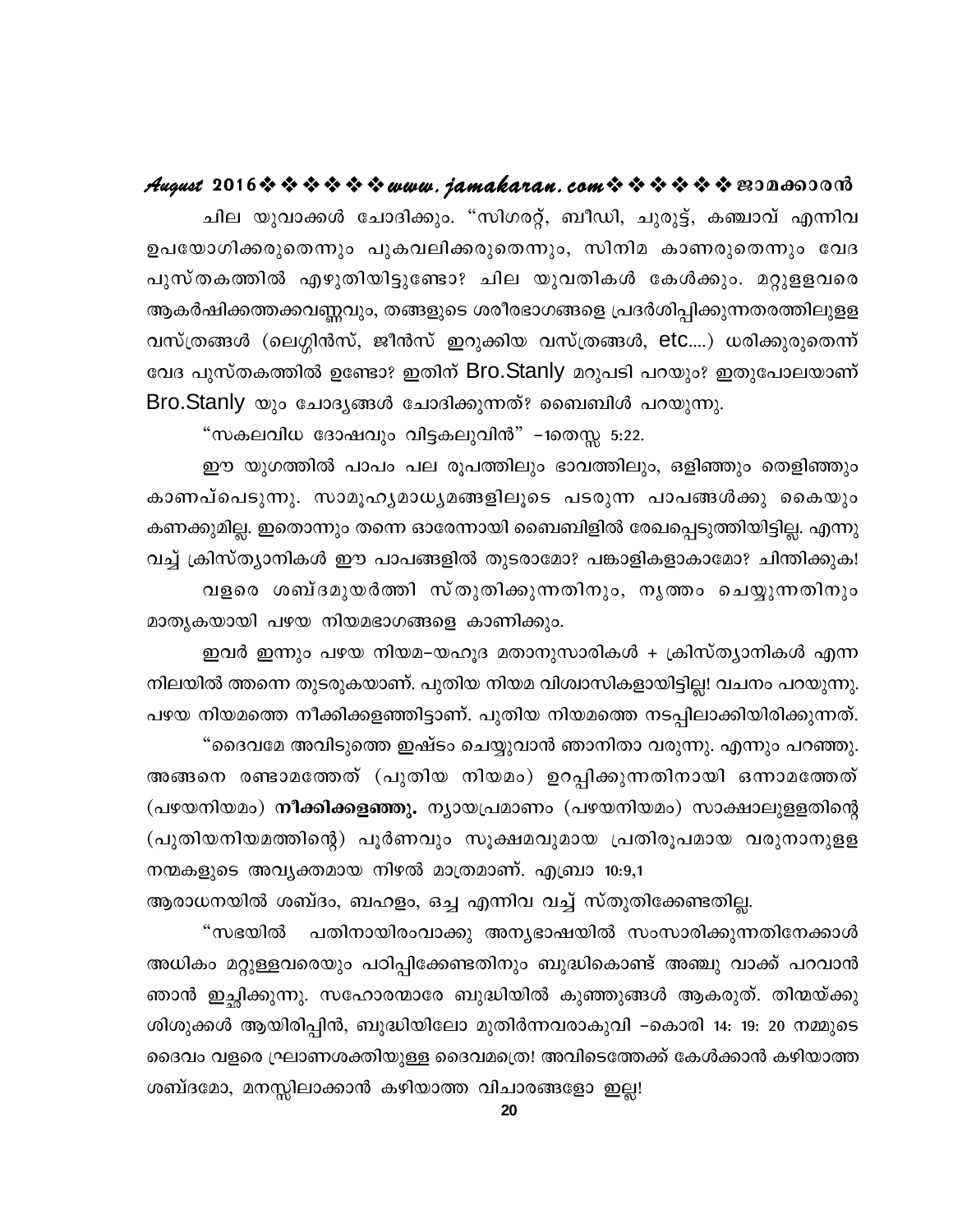#### August 2016 \* \* \* \* \* \* www.jamakaran.com \* \* \* \* \* \* \* E3Da603018

ചില യുവാക്കൾ ചോദിക്കും. "സിഗരറ്റ്, ബീഡി, ചുരുട്ട്, കഞ്ചാവ് എന്നിവ ഉപയോഗിക്കരുതെന്നും പുകവലിക്കരുതെന്നും, സിനിമ കാണരുതെന്നും വേദ പുസ്തകത്തിൽ എഴുതിയിട്ടുണ്ടോ? ചില യുവതികൾ കേൾക്കും. മറ്റുളളവരെ ആകർഷിക്കത്തക്കവണ്ണവും, തങ്ങളുടെ ശരീരഭാഗങ്ങളെ പ്രദർശിപ്പിക്കുന്നതരത്തിലുളള വസ്ത്രങ്ങൾ (ലെഗ്ഗിൻസ്, ജീൻസ് ഇറുക്കിയ വസ്ത്രങ്ങൾ, etc....) ധരിക്കുരുതെന്ന് വേദ പുസ്തകത്തിൽ ഉണ്ടോ? ഇതിന് Bro.Stanly മറുപടി പറയും? ഇതുപോലയാണ് Bro.Stanly യും ചോദൃങ്ങൾ ചോദിക്കുന്നത്? ബൈബിൾ പറയുന്നു.

"സകലവിധ ദോഷവും വിട്ടകലുവിൻ" –1തെസ്സ 5:22.

ഈ യുഗത്തിൽ പാപം പല രൂപത്തിലും ഭാവത്തിലും, ഒളിഞ്ഞും തെളിഞ്ഞും കാണപ്പെടുന്നു. സാമൂഹൃമാധൃമങ്ങളിലൂടെ പടരുന്ന പാപങ്ങൾക്കു കൈയും കണക്കുമില്ല. ഇതൊന്നും തന്നെ ഓരേന്നായി ബൈബിളിൽ രേഖപ്പെടുത്തിയിട്ടില്ല. എന്നു വച്ച് ക്രിസ്ത്യാനികൾ ഈ പാപങ്ങളിൽ തുടരാമോ? പങ്കാളികളാകാമോ? ചിന്തിക്കുക! വളരെ ശബ്ദമുയർത്തി സ്തുതിക്കുന്നതിനും, നൃത്തം ചെയ്യുന്നതിനും മാതൃകയായി പഴയ നിയമഭാഗങ്ങളെ കാണിക്കും.

ഇവർ ഇന്നും പഴയ നിയമ–യഹൂദ മതാനുസാരികൾ + ക്രിസ്ത്യാനികൾ എന്ന നിലയിൽ ത്തന്നെ തുടരുകയാണ്. പുതിയ നിയമ വിശ്വാസികളായിട്ടില്ല! വചനം പറയുന്നു. പഴയ നിയമത്തെ നീക്കിക്കളഞ്ഞിട്ടാണ്. പുതിയ നിയമത്തെ നടപ്പിലാക്കിയിരിക്കുന്നത്.

"ദൈവമേ അവിടുത്തെ ഇഷ്ടം ചെയ്യുവാൻ ഞാനിതാ വരുന്നു. എന്നും പറഞ്ഞു. അങ്ങനെ രണ്ടാമത്തേത് (പുതിയ നിയമം) ഉറപ്പിക്കുന്നതിനായി ഒന്നാമത്തേത് (പഴയനിയമം) **നീക്കിക്കളഞ്ഞു.** ന്യായപ്രമാണം (പഴയനിയമം) സാക്ഷാലുളളതിന്റെ (പുതിയനിയമത്തിന്റെ) പൂർണവും സൂക്ഷമവുമായ പ്രതിരൂപമായ വരുനാനുളള നന്മകളുടെ അവൃക്തമായ നിഴൽ മാത്രമാണ്. എബ്രാ 10:9,1

ആരാധനയിൽ ശബ്ദം, ബഹളം, ഒച്ച എന്നിവ വച്ച് സ്തുതിക്കേണ്ടതില്ല.

"സഭയിൽ പതിനായിരംവാക്കു അന്യഭാഷയിൽ സംസാരിക്കുന്നതിനേക്കാൾ അധികം മറ്റുള്ളവരെയും പഠിപ്പിക്കേണ്ടതിനും ബുദ്ധികൊണ്ട് അഞ്ചു വാക്ക് പറവാൻ ഞാൻ ഇച്ഛിക്കുന്നു. സഹോരന്മാരേ ബുദ്ധിയിൽ കുഞ്ഞുങ്ങൾ ആകരുത്. തിന്മയ്ക്കു ശിശുക്കൾ ആയിരിപ്പിൻ, ബുദ്ധിയിലോ മുതിർന്നവരാകുവി –കൊരി 14: 19: 20 നമ്മുടെ ദൈവം വളരെ ഘ്രാണശക്തിയുള്ള ദൈവമത്രെ! അവിടെത്തേക്ക് കേൾക്കാൻ കഴിയാത്ത ശബ്ദമോ, മനസ്സിലാക്കാൻ കഴിയാത്ത വിചാരങ്ങളോ ഇല്ല!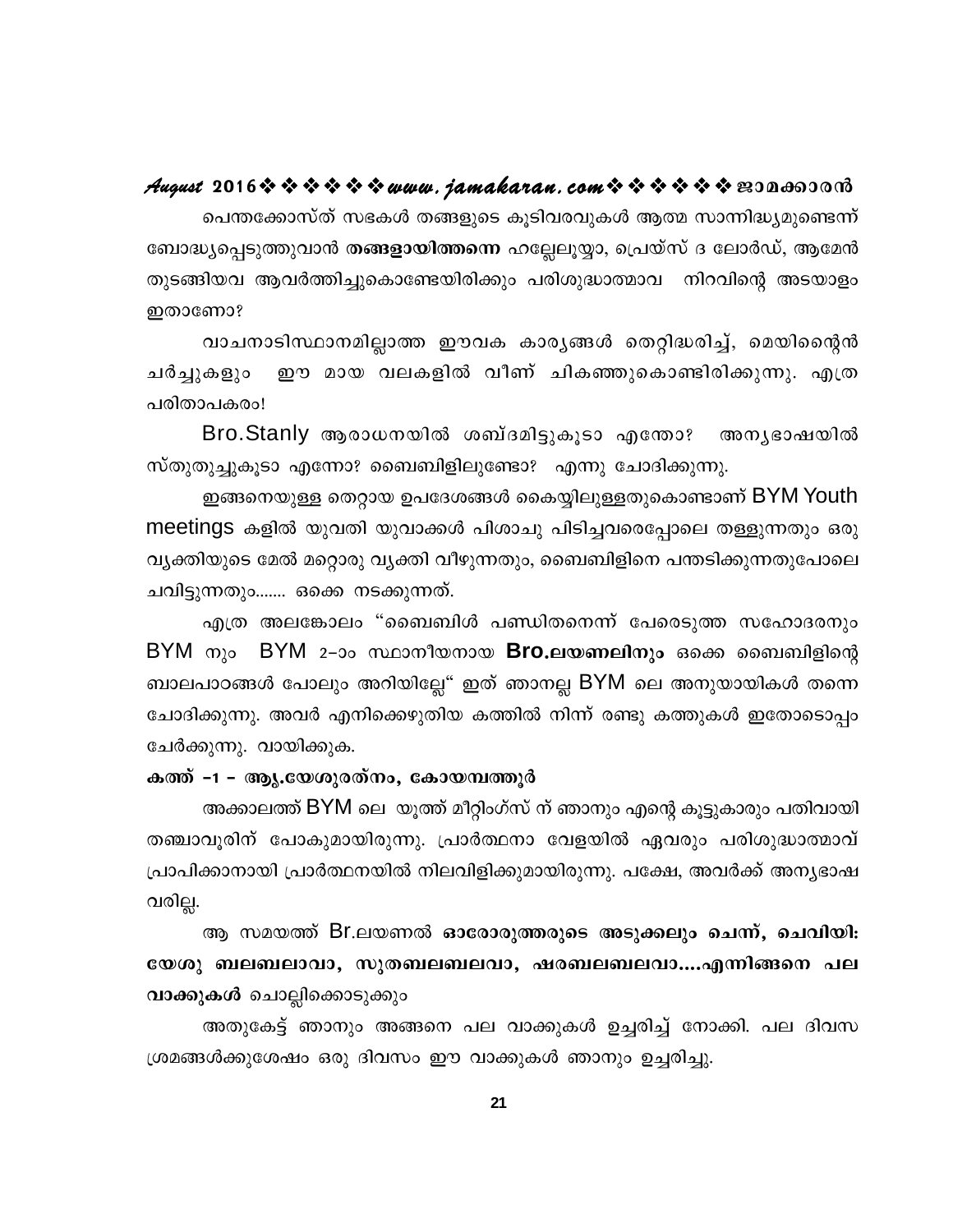#### August 2016※※※※※※www.jamakaran.com※※※※※※200660008

പെന്തക്കോസ്ത് സഭകൾ തങ്ങളുടെ കൂടിവരവുകൾ ആത്മ സാന്നിദ്ധ്യമുണ്ടെന്ന് ബോദ്ധ്യപ്പെടുത്തുവാൻ തങ്ങളായിത്തന്നെ ഹല്ലേലുയ്യാ, പ്രെയ്സ് ദ ലോർഡ്, ആമേൻ തുടങ്ങിയവ ആവർത്തിച്ചുകൊണ്ടേയിരിക്കും പരിശുദ്ധാത്മാവ നിറവിന്റെ അടയാളം ഇതാണോ?

വാചനാടിസ്ഥാനമില്ലാത്ത ഈവക കാരൃങ്ങൾ തെറ്റിദ്ധരിച്ച്, മെയിന്റൈൻ ഈ മായ വലകളിൽ വീണ് ചികഞ്ഞുകൊണ്ടിരിക്കുന്നു. എത്ര ചർച്ചുകളും പരിതാപകരം!

Bro.Stanly ആരാധനയിൽ ശബ്ദമിട്ടുകൂടാ എന്തോ? അനൃഭാഷയിൽ സ്തുതുച്ചുകൂടാ എന്നോ? ബൈബിളിലുണ്ടോ? എന്നു ചോദിക്കുന്നു.

ഇങ്ങനെയുള്ള തെറ്റായ ഉപദേശങ്ങൾ കൈയ്യിലുള്ളതുകൊണ്ടാണ് BYM Youth meetings കളിൽ യുവതി യുവാക്കൾ പിശാചു പിടിച്ചവരെപ്പോലെ തള്ളുന്നതും ഒരു വ്യക്തിയുടെ മേൽ മറ്റൊരു വ്യക്തി വീഴുന്നതും, ബൈബിളിനെ പന്തടിക്കുന്നതുപോലെ ചവിട്ടുന്നതും....... ഒക്കെ നടക്കുന്നത്.

എത്ര അലങ്കോലം "ബൈബിൾ പണ്ഡിതനെന്ന് പേരെടുത്ത സഹോദരനും BYM നും BYM 2–ാം സ്ഥാനീയനായ Bro.ലയണലിനും ഒക്കെ ബൈബിളിന്റെ ബാലപാഠങ്ങൾ പോലും അറിയില്ലേ" ഇത് ഞാനല്ല BYM ലെ അനുയായികൾ തന്നെ ചോദിക്കുന്നു. അവർ എനിക്കെഴുതിയ കത്തിൽ നിന്ന് രണ്ടു കത്തുകൾ ഇതോടൊപ്പം ചേർക്കുന്നു. വായിക്കുക.

#### കത്ത് -1 - ആൃ.യേശുരത്നം, കോയമ്പത്തൂർ

അക്കാലത്ത് BYM ലെ യൂത്ത് മീറ്റിംഗ്സ് ന് ഞാനും എന്റെ കൂട്ടുകാരും പതിവായി തഞ്ചാവുരിന് പോകുമായിരുന്നു. പ്രാർത്ഥനാ വേളയിൽ ഏവരും പരിശുദ്ധാത്മാവ് പ്രാപിക്കാനായി പ്രാർത്ഥനയിൽ നിലവിളിക്കുമായിരുന്നു. പക്ഷേ, അവർക്ക് അനൃഭാഷ വരില്ല.

ആ സമയത്ത് Br.ലയണൽ ഓരോരുത്തരുടെ അടുക്കലും ചെന്ന്, ചെവിയി<del>.</del> യേശു ബലബലാവാ, സുതബലബലവാ, ഷരബലബലവാ....എന്നിങ്ങനെ പല വാക്കുകൾ ചൊല്ലിക്കൊടുക്കും

അതുകേട്ട് ഞാനും അങ്ങനെ പല വാക്കുകൾ ഉച്ചരിച്ച് നോക്കി. പല ദിവസ ശ്രമങ്ങൾക്കുശേഷം ഒരു ദിവസം ഈ വാക്കുകൾ ഞാനും ഉച്ചരിച്ചു.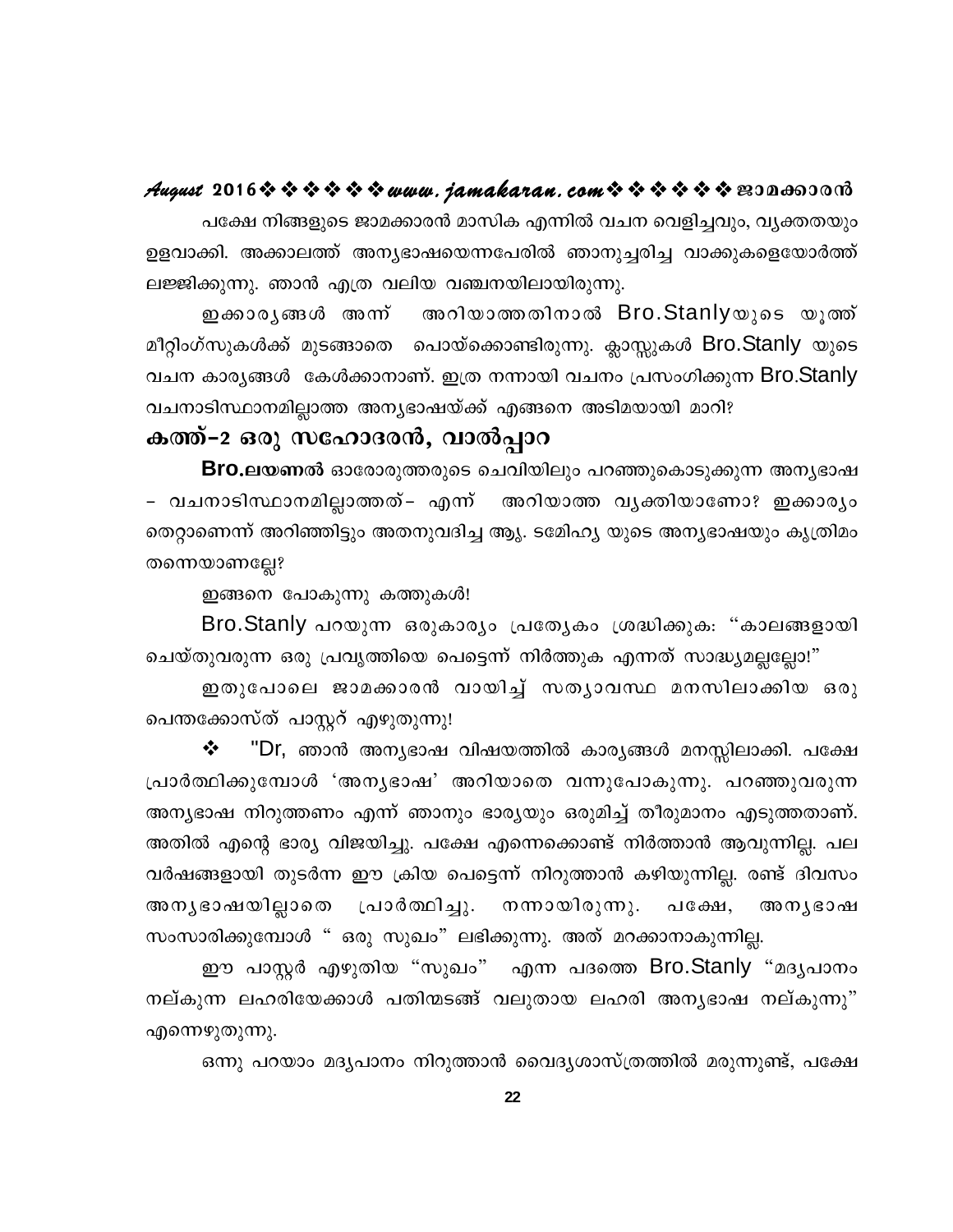#### August 2016※※※※※※www.jamakaran.com※※※※※※2006600018

പക്ഷേ നിങ്ങളുടെ ജാമക്കാരൻ മാസിക എന്നിൽ വചന വെളിച്ചവും, വ്യക്തതയും ഉളവാക്കി. അക്കാലത്ത് അന്യഭാഷയെന്നപേരിൽ ഞാനുച്ചരിച്ച വാക്കുകളെയോർത്ത് ലജ്ജിക്കുന്നു. ഞാൻ എത്ര വലിയ വഞ്ചനയിലായിരുന്നു.

അറിയാത്തതിനാൽ Bro.Stanlyയുടെ യൂത്ത് ഇക്കാരൃങ്ങൾ അന്ന് മീറ്റിംഗ്സുകൾക്ക് മുടങ്ങാതെ പൊയ്ക്കൊണ്ടിരുന്നു. ക്ലാസ്സുകൾ Bro.Stanly യുടെ വചന കാര്യങ്ങൾ കേൾക്കാനാണ്. ഇത്ര നന്നായി വചനം പ്രസംഗിക്കുന്ന Bro.Stanly വചനാടിസ്ഥാനമില്ലാത്ത അന്യഭാഷയ്ക്ക് എങ്ങനെ അടിമയായി മാറി?

#### കത്ത്-2 ഒരു സഹോദരൻ, വാൽപ്പാറ

Bro.ലയണൽ ഓരോരുത്തരുടെ ചെവിയിലും പറഞ്ഞുകൊടുക്കുന്ന അനൃഭാഷ – വചനാടിസ്ഥാനമില്ലാത്തത്– എന്ന് അറിയാത്ത വൃക്തിയാണോ? ഇക്കാരൃം തെറ്റാണെന്ന് അറിഞ്ഞിട്ടും അതനുവദിച്ച ആൃ. ടമ്പേഹ്യ യുടെ അന്യഭാഷയും കൃത്രിമം തന്നെയാണല്ലേ?

ഇങ്ങനെ പോകുന്നു കത്തുകൾ!

Bro.Stanly പറയുന്ന ഒരുകാര്യം പ്രത്യേകം ശ്രദ്ധിക്കുക: "കാലങ്ങളായി ചെയ്തുവരുന്ന ഒരു പ്രവൃത്തിയെ പെട്ടെന്ന് നിർത്തുക എന്നത് സാദ്ധ്യമല്ലല്ലോ!"

ഇതുപോലെ ജാമക്കാരൻ വായിച്ച് സതൃാവസ്ഥ മനസിലാക്കിയ ഒരു പെന്തക്കോസ്ത് പാസ്റ്ററ് എഴുതുന്നു!

"Dr, ഞാൻ അന്യഭാഷ വിഷയത്തിൽ കാര്യങ്ങൾ മനസ്സിലാക്കി. പക്ഷേ ❖ പ്രാർത്ഥിക്കുമ്പോൾ 'അനൃഭാഷ' അറിയാതെ വന്നുപോകുന്നു. പറഞ്ഞുവരുന്ന അന്യഭാഷ നിറുത്തണം എന്ന് ഞാനും ഭാര്യയും ഒരുമിച്ച് തീരുമാനം എടുത്തതാണ്. അതിൽ എന്റെ ഭാര്യ വിജയിച്ചു. പക്ഷേ എന്നെക്കൊണ്ട് നിർത്താൻ ആവുന്നില്ല. പല വർഷങ്ങളായി തുടർന്ന ഈ ക്രിയ പെട്ടെന്ന് നിറുത്താൻ കഴിയുന്നില്ല. രണ്ട് ദിവസം അനൃഭാഷയില്ലാതെ പ്രാർത്ഥിച്ചു. നന്നായിരുന്നു. പക്ഷേ, അനൃഭാഷ സംസാരിക്കുമ്പോൾ " ഒരു സുഖം" ലഭിക്കുന്നു. അത് മറക്കാനാകുന്നില്ല.

ഈ പാസ്റ്റർ എഴുതിയ "സുഖം" എന്ന പദത്തെ Bro.Stanly "മദൃപാനം നല്കുന്ന ലഹരിയേക്കാൾ പതിന്മടങ്ങ് വലുതായ ലഹരി അന്യഭാഷ നല്കുന്നു" എന്നെഴുതുന്നു.

ഒന്നു പറയാം മദ്യപാനം നിറുത്താൻ വൈദ്യശാസ്ത്രത്തിൽ മരുന്നുണ്ട്, പക്ഷേ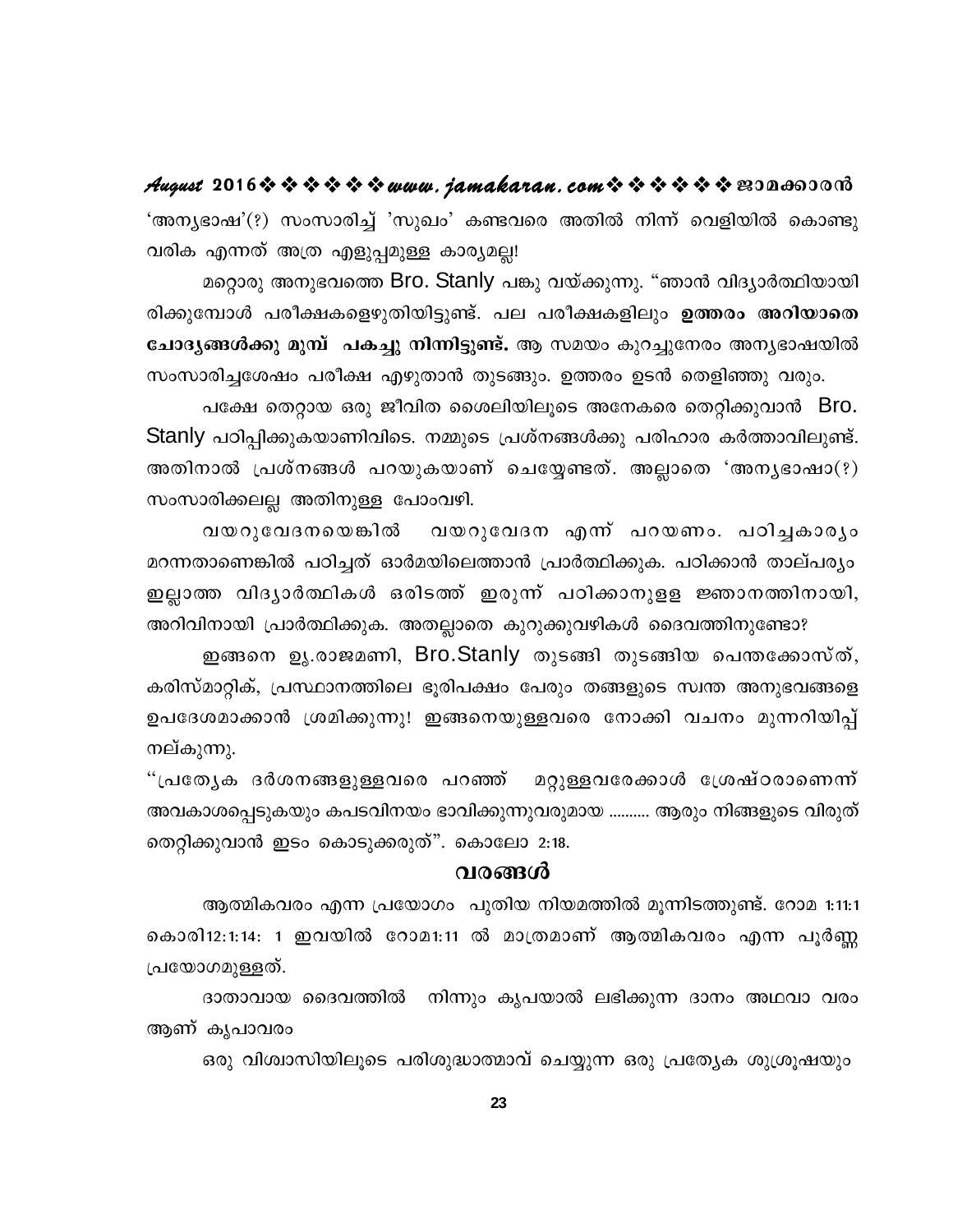August 2016 \* \* \* \* \* \* www.jamakaran.com \* \* \* \* \* \* \* E3Da603018 'അന്യഭാഷ'(?) സംസാരിച്ച് 'സുഖം' കണ്ടവരെ അതിൽ നിന്ന് വെളിയിൽ കൊണ്ടു വരിക എന്നത് അത്ര എളുപ്പമുള്ള കാര്യമല്ല!

മറ്റൊരു അനുഭവത്തെ Bro. Stanly പങ്കു വയ്ക്കുന്നു. "ഞാൻ വിദ്യാർത്ഥിയായി രിക്കുമ്പോൾ പരീക്ഷകളെഴുതിയിട്ടുണ്ട്. പല പരീക്ഷകളിലും ഉത്തരം അറിയാതെ ചോദ്യങ്ങൾക്കു മുമ്പ് പകച്ചു നിന്നിട്ടുണ്ട്. ആ സമയം കുറച്ചുനേരം അന്യഭാഷയിൽ സംസാരിച്ചശേഷം പരീക്ഷ എഴുതാൻ തുടങ്ങും. ഉത്തരം ഉടൻ തെളിഞ്ഞു വരും.

പക്ഷേ തെറ്റായ ഒരു ജീവിത ശൈലിയിലൂടെ അനേകരെ തെറ്റിക്കുവാൻ Bro. Stanly പഠിപ്പിക്കുകയാണിവിടെ. നമ്മുടെ പ്രശ്നങ്ങൾക്കു പരിഹാര കർത്താവിലുണ്ട്. അതിനാൽ പ്രശ്നങ്ങൾ പറയുകയാണ് ചെയ്യേണ്ടത്. അല്ലാതെ 'അനൃഭാഷാ $(?)$ സംസാരിക്കലല്ല അതിനുള്ള പോംവഴി.

വയറുവേദനയെങ്കിൽ വയറുവേദന എന്ന് പറയണം. പഠിച്ചകാര്യം മറന്നതാണെങ്കിൽ പഠിച്ചത് ഓർമയിലെത്താൻ പ്രാർത്ഥിക്കുക. പഠിക്കാൻ താല്പര്യം ഇല്ലാത്ത വിദൃാർത്ഥികൾ ഒരിടത്ത് ഇരുന്ന് പഠിക്കാനുളള ജ്ഞാനത്തിനായി, അറിവിനായി പ്രാർത്ഥിക്കുക. അതല്ലാതെ കുറുക്കുവഴികൾ ദൈവത്തിനുണ്ടോ?

ഇങ്ങനെ ഉൃ.രാജമണി, Bro.Stanly തുടങ്ങി തുടങ്ങിയ പെന്തക്കോസ്ത്, കരിസ്മാറ്റിക്, പ്രസ്ഥാനത്തിലെ ഭൂരിപക്ഷം പേരും തങ്ങളുടെ സ്വന്ത അനുഭവങ്ങളെ ഉപദേശമാക്കാൻ ശ്രമിക്കുന്നു! ഇങ്ങനെയുള്ളവരെ നോക്കി വചനം മുന്നറിയിപ്പ് നല്കുന്നു.

മറ്റുള്ളവരേക്കാൾ ശ്രേഷ്ഠരാണെന്ന് "പ്രത്യേക ദർശനങ്ങളുള്ളവരെ പറഞ്ഞ് അവകാശപ്പെടുകയും കപടവിനയം ഭാവിക്കുന്നുവരുമായ .......... ആരും നിങ്ങളുടെ വിരുത് തെറ്റിക്കുവാൻ ഇടം കൊടുക്കരുത്". കൊലോ 2:18.

#### വരങ്ങൾ

ആത്മികവരം എന്ന പ്രയോഗം പുതിയ നിയമത്തിൽ മൂന്നിടത്തുണ്ട്. റോമ 1:11:1 കൊരി12:1:14: 1 ഇവയിൽ റോമ1:11 ൽ മാത്രമാണ് ആത്മികവരം എന്ന പൂർണ്ണ പ്രയോഗമുള്ളത്.

ദാതാവായ ദൈവത്തിൽ നിന്നും കൃപയാൽ ലഭിക്കുന്ന ദാനം അഥവാ വരം ആണ് കൃപാവരം

ഒരു വിശ്വാസിയിലൂടെ പരിശുദ്ധാത്മാവ് ചെയ്യുന്ന ഒരു പ്രത്യേക ശുശ്രൂഷയും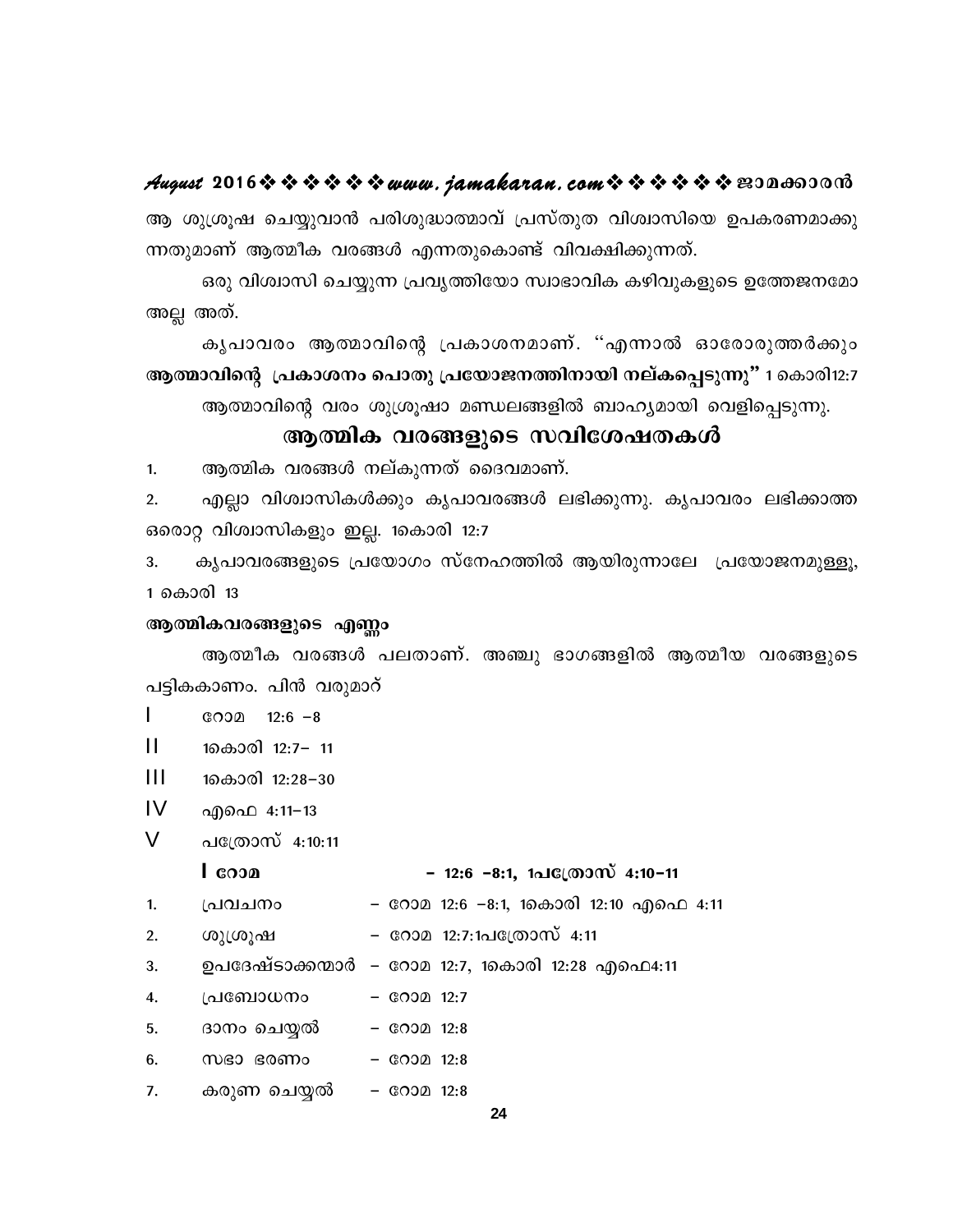#### August 2016 \* \* \* \* \* \* www.jamakaran.com \* \* \* \* \* \* E30a603010

ആ ശുശ്രൂഷ ചെയ്യുവാൻ പരിശുദ്ധാത്മാവ് പ്രസ്തുത വിശ്വാസിയെ ഉപകരണമാക്കു ന്നതുമാണ് ആത്മീക വരങ്ങൾ എന്നതുകൊണ്ട് വിവക്ഷിക്കുന്നത്.

ഒരു വിശ്വാസി ചെയ്യുന്ന പ്രവൃത്തിയോ സ്വാഭാവിക കഴിവുകളുടെ ഉത്തേജനമോ അല്ല അത്.

കൃപാവരം ആത്മാവിന്റെ പ്രകാശനമാണ്. "എന്നാൽ ഓരോരുത്തർക്കും ആത്മാവിന്റെ പ്രകാശനം പൊതു പ്രയോജനത്തിനായി നല്കപ്പെടുന്നു" 1 കൊരി12:7

ആത്മാവിന്റെ വരം ശുശ്രൂഷാ മണ്ഡലങ്ങളിൽ ബാഹ്യമായി വെളിപ്പെടുന്നു.

#### ആത്മിക വരങ്ങളുടെ സവിശേഷതകൾ

ആത്മിക വരങ്ങൾ നല്കുന്നത് ദൈവമാണ്.  $1.$ 

എല്ലാ വിശ്വാസികൾക്കും കൃപാവരങ്ങൾ ലഭിക്കുന്നു. കൃപാവരം ലഭിക്കാത്ത  $2.$ ഒരൊറ്റ വിശ്വാസികളും ഇല്ല. 1കൊരി 12:7

കൃപാവരങ്ങളുടെ പ്രയോഗം സ്നേഹത്തിൽ ആയിരുന്നാലേ പ്രയോജനമുള്ളൂ, 3. 1 കൊരി 13

#### ആത്മികവരങ്ങളുടെ എണ്ണം

ആത്മീക വരങ്ങൾ പലതാണ്. അഞ്ചു ഭാഗങ്ങളിൽ ആത്മീയ വരങ്ങളുടെ പട്ടികകാണം. പിൻ വരുമാറ്

- L  $C O 20 12:6 -8$
- $\mathbf{H}$ 1കൊരി 12:7- 11
- $\mathbf{III}$ 1കൊരി 12:28–30
- IV എഫെ 4:11−13
- V പത്രോസ് 4:10:11

#### $\overline{\phantom{a}}$  cop

#### - 12:6 -8:1, 1പ്രേതാസ് 4:10-11

- പ്രവചനം – റോമ 12:6 –8:1, 1കൊരി 12:10 എഫെ 4:11  $1.$
- റോമ 12:7:1പത്രോസ് 4:11  $2.$ ശുശ്രൂഷ
- ഉപദേഷ്ടാക്കന്മാർ റോമ 12:7, 1കൊരി 12:28 എഫെ4:11 3.
- 4. പ്രബോധനം  $-$  COO 12:7
- ദാനം ചെയ്യൽ 5.  $-$  COO 12:8
- 6. സഭാ ഭരണം  $-$  COO $2$  12:8
- കരുണ ചെയ്യൽ 7.  $-$  COO $2$  12:8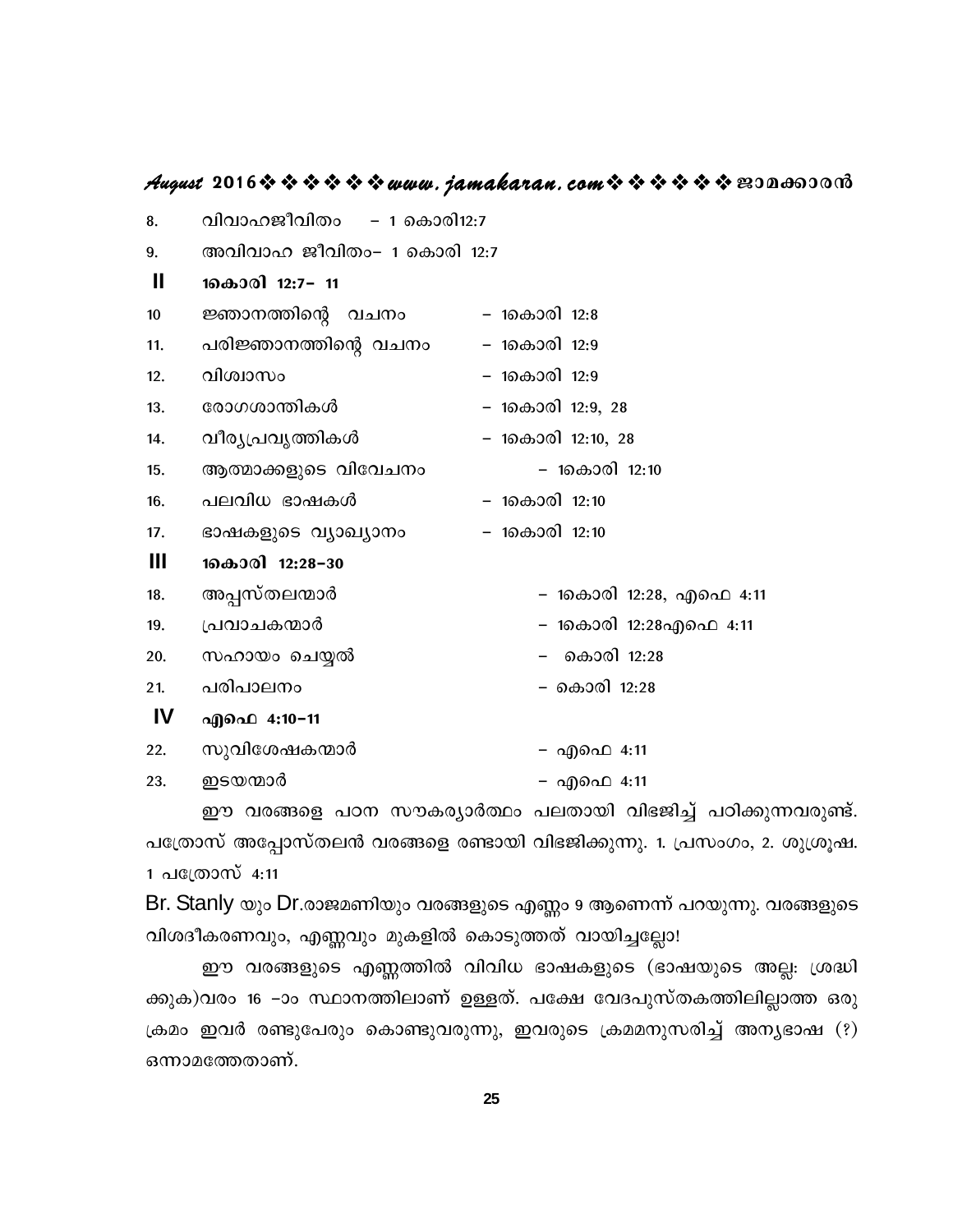#### **August 2016www.jamakaran.comPma¡mc³**

| 8.  | വിവാഹജീവിതം<br>– 1 കൊരി12:7 |                         |
|-----|-----------------------------|-------------------------|
| 9.  | അവിവാഹ ജീവിതം- 1 കൊരി 12:7  |                         |
| Ш   | 1കൊരി 12:7- 11              |                         |
| 10  | ജ്ഞാനത്തിന്റെ വചനം          | – 1കൊരി 12:8            |
| 11. | പരിജ്ഞാനത്തിന്റെ വചനം       | – 1കൊരി 12:9            |
| 12. | വിശ്വാസം                    | – 1കൊരി 12:9            |
| 13. | രോഗശാന്തികൾ                 | – 1കൊരി 12:9, 28        |
| 14. | വീര്യപ്രവൃത്തികൾ            | – 1കൊരി 12:10, 28       |
| 15. | ആത്മാക്കളുടെ വിവേചനം        | – 1കൊരി 12:10           |
| 16. | പലവിധ ഭാഷകൾ                 | – 1കൊരി 12:10           |
| 17. | ഭാഷകളുടെ വ്യാഖ്യാനം         | – 1കൊരി 12:10           |
| Ш   | 1കൊരി 12:28-30              |                         |
| 18. | അപ്പസ്തലന്മാർ               | – 1കൊരി 12:28, എഫെ 4:11 |
| 19. | പ്രവാചകന്മാർ                | – 1കൊരി 12:28എഫെ 4:11   |
| 20. | സഹായം ചെയ്യൽ                | കൊരി 12:28              |
| 21. | പരിപാലനം                    | – കൊരി 12:28            |
| IV  | എഫെ 4:10−11                 |                         |
| 22. | സുവിശേഷകന്മാർ               | – എഫെ 4:11              |
| 23. | ഇടയന്മാർ                    | – എഫെ 4:11              |

എഫെ 4:10-11<br>സുവിശേഷകന്മാർ എഫെ 4:11<br>ഇൗ വരങ്ങളെ പഠന സൗകര്യാർത്ഥം പലതായി വിഭജിച്ച് പഠിക്കുന്നവരുണ്ട്.<br>സ് അപ്പോസ്തലൻ വരങ്ങളെ രണ്ടായി വിഭജിക്കുന്നു. 1. പ്രസംഗം, 2. ശുശ്രൂഷ.<br>മാസ് 4:11 പത്രോസ് അപ്പോസ്തലൻ വരങ്ങളെ രണ്ടായി വിഭജിക്കുന്നു. 1. പ്രസംഗം, 2. ശുശ്രൂഷ. 1 പത്രോസ് 4:11

Br. Stanly യും Dr.രാജമണിയും വരങ്ങളുടെ എണ്ണം 9 ആണെന്ന് പറയുന്നു. വരങ്ങളുടെ വിശദീകരണവും, എണ്ണവും മുകളിൽ കൊടുത്തത് വായിച്ചല്ലോ!

ഈ വരങ്ങളുടെ എണ്ണത്തിൽ വിവിധ ഭാഷകളുടെ (ഭാഷയുടെ അല്ല: ശ്രദ്ധി ക്കുക)വരം 16 –ാം സ്ഥാനത്തിലാണ് ഉള്ളത്. പക്ഷേ വേദപുസ്തകത്തിലില്ലാത്ത ഒരു  ${\sf L}$ കമം ഇവർ രണ്ടുപേരും കൊണ്ടുവരുന്നു, ഇവരുടെ ക്രമമനുസരിച്ച് അനൃഭാഷ (?) ഈ വരങ്ങളുടെ എണ്ണത്തിൽ റ<br>ക്കുക)വരം 16 −ാം സ്ഥാനത്തിലാണ് ഉ<sub>!</sub><br>ക്രമം ഇവർ രണ്ടുപേരും കൊണ്ടുവരുറ<br>ഒന്നാമത്തേതാണ്.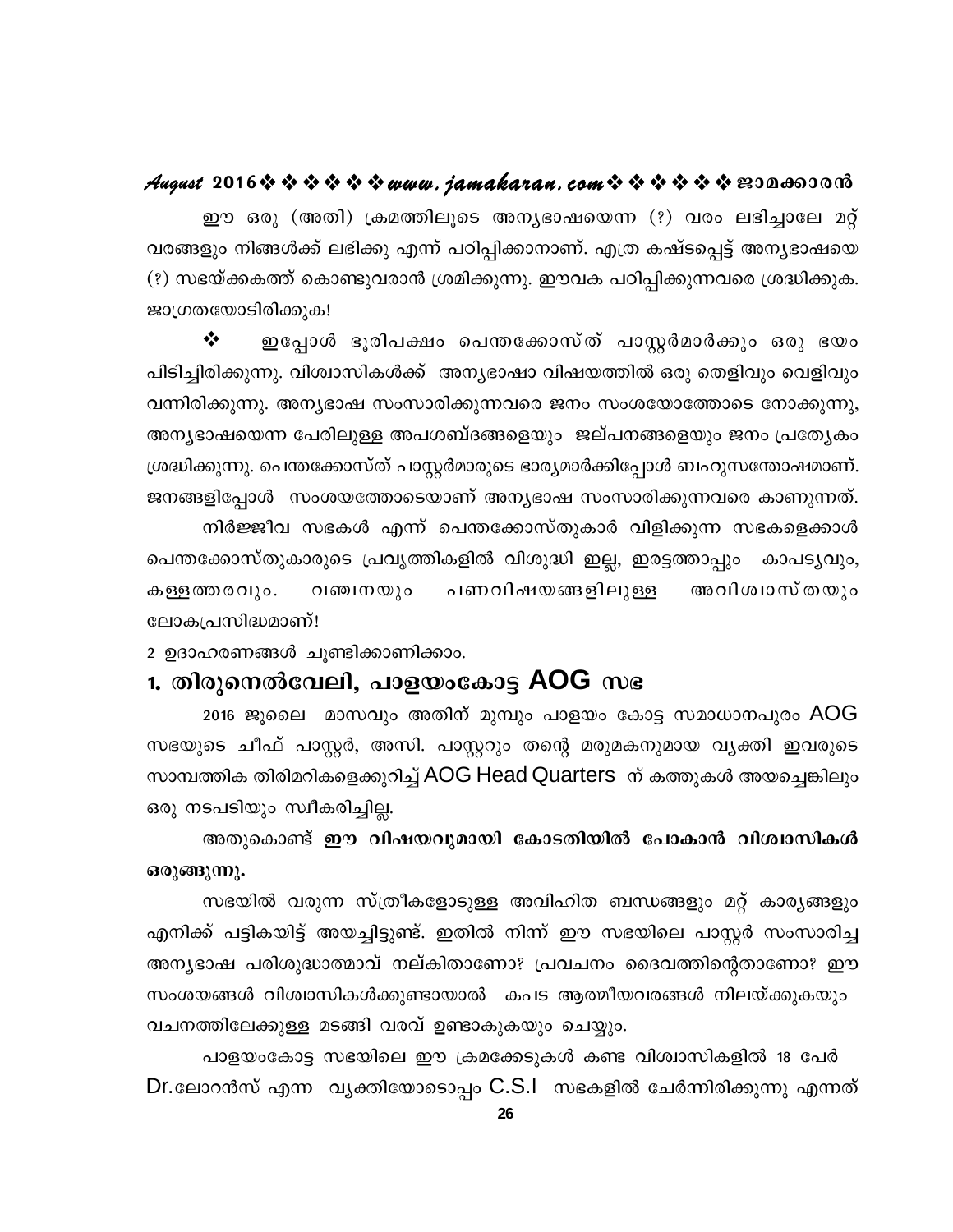#### August 2016 \* \* \* \* \* \* www.jamakaran.com \* \* \* \* \* \* \* 2010600010

ഈ ഒരു (അതി) ക്രമത്തിലൂടെ അന്യഭാഷയെന്ന (?) വരം ലഭിച്ചാലേ മറ്റ് വരങ്ങളും നിങ്ങൾക്ക് ലഭിക്കു എന്ന് പഠിപ്പിക്കാനാണ്. എത്ര കഷ്ടപ്പെട്ട് അനൃഭാഷയെ (?) സഭയ്ക്കകത്ത് കൊണ്ടുവരാൻ ശ്രമിക്കുന്നു. ഈവക പഠിപ്പിക്കുന്നവരെ ശ്രദ്ധിക്കുക. ജാഗ്രതയോടിരിക്കുക!

❖ ഇപ്പോൾ ഭൂരിപക്ഷം പെന്തക്കോസ്ത് പാസ്റ്റർമാർക്കും ഒരു ഭയം പിടിച്ചിരിക്കുന്നു. വിശ്വാസികൾക്ക് അന്യഭാഷാ വിഷയത്തിൽ ഒരു തെളിവും വെളിവും വന്നിരിക്കുന്നു. അന്യഭാഷ സംസാരിക്കുന്നവരെ ജനം സംശയോത്തോടെ നോക്കുന്നു, അന്യഭാഷയെന്ന പേരിലുള്ള അപശബ്ദങ്ങളെയും ജല്പനങ്ങളെയും ജനം പ്രത്യേകം ശ്രദ്ധിക്കുന്നു. പെന്തക്കോസ്ത് പാസ്റ്റർമാരുടെ ഭാര്യമാർക്കിപ്പോൾ ബഹുസന്തോഷമാണ്. ജനങ്ങളിപ്പോൾ സംശയത്തോടെയാണ് അന്യഭാഷ സംസാരിക്കുന്നവരെ കാണുന്നത്.

നിർജ്ജീവ സഭകൾ എന്ന് പെന്തക്കോസ്തുകാർ വിളിക്കുന്ന സഭകളെക്കാൾ പെന്തക്കോസ്തുകാരുടെ പ്രവൃത്തികളിൽ വിശുദ്ധി ഇല്ല, ഇരട്ടത്താപ്പും കാപട്യവും, പണവിഷയങ്ങളിലുള്ള അവിശ്വാസ്തയും കള്ളത്തരവും. വഞ്ചനയും ലോകപ്രസിദ്ധമാണ്!

2 ഉദാഹരണങ്ങൾ ചുണ്ടിക്കാണിക്കാം.

#### 1. തിരുനെൽവേലി, പാളയംകോട്ട AOG സഭ

2016 ജൂലൈ മാസവും അതിന് മുമ്പും പാളയം കോട്ട സമാധാനപുരം AOG സഭയുടെ ചീഫ് പാസ്റ്റർ, അസി. പാസ്റ്ററും തന്റെ മരുമകനുമായ വൃക്തി ഇവരുടെ സാമ്പത്തിക തിരിമറികളെക്കുറിച്ച് AOG Head Quarters ന് കത്തുകൾ അയച്ചെങ്കിലും ഒരു നടപടിയും സ്വീകരിച്ചില്ല.

അതുകൊണ്ട് ഈ വിഷയവുമായി കോടതിയിൽ പോകാൻ വിശ്വാസികൾ ഒരുങ്ങുന്നു.

സഭയിൽ വരുന്ന സ്ത്രീകളോടുള്ള അവിഹിത ബന്ധങ്ങളും മറ്റ് കാര്യങ്ങളും എനിക്ക് പട്ടികയിട്ട് അയച്ചിട്ടുണ്ട്. ഇതിൽ നിന്ന് ഈ സഭയിലെ പാസ്റ്റർ സംസാരിച്ച അന്യഭാഷ പരിശുദ്ധാത്മാവ് നല്കിതാണോ? പ്രവചനം ദൈവത്തിന്റെതാണോ? ഈ സംശയങ്ങൾ വിശ്വാസികൾക്കുണ്ടായാൽ കപട ആത്മീയവരങ്ങൾ നിലയ്ക്കുകയും വചനത്തിലേക്കുള്ള മടങ്ങി വരവ് ഉണ്ടാകുകയും ചെയ്യും.

പാളയംകോട്ട സഭയിലെ ഈ ക്രമക്കേടുകൾ കണ്ട വിശ്വാസികളിൽ 18 പേർ Dr.ലോറൻസ് എന്ന വ്യക്തിയോടൊപ്പം C.S.I സഭകളിൽ ചേർന്നിരിക്കുന്നു എന്നത്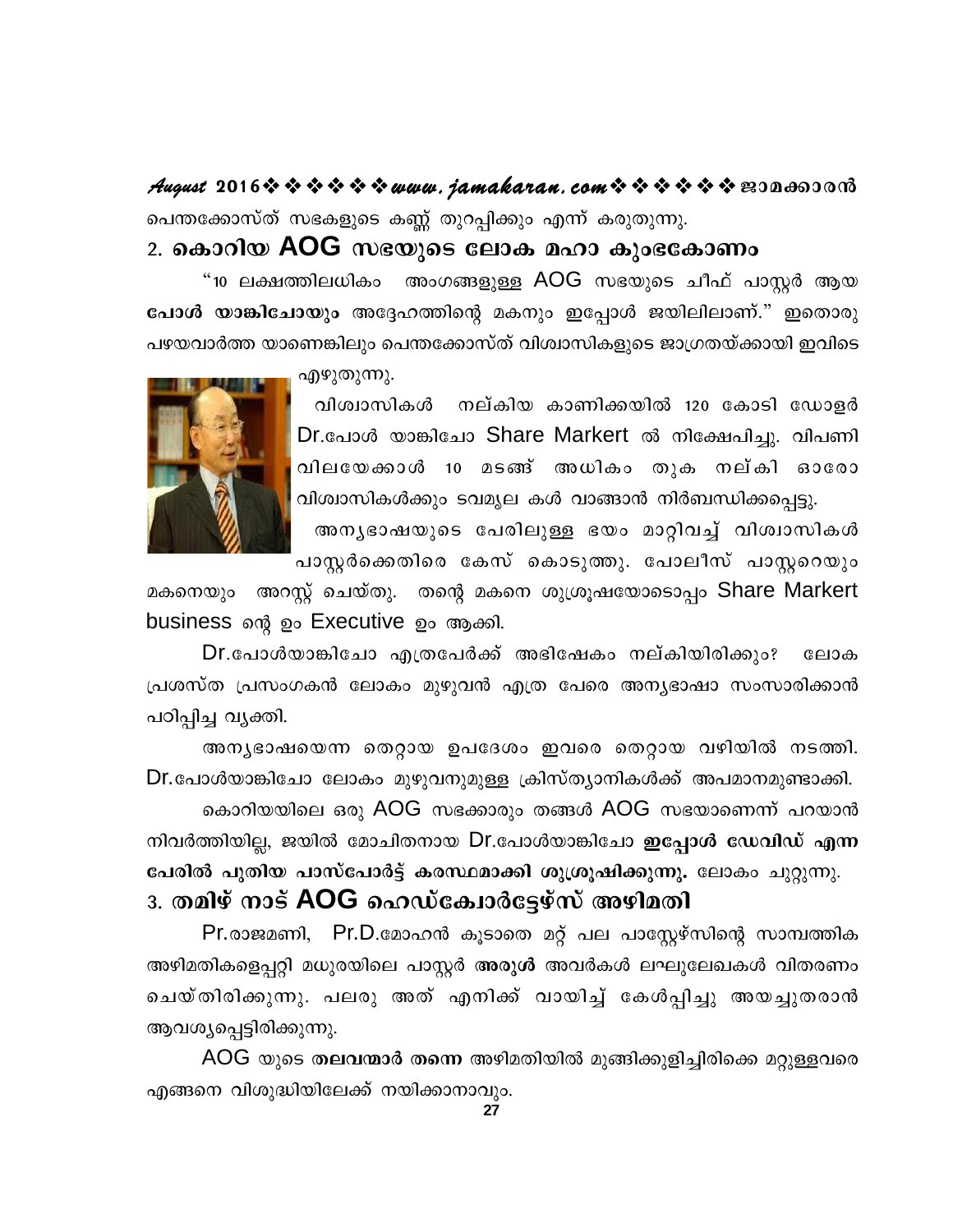August 2016 \* \* \* \* \* \* www.jamakaran.com \* \* \* \* \* \* \* 2010 പെന്തക്കോസ്ത് സഭകളുടെ കണ്ണ് തുറപ്പിക്കും എന്ന് കരുതുന്നു.

#### 2. കൊറിയ AOG സഭയുടെ ലോക മഹാ കുംഭകോണം

"10 ലക്ഷത്തിലധികം അംഗങ്ങളുള്ള AOG സഭയുടെ ചീഫ് പാസ്റ്റർ ആയ പോൾ യാങ്കിചോയും അദ്ദേഹത്തിന്റെ മകനും ഇപ്പോൾ ജയിലിലാണ്." ഇതൊരു പഴയവാർത്ത യാണെങ്കിലും പെന്തക്കോസ്ത് വിശ്വാസികളുടെ ജാഗ്രതയ്ക്കായി ഇവിടെ

എഴുതുന്നു.



വിശ്വാസികൾ നല്കിയ കാണിക്കയിൽ 120 കോടി ഡോളർ Dr.പോൾ യാങ്കിചോ Share Markert ൽ നിക്ഷേപിച്ചു. വിപണി വിലയേക്കാൾ 10 മടങ്ങ് അധികം തുക നല്കി ഓരോ വിശ്വാസികൾക്കും ടവമൃല കൾ വാങ്ങാൻ നിർബന്ധിക്കപ്പെട്ടു.

അനൃഭാഷയുടെ പേരിലുള്ള ഭയം മാറ്റിവച്ച് വിശ്വാസികൾ പാസ്റ്റർക്കെതിരെ കേസ് കൊടുത്തു. പോലീസ് പാസ്റ്ററെയും

മകനെയും അറസ്റ്റ് ചെയ്തു. തന്റെ മകനെ ശുശ്രൂഷയോടൊപ്പം Share Markert business ന്റെ ഉം Executive ഉം ആക്കി.

Dr.പോൾയാങ്കിചോ എത്രപേർക്ക് അഭിഷേകം നല്കിയിരിക്കും? ലോക പ്രശസ്ത പ്രസംഗകൻ ലോകം മുഴുവൻ എത്ര പേരെ അന്യഭാഷാ സംസാരിക്കാൻ പഠിപ്പിച്ച വ്യക്തി.

അന്യഭാഷയെന്ന തെറ്റായ ഉപദേശം ഇവരെ തെറ്റായ വഴിയിൽ നടത്തി. Dr.പോൾയാങ്കിചോ ലോകം മുഴുവനുമുള്ള ക്രിസ്ത്യാനികൾക്ക് അപമാനമുണ്ടാക്കി.

കൊറിയയിലെ ഒരു AOG സഭക്കാരും തങ്ങൾ AOG സഭയാണെന്ന് പറയാൻ നിവർത്തിയില്ല, ജയിൽ മോചിതനായ Dr.പോൾയാങ്കിചോ **ഇപ്പോൾ ഡേവിഡ് എന്ന** പേരിൽ പുതിയ പാസ്പോർട്ട് കരസ്ഥമാക്കി ശുശ്രൂഷിക്കുന്നു. ലോകം ചുറ്റുന്നു. <u>3. തമിഴ് നാട് AOG ഹെഡ്കോർട്ടേഴ്സ് അഴിമതി</u>

Pr.രാജമണി, Pr.D.മോഹൻ കൂടാതെ മറ്റ് പല പാസ്റ്റേഴ്സിന്റെ സാമ്പത്തിക അഴിമതികളെപ്പറ്റി മധുരയിലെ പാസ്റ്റർ അരുൾ അവർകൾ ലഘുലേഖകൾ വിതരണം ചെയ്തിരിക്കുന്നു. പലരു അത് എനിക്ക് വായിച്ച് കേൾപ്പിച്ചു അയച്ചുതരാൻ ആവശ്യപ്പെട്ടിരിക്കുന്നു.

AOG യുടെ തലവന്മാർ തന്നെ അഴിമതിയിൽ മുങ്ങിക്കുളിച്ചിരിക്കെ മറ്റുള്ളവരെ എങ്ങനെ വിശുദ്ധിയിലേക്ക് നയിക്കാനാവും.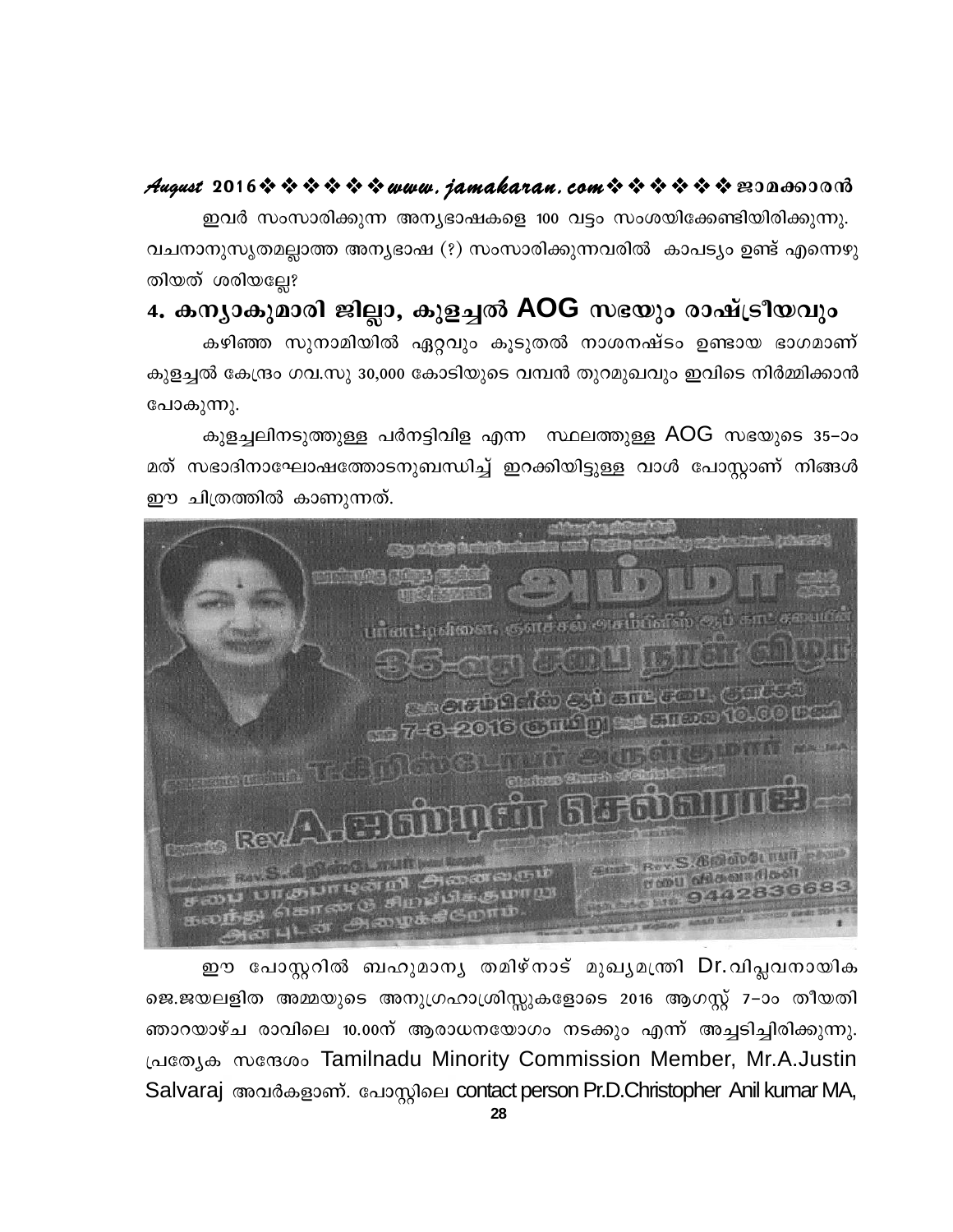#### August 2016 \* \* \* \* \* \* www.jamakaran.com \* \* \* \* \* \* \* E3Da600018

ഇവർ സംസാരിക്കുന്ന അന്യഭാഷകളെ 100 വട്ടം സംശയിക്കേണ്ടിയിരിക്കുന്നു. വചനാനുസൃതമല്ലാത്ത അന്യഭാഷ (?) സംസാരിക്കുന്നവരിൽ കാപട്യം ഉണ്ട് എന്നെഴു തിയത് ശരിയല്ലേ?

#### 4. കന്യാകുമാരി ജില്ലാ, കുളച്ചൽ AOG സഭയും രാഷ്ട്രീയവും

കഴിഞ്ഞ സുനാമിയിൽ ഏറ്റവും കൂടുതൽ നാശനഷ്ടം ഉണ്ടായ ഭാഗമാണ് കുളച്ചൽ കേന്ദ്രം ഗവ.സു 30,000 കോടിയുടെ വമ്പൻ തുറമുഖവും ഇവിടെ നിർമ്മിക്കാൻ പോകുന്നു.

കുളച്ചലിനടുത്തുള്ള പർനട്ടിവിള എന്ന സ്ഥലത്തുള്ള AOG സഭയുടെ 35–ാം മത് സഭാദിനാഘോഷത്തോടനുബന്ധിച്ച് ഇറക്കിയിട്ടുള്ള വാൾ പോസ്റ്റാണ് നിങ്ങൾ ഈ ചിത്രത്തിൽ കാണുന്നത്.



ഈ പോസ്റ്ററിൽ ബഹുമാനൃ തമിഴ്നാട് മുഖൃമന്ത്രി Dr.വിപ്ലവനായിക ജെ.ജയലളിത അമ്മയുടെ അനുഗ്രഹാശ്രിസ്സുകളോടെ 2016 ആഗസ്റ്റ് 7-ാം തീയതി ഞാറയാഴ്ച രാവിലെ 10.00ന് ആരാധനയോഗം നടക്കും എന്ന് അച്ചടിച്ചിരിക്കുന്നു. പ്രത്യേക സന്ദേശം Tamilnadu Minority Commission Member, Mr.A.Justin Salvaraj അവർകളാണ്. പോസ്റ്റിലെ contact person Pr.D.Christopher Anil kumar MA,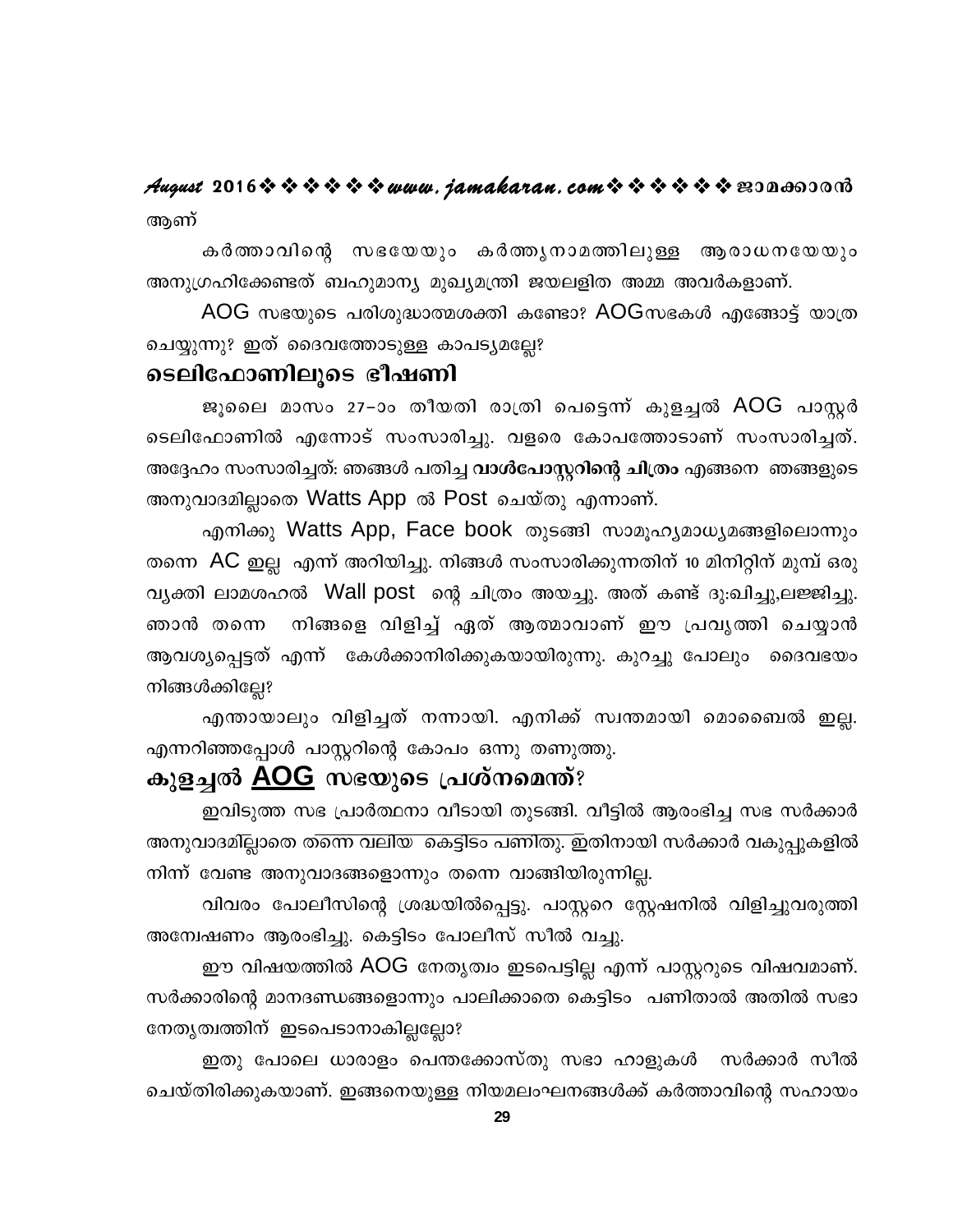#### August 2016 \* \* \* \* \* \* www.jamakaran.com \* \* \* \* \* \* \* E30000000 ആണ്

കർത്താവിന്റെ സഭയേയും കർത്തൃനാമത്തിലുള്ള ആരാധനയേയും അനുഗ്രഹിക്കേണ്ടത് ബഹുമാന്യ മുഖ്യമന്ത്രി ജയലളിത അമ്മ അവർകളാണ്.

 $AOG$  സഭയുടെ പരിശുദ്ധാത്മശക്തി കണ്ടോ?  $AOG$ സഭകൾ എങ്ങോട്ട് യാത്ര ചെയ്യുന്നു? ഇത് ദൈവത്തോടുള്ള കാപട്യമല്ലേ?

#### ടെലിഫോണിലൂടെ ഭീഷണി

ജൂലൈ മാസം 27-ാം തീയതി രാത്രി പെട്ടെന്ന് കുളച്ചൽ AOG പാസ്റ്റർ ടെലിഫോണിൽ എന്നോട് സംസാരിച്ചു. വളരെ കോപത്തോടാണ് സംസാരിച്ചത്. അദ്ദേഹം സംസാരിച്ചത്: ഞങ്ങൾ പതിച്ച **വാൾപോസ്റ്ററിന്റെ ചിത്രം** എങ്ങനെ ഞങ്ങളുടെ അനുവാദമില്ലാതെ Watts App ൽ Post ചെയ്തു എന്നാണ്.

എനിക്കു Watts App, Face book തുടങ്ങി സാമൂഹ്യമാധ്യമങ്ങളിലൊന്നും തന്നെ AC ഇല്ല എന്ന് അറിയിച്ചു. നിങ്ങൾ സംസാരിക്കുന്നതിന് 10 മിനിറ്റിന് മുമ്പ് ഒരു വൃക്തി ലാമശഹൽ Wall post ന്റെ ചിത്രം അയച്ചു. അത് കണ്ട് ദു:ഖിച്ചു,ലജ്ജിച്ചു. നിങ്ങളെ വിളിച്ച് ഏത് ആത്മാവാണ് ഈ പ്രവൃത്തി ചെയ്യാൻ ഞാൻ തന്നെ ആവശ്യപ്പെട്ടത് എന്ന് കേൾക്കാനിരിക്കുകയായിരുന്നു. കുറച്ചു പോലും ദൈവഭയം നിങ്ങൾക്കില്ലേ?

എന്തായാലും വിളിച്ചത് നന്നായി. എനിക്ക് സ്വന്തമായി മൊബൈൽ ഇല്ല. എന്നറിഞ്ഞപ്പോൾ പാസ്റ്ററിന്റെ കോപം ഒന്നു തണുത്തു.

#### കുളച്ചൽ <u>AOG</u> സഭയുടെ പ്രശ്നമെന്ത്?

ഇവിടുത്ത സഭ പ്രാർത്ഥനാ വീടായി തുടങ്ങി. വീട്ടിൽ ആരംഭിച്ച സഭ സർക്കാർ അനുവാദമില്ലാതെ തന്നെ വലിയ കെട്ടിടം പണിതു. ഇതിനായി സർക്കാർ വകുപ്പുകളിൽ നിന്ന് വേണ്ട അനുവാദങ്ങളൊന്നും തന്നെ വാങ്ങിയിരുന്നില്ല.

വിവരം പോലീസിന്റെ ശ്രദ്ധയിൽപ്പെട്ടു. പാസ്റ്ററെ സ്റ്റേഷനിൽ വിളിച്ചുവരുത്തി അന്വേഷണം ആരംഭിച്ചു. കെട്ടിടം പോലീസ് സീൽ വച്ചു.

ഈ വിഷയത്തിൽ AOG നേതൃത്വം ഇടപെട്ടില്ല എന്ന് പാസ്റ്ററുടെ വിഷവമാണ്. സർക്കാരിന്റെ മാനദണ്ഡങ്ങളൊന്നും പാലിക്കാതെ കെട്ടിടം പണിതാൽ അതിൽ സഭാ നേതൃത്വത്തിന് ഇടപെടാനാകില്ലല്ലോ?

ഇതു പോലെ ധാരാളം പെന്തക്കോസ്തു സഭാ ഹാളുകൾ സർക്കാർ സീൽ ചെയ്തിരിക്കുകയാണ്. ഇങ്ങനെയുള്ള നിയമലംഘനങ്ങൾക്ക് കർത്താവിന്റെ സഹായം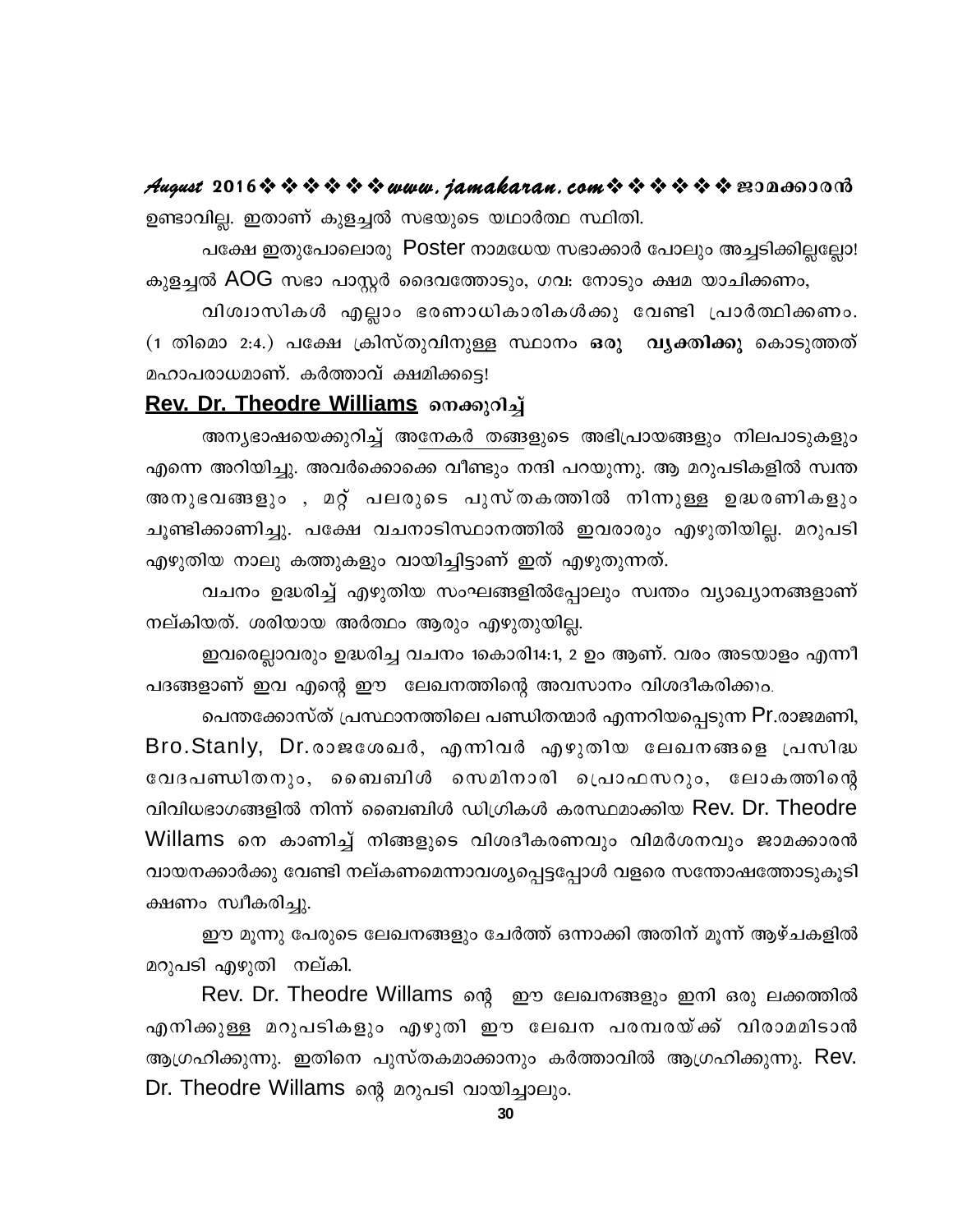August 2016 \* \* \* \* \* \* www.jamakaran.com \* \* \* \* \* \* \* 2010 ഉണ്ടാവില്ല. ഇതാണ് കുളച്ചൽ സഭയുടെ യഥാർത്ഥ സ്ഥിതി.

പക്ഷേ ഇതുപോലൊരു Poster നാമധേയ സഭാക്കാർ പോലും അച്ചടിക്കില്ലല്ലോ! കുളച്ചൽ AOG സഭാ പാസ്റ്റർ ദൈവത്തോടും, ഗവ: നോടും ക്ഷമ യാചിക്കണം,

വിശ്വാസികൾ എല്ലാം ഭരണാധികാരികൾക്കു വേണ്ടി പ്രാർത്ഥിക്കണം. (1 തിമൊ 2:4.) പക്ഷേ ക്രിസ്തുവിനുള്ള സ്ഥാനം ഒരു വൃക്തിക്കു കൊടുത്തത് മഹാപരാധമാണ്. കർത്താവ് ക്ഷമിക്കട്ടെ!

#### Rev. Dr. Theodre Williams നെക്കുറിച്ച്

അന്യഭാഷയെക്കുറിച്ച് അനേകർ തങ്ങളുടെ അഭിപ്രായങ്ങളും നിലപാടുകളും എന്നെ അറിയിച്ചു. അവർക്കൊക്കെ വീണ്ടും നന്ദി പറയുന്നു. ആ മറുപടികളിൽ സ്വന്ത അനുഭവങ്ങളും , മറ്റ് പലരുടെ പുസ്തകത്തിൽ നിന്നുള്ള ഉദ്ധരണികളും ചൂണ്ടിക്കാണിച്ചു. പക്ഷേ വചനാടിസ്ഥാനത്തിൽ ഇവരാരും എഴുതിയില്ല. മറുപടി എഴുതിയ നാലു കത്തുകളും വായിച്ചിട്ടാണ് ഇത് എഴുതുന്നത്.

വചനം ഉദ്ധരിച്ച് എഴുതിയ സംഘങ്ങളിൽപ്പോലും സ്വന്തം വ്യാഖ്യാനങ്ങളാണ് നല്കിയത്. ശരിയായ അർത്ഥം ആരും എഴുതുയില്ല.

ഇവരെല്ലാവരും ഉദ്ധരിച്ച വചനം 1കൊരി14:1, 2 ഉം ആണ്. വരം അടയാളം എന്നീ പദങ്ങളാണ് ഇവ എന്റെ ഈ ലേഖനത്തിന്റെ അവസാനം വിശദീകരിക്കും.

പെന്തക്കോസ്ത് പ്രസ്ഥാനത്തിലെ പണ്ഡിതന്മാർ എന്നറിയപ്പെടുന്ന Pr.രാജമണി, Bro.Stanly, Dr.രാജശേഖർ, എന്നിവർ എഴുതിയ ലേഖനങ്ങളെ പ്രസിദ്ധ വേദപണ്ഡിതനും, ബൈബിൾ സെമിനാരി പ്രൊഫസറും, ലോകത്തിന്റെ വിവിധഭാഗങ്ങളിൽ നിന്ന് ബൈബിൾ ഡിഗ്രികൾ കരസ്ഥമാക്കിയ Rev. Dr. Theodre Willams നെ കാണിച്ച് നിങ്ങളുടെ വിശദീകരണവും വിമർശനവും ജാമക്കാരൻ വായനക്കാർക്കു വേണ്ടി നല്കണമെന്നാവശ്യപ്പെട്ടപ്പോൾ വളരെ സന്തോഷത്തോടുകൂടി ക്ഷണം സ്വീകരിച്ചു.

ഈ മൂന്നു പേരുടെ ലേഖനങ്ങളും ചേർത്ത് ഒന്നാക്കി അതിന് മൂന്ന് ആഴ്ചകളിൽ മറുപടി എഴുതി നല്കി.

Rev. Dr. Theodre Willams ന്റെ ഈ ലേഖനങ്ങളും ഇനി ഒരു ലക്കത്തിൽ എനിക്കുള്ള മറുപടികളും എഴുതി ഈ ലേഖന പരമ്പരയ്ക്ക് വിരാമമിടാൻ ആഗ്രഹിക്കുന്നു. ഇതിനെ പുസ്തകമാക്കാനും കർത്താവിൽ ആഗ്രഹിക്കുന്നു. Rev. Dr. Theodre Willams ന്റെ മറുപടി വായിച്ചാലും.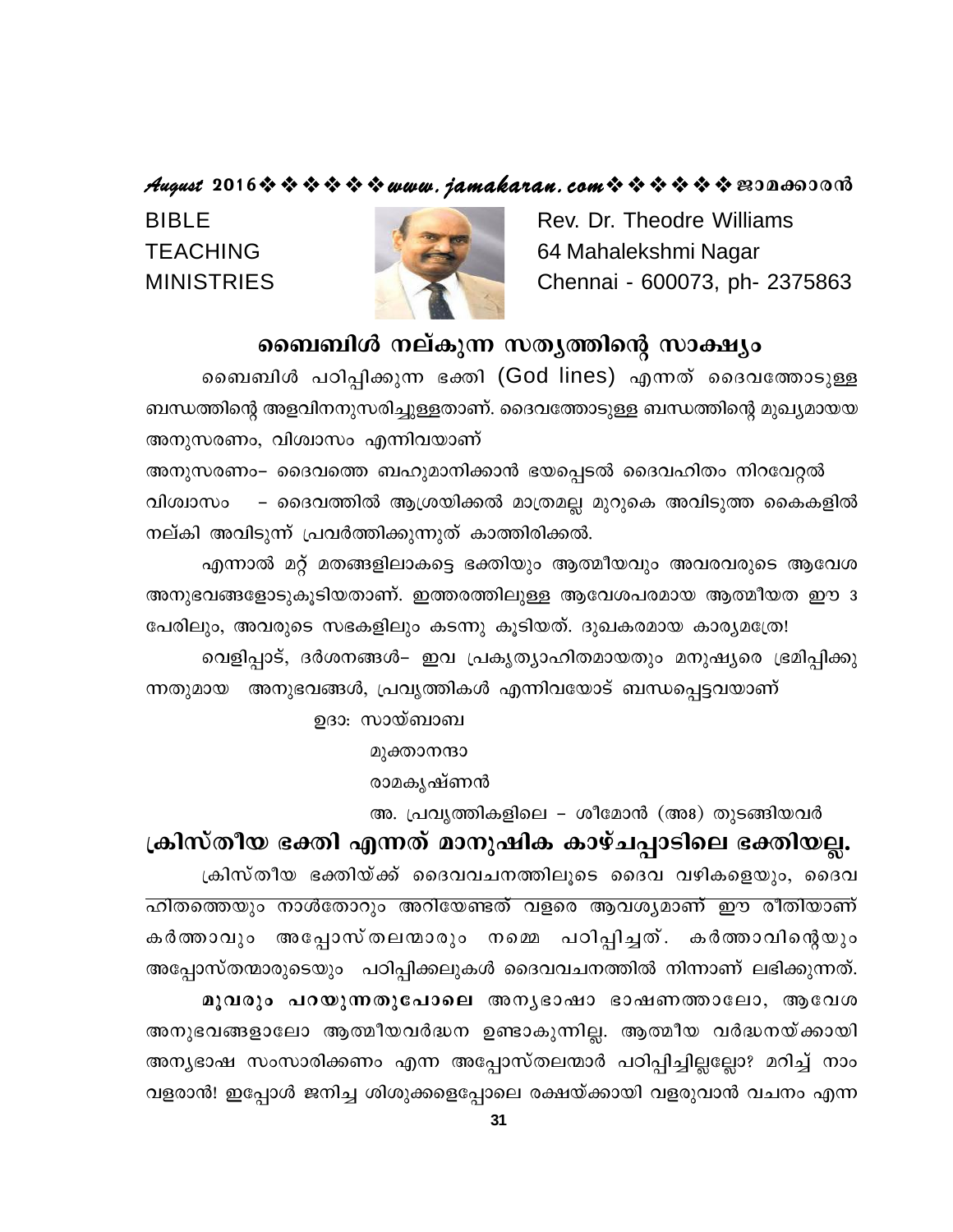#### August 2016 \* \* \* \* \* \* www.jamakaran.com \* \* \* \* \* \* \* 2010600010

**BIBLE TEACHING MINISTRIES** 

Rev. Dr. Theodre Williams 64 Mahalekshmi Nagar Chennai - 600073, ph- 2375863

#### ബൈബിൾ നല്കുന്ന സതൃത്തിന്റെ സാക്ഷ്യം

ബൈബിൾ പഠിപ്പിക്കുന്ന ഭക്തി (God lines) എന്നത് ദൈവത്തോടുള്ള ബന്ധത്തിന്റെ അളവിനനുസരിച്ചുള്ളതാണ്. ദൈവത്തോടുള്ള ബന്ധത്തിന്റെ മുഖ്യമായയ അനുസരണം, വിശ്വാസം എന്നിവയാണ്

അനുസരണം– ദൈവത്തെ ബഹുമാനിക്കാൻ ഭയപ്പെടൽ ദൈവഹിതം നിറവേറ്റൽ വിശ്വാസം – ദൈവത്തിൽ ആശ്രയിക്കൽ മാത്രമല്ല മുറുകെ അവിടുത്ത കൈകളിൽ നല്കി അവിടുന്ന് പ്രവർത്തിക്കുന്നുത് കാത്തിരിക്കൽ.

എന്നാൽ മറ്റ് മതങ്ങളിലാകട്ടെ ഭക്തിയും ആത്മീയവും അവരവരുടെ ആവേശ അനുഭവങ്ങളോടുകൂടിയതാണ്. ഇത്തരത്തിലുള്ള ആവേശപരമായ ആത്മീയത ഈ ദ പേരിലും, അവരുടെ സഭകളിലും കടന്നു കുടിയത്. ദുഖകരമായ കാര്യമത്രേ! വെളിപ്പാട്, ദർശനങ്ങൾ– ഇവ പ്രകൃത്യാഹിതമായതും മനുഷ്യരെ ഭ്രമിപ്പിക്കു ന്നതുമായ അനുഭവങ്ങൾ, പ്രവൃത്തികൾ എന്നിവയോട് ബന്ധപ്പെട്ടവയാണ്

ഉദാ: സായ്ബാബ

മുക്താനന്ദാ

രാമകൃഷ്ണൻ

അ. പ്രവൃത്തികളിലെ – ശീമോൻ (അ8) തുടങ്ങിയവർ

ക്രിസ്തീയ ഭക്തി എന്നത് മാനുഷിക കാഴ്ചപ്പാടിലെ ഭക്തിയല്ല. ക്രിസ്തീയ ഭക്തിയ്ക്ക് ദൈവവചനത്തിലൂടെ ദൈവ വഴികളെയും, ദൈവ ഹിതത്തെയും നാൾതോറും അറിയേണ്ടത് വളരെ ആവശ്യമാണ് ഈ രീതിയാണ് കർത്താവും അപ്പോസ്തലന്മാരും നമ്മെ പഠിപ്പിച്ചത്. കർത്താവിന്റെയും അപ്പോസ്തന്മാരുടെയും പഠിപ്പിക്കലുകൾ ദൈവവചനത്തിൽ നിന്നാണ് ലഭിക്കുന്നത്. മൂവരും പറയുന്നതുപോലെ അനൃഭാഷാ ഭാഷണത്താലോ, ആവേശ അനുഭവങ്ങളാലോ ആത്മീയവർദ്ധന ഉണ്ടാകുന്നില്ല. ആത്മീയ വർദ്ധനയ്ക്കായി അന്യഭാഷ സംസാരിക്കണം എന്ന അപ്പോസ്തലന്മാർ പഠിപ്പിച്ചില്ലല്ലോ? മറിച്ച് നാം വളരാൻ! ഇപ്പോൾ ജനിച്ച ശിശുക്കളെപ്പോലെ രക്ഷയ്ക്കായി വളരുവാൻ വചനം എന്ന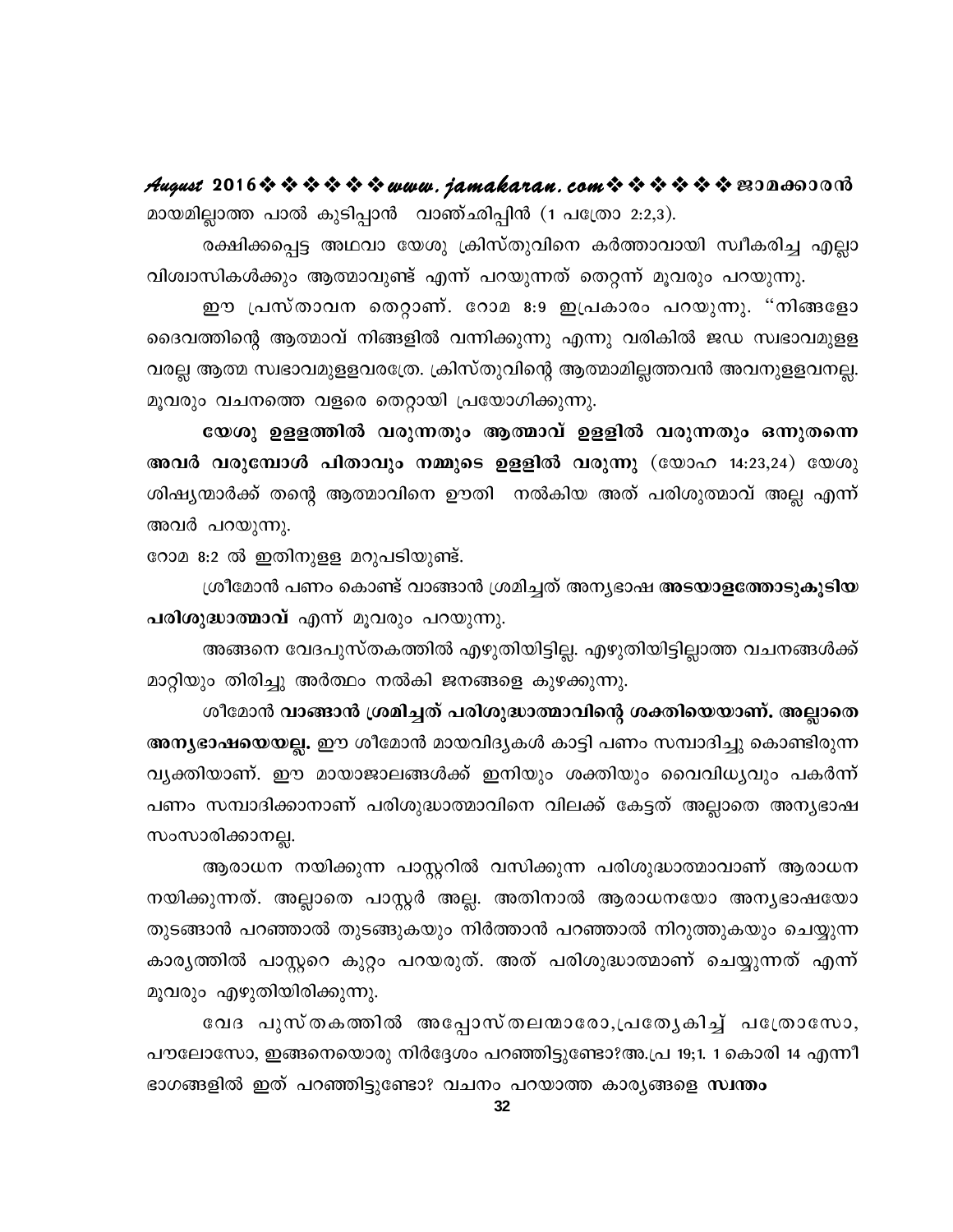August 2016 \* \* \* \* \* \* www.jamakaran.com \* \* \* \* \* \* \* E30000000 മായമില്ലാത്ത പാൽ കുടിപ്പാൻ വാഞ്ഛിപ്പിൻ (1 പത്രോ 2:2,3).

രക്ഷിക്കപ്പെട്ട അഥവാ യേശു ക്രിസ്തുവിനെ കർത്താവായി സ്വീകരിച്ച എല്ലാ വിശ്വാസികൾക്കും ആത്മാവുണ്ട് എന്ന് പറയുന്നത് തെറ്റന്ന് മൂവരും പറയുന്നു.

ഈ പ്രസ്താവന തെറ്റാണ്. റോമ 8:9 ഇപ്രകാരം പറയുന്നു. "നിങ്ങളോ ദൈവത്തിന്റെ ആത്മാവ് നിങ്ങളിൽ വന്നിക്കുന്നു എന്നു വരികിൽ ജഡ സ്വഭാവമുളള വരല്ല ആത്മ സ്വഭാവമുളളവരത്രേ. ക്രിസ്തുവിന്റെ ആത്മാമില്ലത്തവൻ അവനുളളവനല്ല. മൂവരും വചനത്തെ വളരെ തെറ്റായി പ്രയോഗിക്കുന്നു.

യേശു ഉളളത്തിൽ വരുന്നതും ആത്മാവ് ഉളളിൽ വരുന്നതും ഒന്നുതന്നെ അവർ വരുമ്പോൾ പിതാവും നമ്മുടെ ഉളളിൽ വരുന്നു (യോഹ 14:23,24) യേശു ശിഷ്യന്മാർക്ക് തന്റെ ആത്മാവിനെ ഊതി നൽകിയ അത് പരിശുത്മാവ് അല്ല എന്ന് അവർ പറയുന്നു.

റോമ 8:2 ൽ ഇതിനുളള മറുപടിയുണ്ട്.

ശ്രീമോൻ പണം കൊണ്ട് വാങ്ങാൻ ശ്രമിച്ചത് അന്യഭാഷ <mark>അടയാളത്തോടുകൂടിയ</mark> പരിശുദ്ധാത്മാവ് എന്ന് മൂവരും പറയുന്നു.

അങ്ങനെ വേദപുസ്തകത്തിൽ എഴുതിയിട്ടില്ല. എഴുതിയിട്ടില്ലാത്ത വചനങ്ങൾക്ക് മാറ്റിയും തിരിച്ചു അർത്ഥം നൽകി ജനങ്ങളെ കുഴക്കുന്നു.

ശീമോൻ വാങ്ങാൻ ശ്രമിച്ചത് പരിശുദ്ധാത്മാവിന്റെ ശക്തിയെയാണ്. അല്ലാതെ അന്യഭാഷയെയല്ല. ഈ ശീമോൻ മായവിദ്യകൾ കാട്ടി പണം സമ്പാദിച്ചു കൊണ്ടിരുന്ന വൃക്തിയാണ്. ഈ മായാജാലങ്ങൾക്ക് ഇനിയും ശക്തിയും വൈവിധൃവും പകർന്ന് പണം സമ്പാദിക്കാനാണ് പരിശുദ്ധാത്മാവിനെ വിലക്ക് കേട്ടത് അല്ലാതെ അന്യഭാഷ സംസാരിക്കാനല്ല.

ആരാധന നയിക്കുന്ന പാസ്റ്ററിൽ വസിക്കുന്ന പരിശുദ്ധാത്മാവാണ് ആരാധന നയിക്കുന്നത്. അല്ലാതെ പാസ്റ്റർ അല്ല. അതിനാൽ ആരാധനയോ അന്യഭാഷയോ തുടങ്ങാൻ പറഞ്ഞാൽ തുടങ്ങുകയും നിർത്താൻ പറഞ്ഞാൽ നിറുത്തുകയും ചെയ്യുന്ന കാര്യത്തിൽ പാസ്റ്ററെ കുറ്റം പറയരുത്. അത് പരിശുദ്ധാത്മാണ് ചെയ്യുന്നത് എന്ന് മൂവരും എഴുതിയിരിക്കുന്നു.

വേദ പുസ്തകത്തിൽ അപ്പോസ്തലന്മാരോ,പ്രത്യേകിച്ച് പത്രോസോ, പൗലോസോ, ഇങ്ങനെയൊരു നിർദ്ദേശം പറഞ്ഞിട്ടുണ്ടോ?അ.പ്ര 19;1. 1 കൊരി 14 എന്നീ ഭാഗങ്ങളിൽ ഇത് പറഞ്ഞിട്ടുണ്ടോ? വചനം പറയാത്ത കാര്യങ്ങളെ സ്ഥതം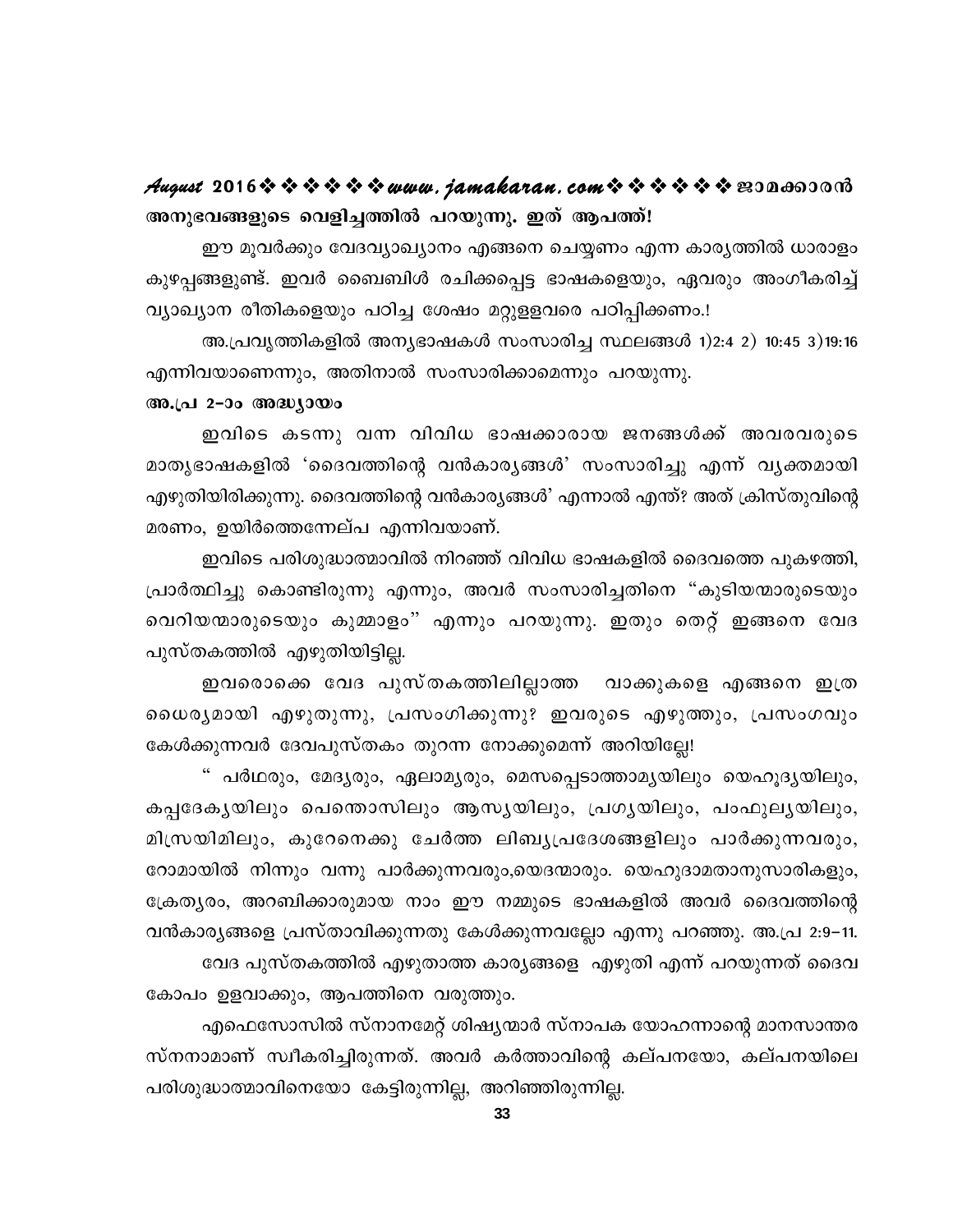#### August 2016 \* \* \* \* \* \* www.jamakaran.com \* \* \* \* \* \* \* 2010 അനുഭവങ്ങളുടെ വെളിച്ചത്തിൽ പറയുന്നു. ഇത് ആപത്ത്!

ഈ മൂവർക്കും വേദവ്യാഖ്യാനം എങ്ങനെ ചെയ്യണം എന്ന കാര്യത്തിൽ ധാരാളം കുഴപ്പങ്ങളുണ്ട്. ഇവർ ബൈബിൾ രചിക്കപ്പെട്ട ഭാഷകളെയും, ഏവരും അംഗീകരിച്ച് വ്യാഖ്യാന രീതികളെയും പഠിച്ച ശേഷം മറ്റുളളവരെ പഠിപ്പിക്കണം.!

അ.പ്രവൃത്തികളിൽ അന്യഭാഷകൾ സംസാരിച്ച സ്ഥലങ്ങൾ 1)2:4 2) 10:45 3)19:16 എന്നിവയാണെന്നും, അതിനാൽ സംസാരിക്കാമെന്നും പറയുന്നു.

#### അ.പ്ര 2-ാം അദ്ധ്യായം

ഇവിടെ കടന്നു വന്ന വിവിധ ഭാഷക്കാരായ ജനങ്ങൾക്ക് അവരവരുടെ മാതൃഭാഷകളിൽ 'ദൈവത്തിന്റെ വൻകാരൃങ്ങൾ' സംസാരിച്ചു എന്ന് വൃക്തമായി എഴുതിയിരിക്കുന്നു. ദൈവത്തിന്റെ വൻകാര്യങ്ങൾ' എന്നാൽ എന്ത്? അത് ക്രിസ്തുവിന്റെ മരണം, ഉയിർത്തെന്നേല്പ എന്നിവയാണ്.

ഇവിടെ പരിശുദ്ധാത്മാവിൽ നിറഞ്ഞ് വിവിധ ഭാഷകളിൽ ദൈവത്തെ പുകഴത്തി, പ്രാർത്ഥിച്ചു കൊണ്ടിരുന്നു എന്നും, അവർ സംസാരിച്ചതിനെ "കുടിയന്മാരുടെയും വെറിയന്മാരുടെയും കുമ്മാളം" എന്നും പറയുന്നു. ഇതും തെറ്റ് ഇങ്ങനെ വേദ പുസ്തകത്തിൽ എഴുതിയിട്ടില്ല.

ഇവരൊക്കെ വേദ പുസ്തകത്തിലില്ലാത്ത വാക്കുകളെ എങ്ങനെ ഇത്ര ധൈര്യമായി എഴുതുന്നു, പ്രസംഗിക്കുന്നു? ഇവരുടെ എഴുത്തും, പ്രസംഗവും കേൾക്കുന്നവർ ദേവപുസ്തകം തുറന്ന നോക്കുമെന്ന് അറിയില്ലേ!

" പർഥരും, മേദൃരും, ഏലാമൃരും, മെസപ്പെടാത്താമൃയിലും യെഹൂദൃയിലും, കപ്പദേകൃയിലും പെന്തൊസിലും ആസൃയിലും, പ്രഗൃയിലും, പംഫുലൃയിലും, മിസ്രയിമിലും, കുറേനെക്കു ചേർത്ത ലിബ്യപ്രദേശങ്ങളിലും പാർക്കുന്നവരും, റോമായിൽ നിന്നും വന്നു പാർക്കുന്നവരും,യെദന്മാരും. യെഹുദാമതാനുസാരികളും, ക്രേത്യരം, അറബിക്കാരുമായ നാം ഈ നമ്മുടെ ഭാഷകളിൽ അവർ ദൈവത്തിന്റെ വൻകാര്യങ്ങളെ പ്രസ്താവിക്കുന്നതു കേൾക്കുന്നവല്ലോ എന്നു പറഞ്ഞു. അ.പ്ര 2:9–11. വേദ പുസ്തകത്തിൽ എഴുതാത്ത കാര്യങ്ങളെ എഴുതി എന്ന് പറയുന്നത് ദൈവ

എഫെസോസിൽ സ്നാനമേറ്റ് ശിഷ്യന്മാർ സ്നാപക യോഹന്നാന്റെ മാനസാന്തര സ്നനാമാണ് സ്വീകരിച്ചിരുന്നത്. അവർ കർത്താവിന്റെ കല്പനയോ, കല്പനയിലെ പരിശുദ്ധാത്മാവിനെയോ കേട്ടിരുന്നില്ല, അറിഞ്ഞിരുന്നില്ല.

കോപം ഉളവാക്കും, ആപത്തിനെ വരുത്തും.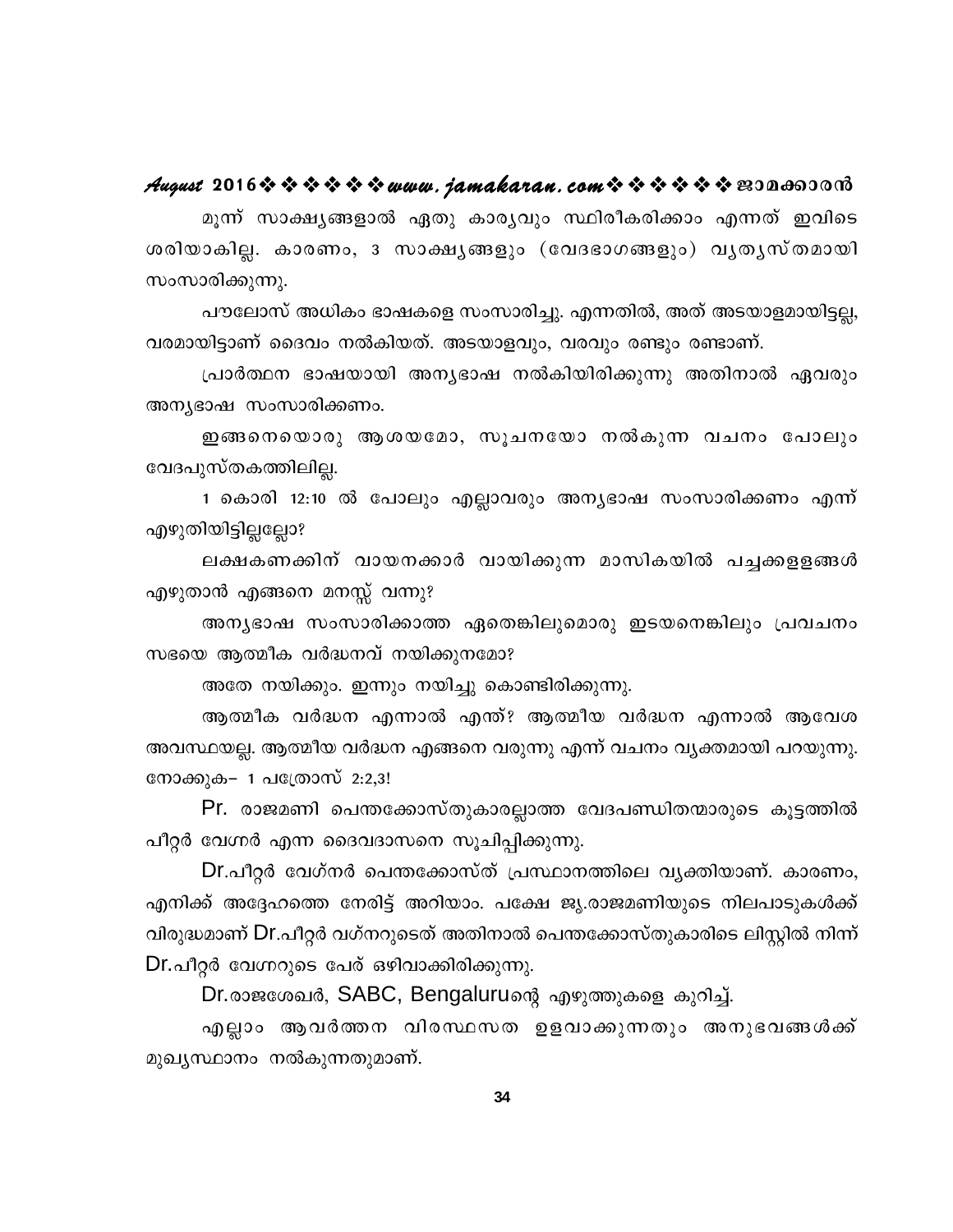#### August 2016 \* \* \* \* \* \* www.jamakaran.com \* \* \* \* \* \* \* E3Da603018

മൂന്ന് സാക്ഷ്യങ്ങളാൽ ഏതു കാര്യവും സ്ഥിരീകരിക്കാം എന്നത് ഇവിടെ ശരിയാകില്ല. കാരണം, ദ സാക്ഷൃങ്ങളും (വേദഭാഗങ്ങളും) വൃതൃസ്തമായി സംസാരിക്കുന്നു.

പൗലോസ് അധികം ഭാഷകളെ സംസാരിച്ചു. എന്നതിൽ, അത് അടയാളമായിട്ടല്ല, വരമായിട്ടാണ് ദൈവം നൽകിയത്. അടയാളവും, വരവും രണ്ടും രണ്ടാണ്.

പ്രാർത്ഥന ഭാഷയായി അന്യഭാഷ നൽകിയിരിക്കുന്നു അതിനാൽ ഏവരും അന്യഭാഷ സംസാരിക്കണം.

ഇങ്ങനെയൊരു ആശയമോ, സൂചനയോ നൽകുന്ന വചനം പോലും വേദപുസ്തകത്തിലില്ല.

1 കൊരി 12:10 ൽ പോലും എല്ലാവരും അന്യഭാഷ സംസാരിക്കണം എന്ന് എഴുതിയിട്ടില്ലല്ലോ?

ലക്ഷകണക്കിന് വായനക്കാർ വായിക്കുന്ന മാസികയിൽ പച്ചക്കളളങ്ങൾ എഴുതാൻ എങ്ങനെ മനസ്സ് വന്നു?

അനൃഭാഷ സംസാരിക്കാത്ത ഏതെങ്കിലുമൊരു ഇടയനെങ്കിലും പ്രവചനം സഭയെ ആത്മീക വർദ്ധനവ് നയിക്കുനമോ?

അതേ നയിക്കും. ഇന്നും നയിച്ചു കൊണ്ടിരിക്കുന്നു.

ആത്മീക വർദ്ധന എന്നാൽ എന്ത്? ആത്മീയ വർദ്ധന എന്നാൽ ആവേശ അവസ്ഥയല്ല. ആത്മീയ വർദ്ധന എങ്ങനെ വരുന്നു എന്ന് വചനം വ്യക്തമായി പറയുന്നു. നോക്കുക– 1 പത്രോസ് 2:2,3!

Pr. രാജമണി പെന്തക്കോസ്തുകാരല്ലാത്ത വേദപണ്ഡിതന്മാരുടെ കൂട്ടത്തിൽ പീറ്റർ വേഗ്നർ എന്ന ദൈവദാസനെ സൂചിപ്പിക്കുന്നു.

Dr.പീറ്റർ വേഗ്നർ പെന്തക്കോസ്ത് പ്രസ്ഥാനത്തിലെ വൃക്തിയാണ്. കാരണം, എനിക്ക് അദ്ദേഹത്തെ നേരിട്ട് അറിയാം. പക്ഷേ ജൃ.രാജമണിയുടെ നിലപാടുകൾക്ക് വിരുദ്ധമാണ് Dr.പീറ്റർ വഗ്നറുടെത് അതിനാൽ പെന്തക്കോസ്തുകാരിടെ ലിസ്റ്റിൽ നിന്ന് Dr.പീറ്റർ വേഗ്നറുടെ പേര് ഒഴിവാക്കിരിക്കുന്നു.

Dr.രാജശേഖർ, SABC, Bengaluruന്റെ എഴുത്തുകളെ കുറിച്ച്.

എല്ലാം ആവർത്തന വിരസ്ഥസത ഉളവാക്കുന്നതും അനുഭവങ്ങൾക്ക് മുഖൃസ്ഥാനം നൽകുന്നതുമാണ്.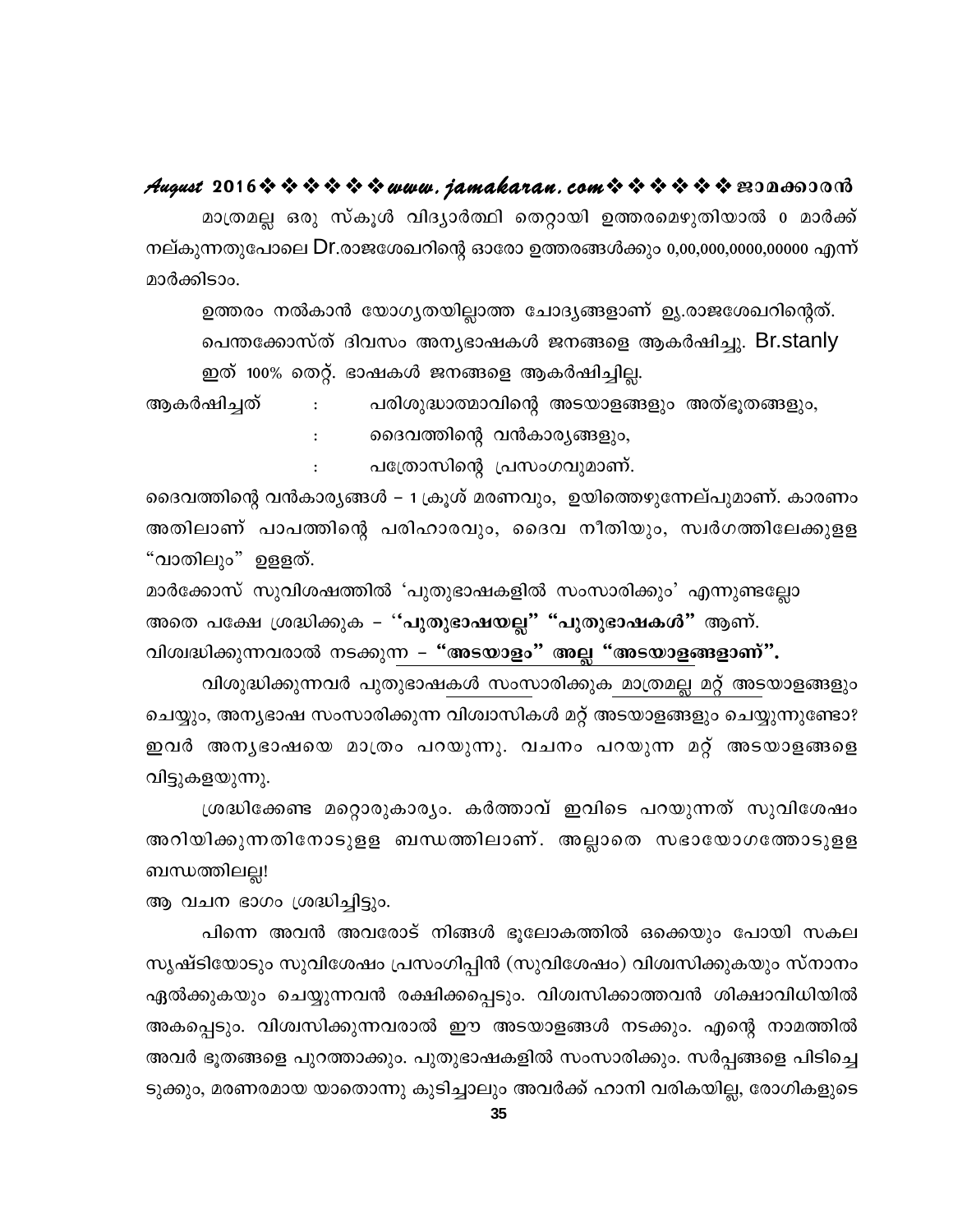#### August 2016 \* \* \* \* \* \* www.jamakaran.com \* \* \* \* \* \* \* 2010

മാത്രമല്ല ഒരു സ്കൂൾ വിദ്യാർത്ഥി തെറ്റായി ഉത്തരമെഴുതിയാൽ o മാർക്ക് നല്കുന്നതുപോലെ Dr.രാജശേഖറിന്റെ ഓരോ ഉത്തരങ്ങൾക്കും 0,00,000,0000,00000 എന്ന് മാർക്കിടാം.

ഉത്തരം നൽകാൻ യോഗൃതയില്ലാത്ത ചോദ്യങ്ങളാണ് ഉൃ.രാജശേഖറിന്റെത്. പെന്തക്കോസ്ത് ദിവസം അനൃഭാഷകൾ ജനങ്ങളെ ആകർഷിച്ചു. Br.stanly ഇത് 100% തെറ്റ്. ഭാഷകൾ ജനങ്ങളെ ആകർഷിച്ചില്ല.

ആകർഷിച്ചത് പരിശുദ്ധാത്മാവിന്റെ അടയാളങ്ങളും അത്ഭൂതങ്ങളും,  $\mathbf{L}$ 

ദൈവത്തിന്റെ വൻകാര്യങ്ങളും,

പത്രോസിന്റെ പ്രസംഗവുമാണ്.

ദൈവത്തിന്റെ വൻകാര്യങ്ങൾ – 1 ക്രൂശ് മരണവും, ഉയിത്തെഴുന്നേല്പുമാണ്. കാരണം അതിലാണ് പാപത്തിന്റെ പരിഹാരവും, ദൈവ നീതിയും, സ്വർഗത്തിലേക്കുളള "വാതിലും" ഉളളത്.

മാർക്കോസ് സുവിശഷത്തിൽ 'പുതുഭാഷകളിൽ സംസാരിക്കും' എന്നുണ്ടല്ലോ അതെ പക്ഷേ ശ്രദ്ധിക്കുക – ''പുതുഭാഷയല്ല'' "പുതുഭാഷകൾ'' ആണ്. വിശ്വദ്ധിക്കുന്നവരാൽ നടക്കുന്ന – "അടയാളം" അല്ല "അടയാളങ്ങളാണ്".

വിശുദ്ധിക്കുന്നവർ പുതുഭാഷകൾ സംസാരിക്കുക മാത്രമല്ല മറ്റ് അടയാളങ്ങളും ചെയ്യും, അന്യഭാഷ സംസാരിക്കുന്ന വിശ്വാസികൾ മറ്റ് അടയാളങ്ങളും ചെയ്യുന്നുണ്ടോ? ഇവർ അനൃഭാഷയെ മാത്രം പറയുന്നു. വചനം പറയുന്ന മറ്റ് അടയാളങ്ങളെ വിട്ടുകളയുന്നു.

ശ്രദ്ധിക്കേണ്ട മറ്റൊരുകാര്യം. കർത്താവ് ഇവിടെ പറയുന്നത് സുവിശേഷം അറിയിക്കുന്നതിനോടുളള ബന്ധത്തിലാണ്. അല്ലാതെ സഭായോഗത്തോടുളള ബന്ധത്തിലല്ല!

ആ വചന ഭാഗം ശ്രദ്ധിച്ചിട്ടും.

 $\mathbf{r}$ 

പിന്നെ അവൻ അവരോട് നിങ്ങൾ ഭൂലോകത്തിൽ ഒക്കെയും പോയി സകല സൃഷ്ടിയോടും സുവിശേഷം പ്രസംഗിപ്പിൻ (സുവിശേഷം) വിശ്വസിക്കുകയും സ്നാനം ഏൽക്കുകയും ചെയ്യുന്നവൻ രക്ഷിക്കപ്പെടും. വിശ്വസിക്കാത്തവൻ ശിക്ഷാവിധിയിൽ അകപ്പെടും. വിശ്വസിക്കുന്നവരാൽ ഈ അടയാളങ്ങൾ നടക്കും. എന്റെ നാമത്തിൽ അവർ ഭൂതങ്ങളെ പുറത്താക്കും. പുതുഭാഷകളിൽ സംസാരിക്കും. സർപ്പങ്ങളെ പിടിച്ചെ ടുക്കും, മരണരമായ യാതൊന്നു കുടിച്ചാലും അവർക്ക് ഹാനി വരികയില്ല, രോഗികളുടെ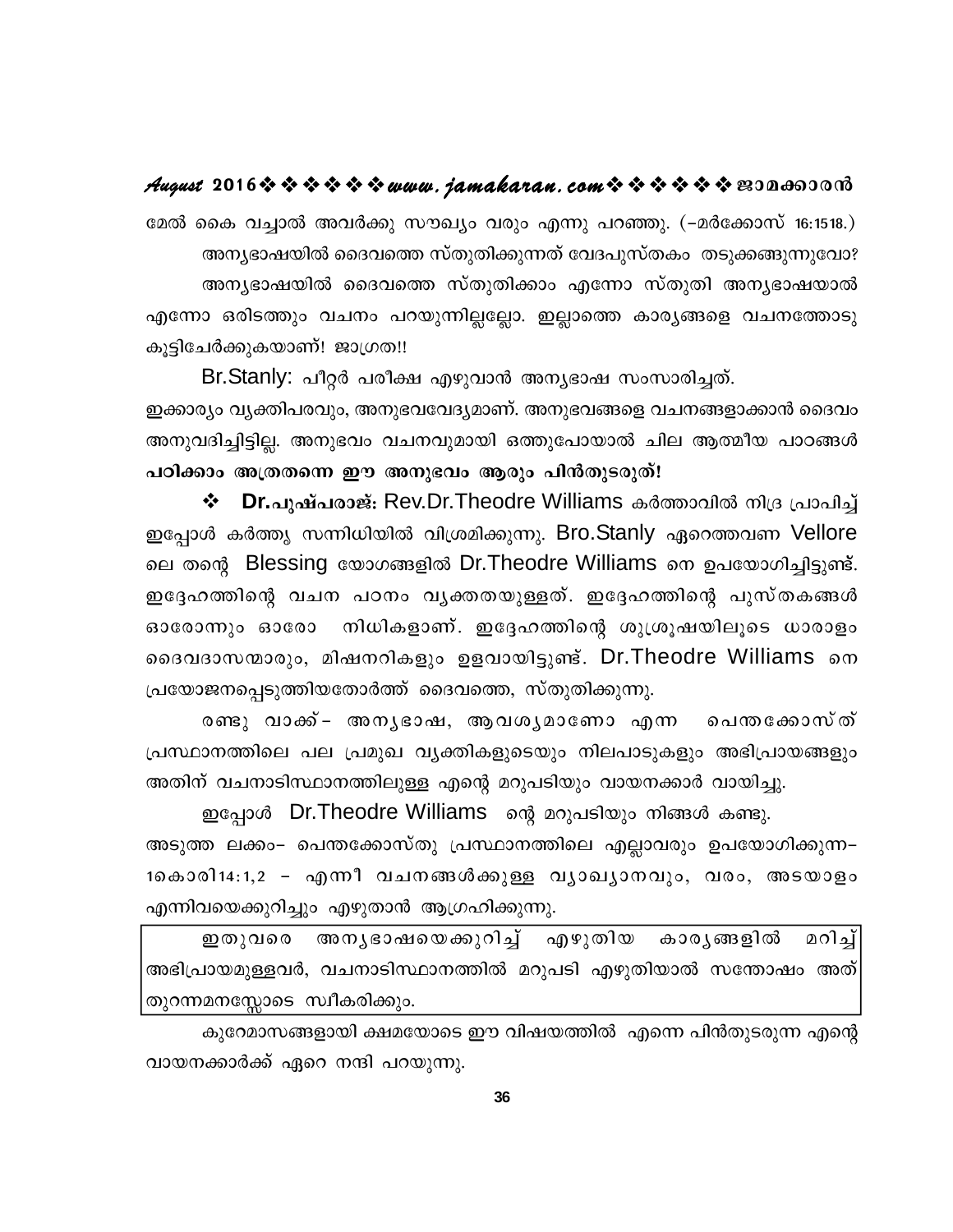#### August 2016 \* \* \* \* \* \* www.jamakaran.com \* \* \* \* \* \* \* E3Da603018

മേൽ കൈ വച്ചാൽ അവർക്കു സൗഖ്യം വരും എന്നു പറഞ്ഞു. (–മർക്കോസ് 16:1518.) അന്യഭാഷയിൽ ദൈവത്തെ സ്തുതിക്കുന്നത് വേദപുസ്തകം തടുക്കങ്ങുന്നുവോ? അന്യഭാഷയിൽ ദൈവത്തെ സ്തുതിക്കാം എന്നോ സ്തുതി അന്യഭാഷയാൽ എന്നോ ഒരിടത്തും വചനം പറയുന്നില്ലല്ലോ. ഇല്ലാത്തെ കാര്യങ്ങളെ വചനത്തോടു കൂട്ടിചേർക്കുകയാണ്! ജാഗ്രത!!

Br.Stanly: പീറ്റർ പരീക്ഷ എഴുവാൻ അനൃഭാഷ സംസാരിച്ചത്.

ഇക്കാര്യം വ്യക്തിപരവും, അനുഭവവേദ്യമാണ്. അനുഭവങ്ങളെ വചനങ്ങളാക്കാൻ ദൈവം അനുവദിച്ചിട്ടില്ല. അനുഭവം വചനവുമായി ഒത്തുപോയാൽ ചില ആത്മീയ പാഠങ്ങൾ പഠിക്കാം അത്രതന്നെ ഈ അനുഭവം ആരും പിൻതുടരുത്!

❖ **Dr.പുഷ്പരാജ്:** Rev.Dr.Theodre Williams കർത്താവിൽ നിദ്ര പ്രാപിച്ച് ഇപ്പോൾ കർത്തു സന്നിധിയിൽ വിശ്രമിക്കുന്നു. Bro.Stanly ഏറെത്തവണ Vellore ലെ തന്റെ Blessing യോഗങ്ങളിൽ Dr. Theodre Williams നെ ഉപയോഗിച്ചിട്ടുണ്ട്. ഇദ്ദേഹത്തിന്റെ വചന പഠനം വൃക്തതയുള്ളത്. ഇദ്ദേഹത്തിന്റെ പുസ്തകങ്ങൾ നിധികളാണ്. ഇദ്ദേഹത്തിന്റെ ശുശ്രൂഷയിലൂടെ ധാരാളം ഓരോന്നും ഓരോ ദൈവദാസന്മാരും, മിഷനറികളും ഉളവായിട്ടുണ്ട്. Dr.Theodre Williams നെ പ്രയോജനപ്പെടുത്തിയതോർത്ത് ദൈവത്തെ, സ്തുതിക്കുന്നു.

രണ്ടു വാക്ക്– അനൃഭാഷ, ആവശൃമാണോ എന്ന പെന്തക്കോസ്ത് പ്രസ്ഥാനത്തിലെ പല പ്രമുഖ വ്യക്തികളുടെയും നിലപാടുകളും അഭിപ്രായങ്ങളും അതിന് വചനാടിസ്ഥാനത്തിലുള്ള എന്റെ മറുപടിയും വായനക്കാർ വായിച്ചു.

ഇപ്പോൾ Dr.Theodre Williams ന്റെ മറുപടിയും നിങ്ങൾ കണ്ടു. അടുത്ത ലക്കം– പെന്തക്കോസ്തു പ്രസ്ഥാനത്തിലെ എല്ലാവരും ഉപയോഗിക്കുന്ന– 1കൊരി14:1,2 - എന്നീ വചനങ്ങൾക്കുള്ള വൃാഖൃാനവും, വരം, അടയാളം എന്നിവയെക്കുറിച്ചും എഴുതാൻ ആഗ്രഹിക്കുന്നു.

അനൃഭാഷയെക്കുറിച്ച് എഴുതിയ കാര്യങ്ങളിൽ മറിച് ഇതുവരെ അഭിപ്രായമുള്ളവർ, വചനാടിസ്ഥാനത്തിൽ മറുപടി എഴുതിയാൽ സന്തോഷം അത്| തുറന്നമനസ്സോടെ സ്വീകരിക്കും.

കുറേമാസങ്ങളായി ക്ഷമയോടെ ഈ വിഷയത്തിൽ എന്നെ പിൻതുടരുന്ന എന്റെ വായനക്കാർക്ക് ഏറെ നന്ദി പറയുന്നു.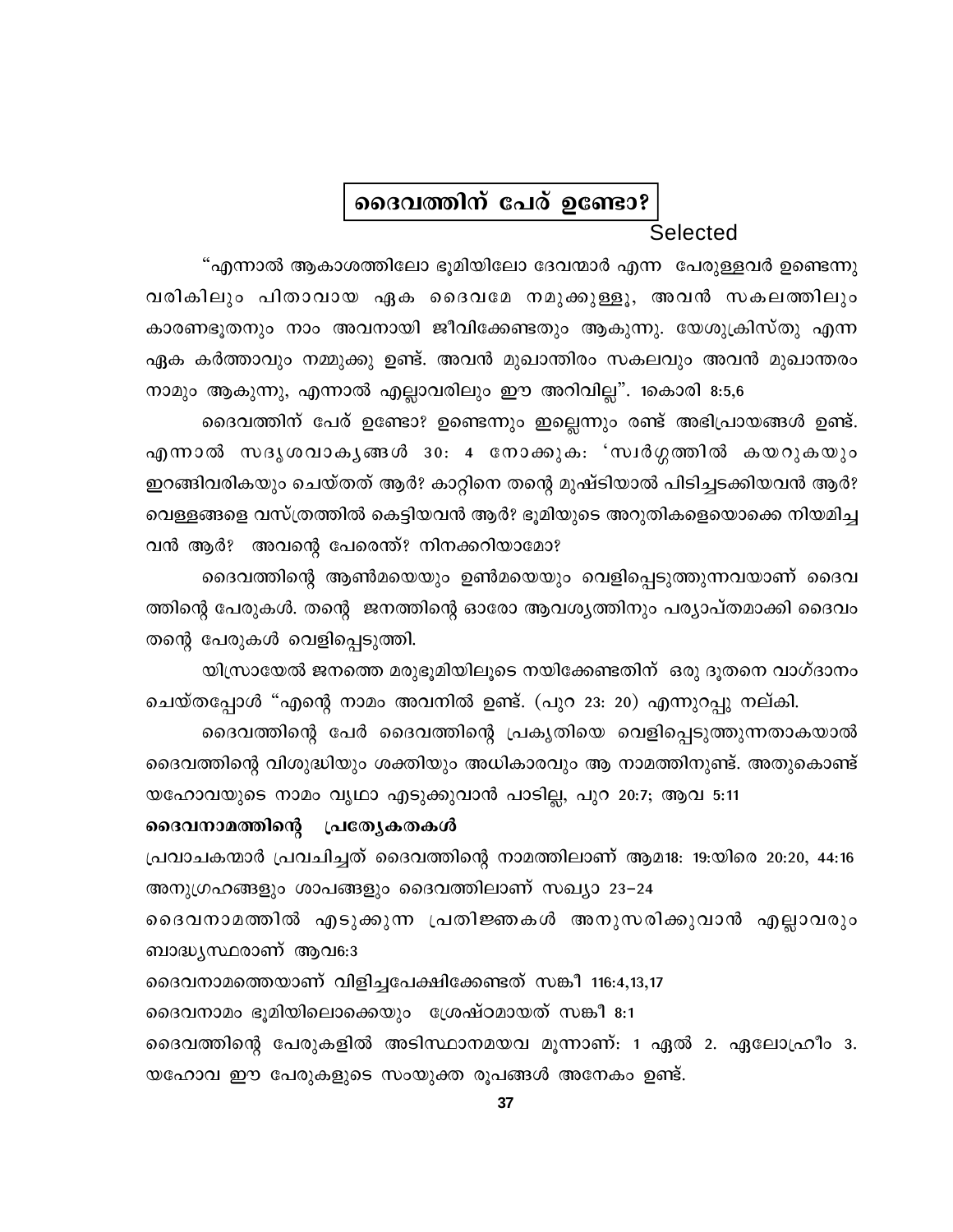#### ദൈവത്തിന് പേര് ഉണ്ടോ?

#### **Selected**

"എന്നാൽ ആകാശത്തിലോ ഭൂമിയിലോ ദേവന്മാർ എന്ന പേരുള്ളവർ ഉണ്ടെന്നു വരികിലും പിതാവായ ഏക ദൈവമേ നമുക്കുള്ളൂ, അവൻ സകലത്തിലും കാരണഭൂതനും നാം അവനായി ജീവിക്കേണ്ടതും ആകുന്നു. യേശുക്രിസ്തു എന്ന ഏക കർത്താവും നമ്മുക്കു ഉണ്ട്. അവൻ മുഖാന്തിരം സകലവും അവൻ മുഖാന്തരം നാമും ആകുന്നു, എന്നാൽ എല്ലാവരിലും ഈ അറിവില്ല". 1കൊരി 8:5,6

ദൈവത്തിന് പേര് ഉണ്ടോ? ഉണ്ടെന്നും ഇല്ലെന്നും രണ്ട് അഭിപ്രായങ്ങൾ ഉണ്ട്. എന്നാൽ സദൃശവാകൃങ്ങൾ 30: 4 നോക്കുക: 'സ്വർഗ്ഗത്തിൽ കയറുകയും ഇറങ്ങിവരികയും ചെയ്തത് ആർ? കാറ്റിനെ തന്റെ മുഷ്ടിയാൽ പിടിച്ചടക്കിയവൻ ആർ? വെള്ളങ്ങളെ വസ്ത്രത്തിൽ കെട്ടിയവൻ ആർ? ഭൂമിയുടെ അറുതികളെയൊക്കെ നിയമിച്ച വൻ ആർ? അവന്റെ പേരെന്ത്? നിനക്കറിയാമോ?

ദൈവത്തിന്റെ ആൺമയെയും ഉൺമയെയും വെളിപ്പെടുത്തുന്നവയാണ് ദൈവ ത്തിന്റെ പേരുകൾ. തന്റെ ജനത്തിന്റെ ഓരോ ആവശ്യത്തിനും പര്യാപ്തമാക്കി ദൈവം തന്റെ പേരുകൾ വെളിപ്പെടുത്തി.

യിസ്രായേൽ ജനത്തെ മരുഭൂമിയിലൂടെ നയിക്കേണ്ടതിന് ഒരു ദൂതനെ വാഗ്ദാനം ചെയ്തപ്പോൾ "എന്റെ നാമം അവനിൽ ഉണ്ട്. (പുറ 23: 20) എന്നുറപ്പു നല്കി.

ദൈവത്തിന്റെ പേർ ദൈവത്തിന്റെ പ്രകൃതിയെ വെളിപ്പെടുത്തുന്നതാകയാൽ ദൈവത്തിന്റെ വിശുദ്ധിയും ശക്തിയും അധികാരവും ആ നാമത്തിനുണ്ട്. അതുകൊണ്ട് യഹോവയുടെ നാമം വൃഥാ എടുക്കുവാൻ പാടില്ല, പുറ 20:7; ആവ 5:11

#### ദൈവനാമത്തിന്റെ പ്രത്യേകതകൾ

പ്രവാചകന്മാർ പ്രവചിച്ചത് ദൈവത്തിന്റെ നാമത്തിലാണ് ആമ18: 19:യിരെ 20:20, 44:16 അനുഗ്രഹങ്ങളും ശാപങ്ങളും ദൈവത്തിലാണ് സഖ്യാ 23–24

ദൈവനാമത്തിൽ എടുക്കുന്ന പ്രതിജ്ഞകൾ അനുസരിക്കുവാൻ എല്ലാവരും ബാദ്ധ്യസ്ഥരാണ് ആവ $6:3$ 

ദൈവനാമത്തെയാണ് വിളിച്ചപേക്ഷിക്കേണ്ടത് സങ്കീ 116:4,13,17

ദൈവനാമം ഭൂമിയിലൊക്കെയും ശ്രേഷ്ഠമായത് സങ്കീ 8:1

ദൈവത്തിന്റെ പേരുകളിൽ അടിസ്ഥാനമയവ മൂന്നാണ്: 1 ഏൽ 2. ഏലോഹ്രീം 3. യഹോവ ഈ പേരുകളുടെ സംയുക്ത രൂപങ്ങൾ അനേകം ഉണ്ട്.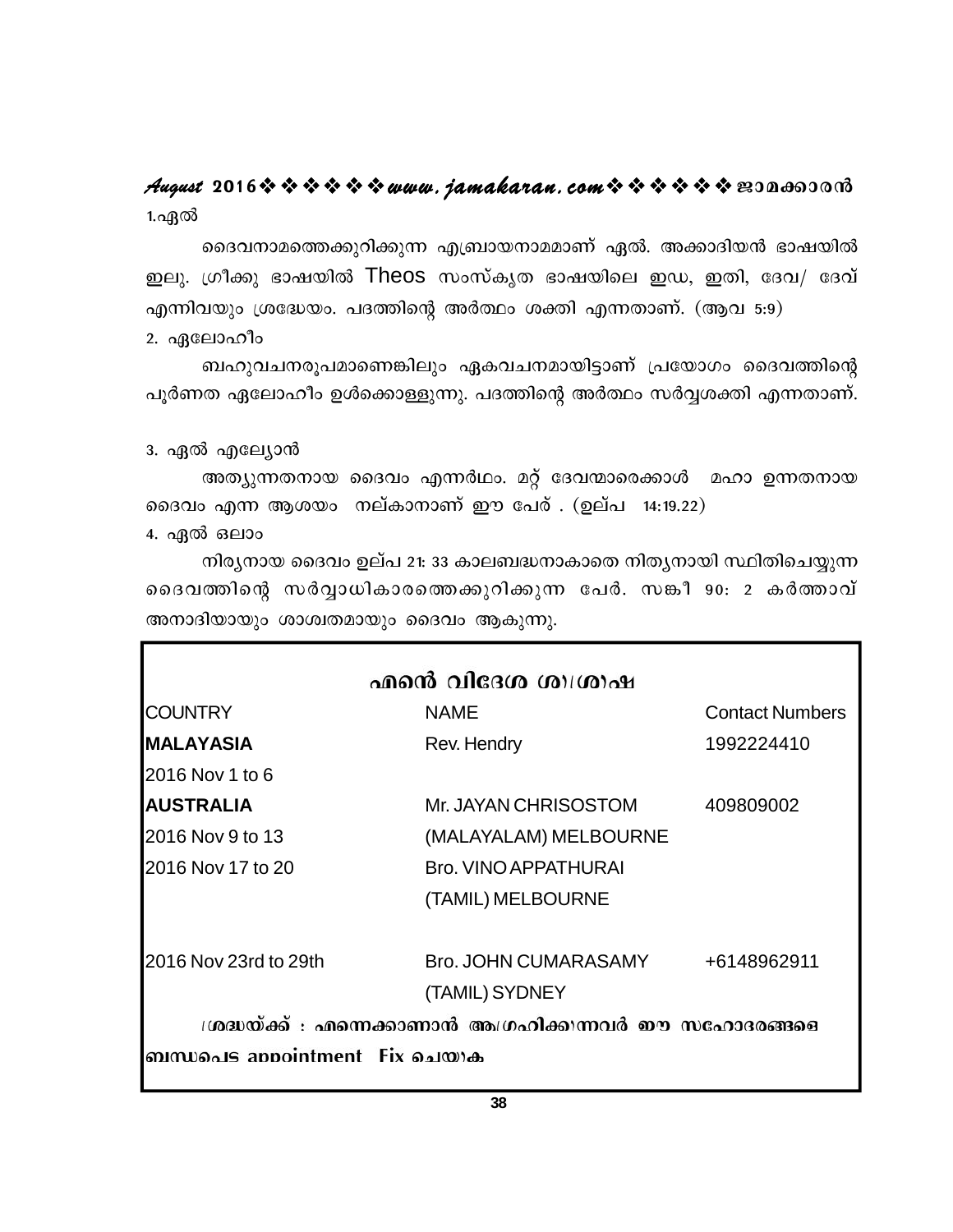#### 1.എൽ **August 2016www.jamakaran.comPma¡mc³**

ദെവനാമത്തെക്കുറിക്കുന്ന എബ്രായനാമമാണ് ഏൽ. അക്കാദിയൻ ഭാഷയിൽ Cep. {Ko¡p `mjbnÂ Theos kwk vIrX `mjbnse CU, CXn, tZh/ tZh v എന്നിവയും ശ്രദ്ധേയം. പദത്തിന്റെ അർത്ഥം ശക്തി എന്നതാണ്. (ആവ 5:9) കരുകരുകരുകരുക്കുന്ന എുവാ മരുലാണെ എന്ന രാകരുകളാണ് ടാംഥാന്ത്ര<br>ശ്രീക്കു ഭാഷയിൽ Theos സംസ്കൃത ഭാഷയിലെ ഇഡ, ഇതി, ദേവ/ ദേവ്<br>വയും ശ്രദ്ധേയം. പദത്തിന്റെ അർത്ഥം ശക്തി എന്നതാണ്. (ആവ 5:9)<br>ബഹുവചനരൂപമാണെങ്കിലും ഏകവചനമായിട്ടാണ് പ്രയോഗം

2. ഏലോഹീം

പൂർണത ഏലോഹീം ഉൾക്കൊള്ളുന്നു. പദത്തിന്റെ അർത്ഥം സർവ്വശക്തി എന്നതാണ്.

3. ഏൽ എല്വോൻ

അത്യുന്നതനായ ദൈവം എന്നർഥം. മറ്റ് ദേവന്മാരെക്കാൾ മഹാ ഉന്നതനായ ദൈവം എന്ന ആശയം നല്കാനാണ് ഈ പേര് . (ഉല്പ  $14:19.22$ )

4. ഏൽ ഒലാം

 $\Omega$ ിര്യനായ ദൈവം ഉല്പ 21: 33 കാലബദ്ധനാകാതെ നിത്യനായി സ്ഥിതിചെയ്യുന്ന അത്യുന്നതനായ ദൈവം എന്നരഥം. മറ്റ ദേവന്മാരെക്കാശ മഹാ ഉന്നതനായ<br>ദൈവം എന്ന ആശയം നല്കാനാണ് ഈ പേര് . (ഉല്പ 14:19.22)<br>4. ഏൽ ഒലാം<br>നിരൃനായ ദൈവം ഉല്പ 21: 33 കാലബദ്ധനാകാതെ നിതൃനായി സ്ഥിതിചെയ്യുന്ന<br>ദൈവത്തിന്റെ സർവ്വാധികാരത്തെക്കുറിക്ക അനാദിയായും ശാശ്വതമായും ദൈവം ആകുന്നു.

| <b>COUNTRY</b>        | <b>NAME</b>                                              | <b>Contact Numbers</b> |
|-----------------------|----------------------------------------------------------|------------------------|
| <b>MALAYASIA</b>      | Rev. Hendry                                              | 1992224410             |
| 2016 Nov 1 to 6       |                                                          |                        |
| <b>AUSTRALIA</b>      | Mr. JAYAN CHRISOSTOM                                     | 409809002              |
| 2016 Nov 9 to 13      | (MALAYALAM) MELBOURNE                                    |                        |
| 2016 Nov 17 to 20     | <b>Bro. VINO APPATHURAI</b>                              |                        |
|                       | (TAMIL) MELBOURNE                                        |                        |
| 2016 Nov 23rd to 29th | Bro. JOHN CUMARASAMY                                     | +6148962911            |
|                       | (TAMIL) SYDNEY                                           |                        |
|                       | ശ്രദ്ധയ്ക്ക് : എന്നെക്കാണാൻ അഗ്രഹിക്കുന്നവർ ഈ സഹോദരങ്ങളെ |                        |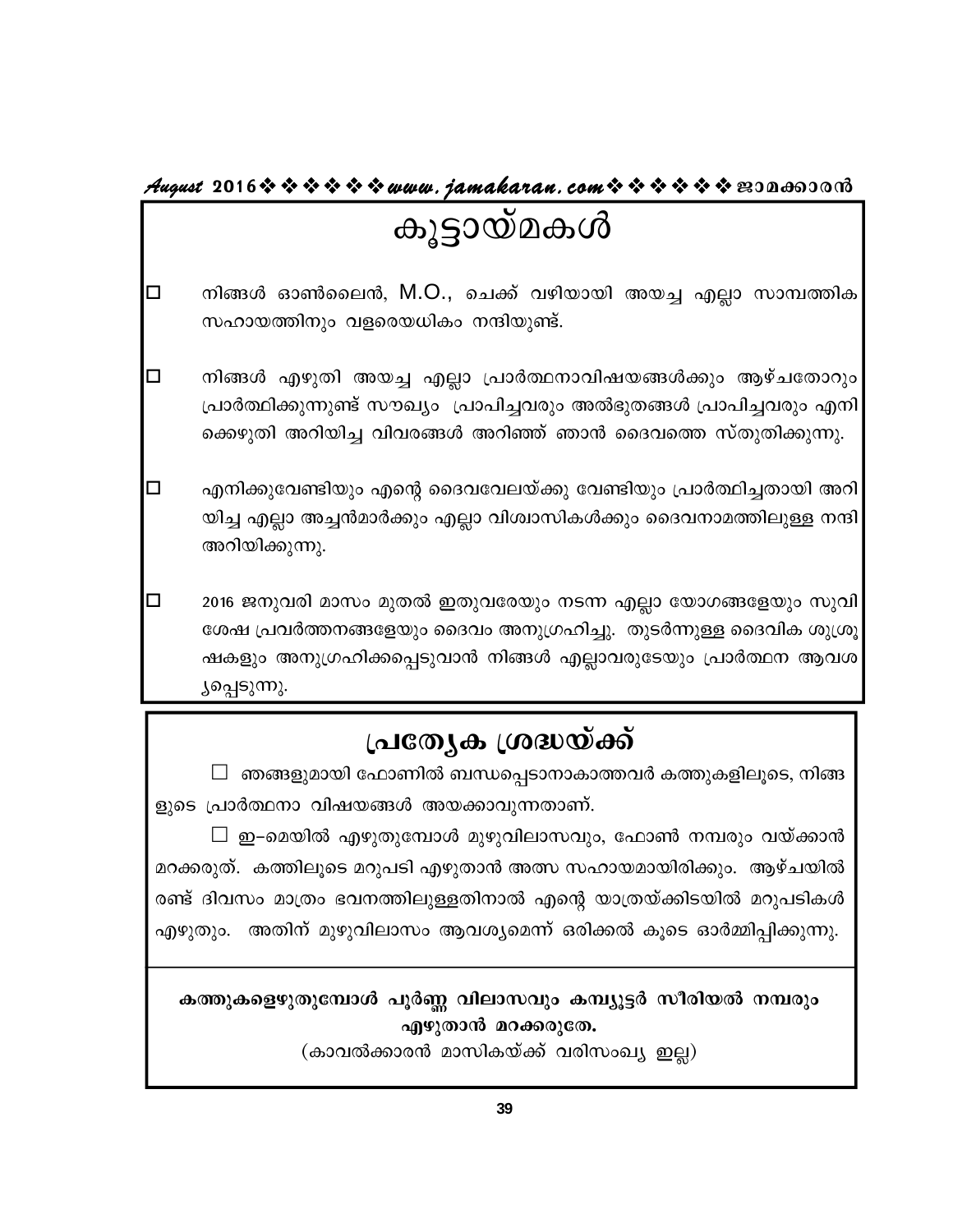#### August 2016※※※※※※www.jamakaran.com※※※※※※B3Da6300m3

#### കൂട്ടായ്മകൾ

- നിങ്ങൾ ഓൺലൈൻ, M.O., ചെക്ക് വഴിയായി അയച്ച എല്ലാ സാമ്പത്തിക  $\Box$ സഹായത്തിനും വളരെയധികം നന്ദിയുണ്ട്.
- $\Box$ നിങ്ങൾ എഴുതി അയച്ച എല്ലാ പ്രാർത്ഥനാവിഷയങ്ങൾക്കും ആഴ്ചതോറും പ്രാർത്ഥിക്കുന്നുണ്ട് സൗഖ്യം പ്രാപിച്ചവരും അൽഭുതങ്ങൾ പ്രാപിച്ചവരും എനി ക്കെഴുതി അറിയിച്ച വിവരങ്ങൾ അറിഞ്ഞ് ഞാൻ ദൈവത്തെ സ്തുതിക്കുന്നു.
- $\Box$ എനിക്കുവേണ്ടിയും എന്റെ ദൈവവേലയ്ക്കു വേണ്ടിയും പ്രാർത്ഥിച്ചതായി അറി യിച്ച എല്ലാ അച്ചൻമാർക്കും എല്ലാ വിശ്വാസികൾക്കും ദൈവനാമത്തിലുള്ള നന്ദി അറിയിക്കുന്നു.

 $\Box$ 2016 ജനുവരി മാസം മുതൽ ഇതുവരേയും നടന്ന എല്ലാ യോഗങ്ങളേയും സുവി ശേഷ പ്രവർത്തനങ്ങളേയും ദൈവം അനുഗ്രഹിച്ചു. തുടർന്നുള്ള ദൈവിക ശുശ്രൂ ഷകളും അനുഗ്രഹിക്കപ്പെടുവാൻ നിങ്ങൾ എല്ലാവരുടേയും പ്രാർത്ഥന ആവശ ്യപ്പെടുന്നു.

#### പ്രത്യേക ശ്രദ്ധയ്ക്ക്

 $\Box$  ഞങ്ങളുമായി ഫോണിൽ ബന്ധപ്പെടാനാകാത്തവർ കത്തുകളിലൂടെ, നിങ്ങ ളുടെ പ്രാർത്ഥനാ വിഷയങ്ങൾ അയക്കാവുന്നതാണ്.

 $\Box$  ഇ–മെയിൽ എഴുതുമ്പോൾ മുഴുവിലാസവും, ഫോൺ നമ്പരും വയ്ക്കാൻ മറക്കരുത്. കത്തിലൂടെ മറുപടി എഴുതാൻ അത്സ സഹായമായിരിക്കും. ആഴ്ചയിൽ രണ്ട് ദിവസം മാത്രം ഭവനത്തിലുള്ളതിനാൽ എന്റെ യാത്രയ്ക്കിടയിൽ മറുപടികൾ എഴുതും. അതിന് മുഴുവിലാസം ആവശ്യമെന്ന് ഒരിക്കൽ കൂടെ ഓർമ്മിപ്പിക്കുന്നു.

#### കത്തുകളെഴുതുമ്പോൾ പൂർണ്ണ വിലാസവും കമ്പ്യൂട്ടർ സീരിയൽ നമ്പരും എഴുതാൻ മറക്കരുതേ.

(കാവൽക്കാരൻ മാസികയ്ക്ക് വരിസംഖ്യ ഇല്ല)